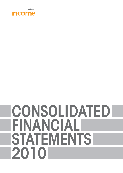

# CONSOLIDATED FINANCIAL **STATEMENTS** 2010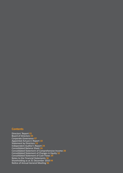### **Contents**

Directors' Report **01** Board of Directors **04** Corporate Govenance **07** Appointed Actuary's Report **18** Statement by Directors **23** Independent Auditor's Report **24** Consolidated Balance Sheet **26** Consolidated Statement of Comprehensive Income **28** Consolidated Statement of Changes in Equity **32** Consolidated Statement of Cash Flows **34** Notes to the Financial Statements **36** Shareholding as at 31 December 2010 **94** Notice of Annual General Meeting **96**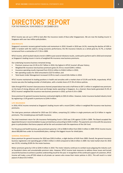### Directors' Report For the Financial year ended 31 DECember 2010

NTUC Income was set up in 1970 to look after the insurance needs of blue-collar Singaporeans. We are now the leading insurer in Singapore with over two million policyholders.

### **2010 Results**

Singapore's economic recovery gained traction and momentum in 2010. Growth in 2010 was 14.5%, reversing the decline of 0.8% in 2009. In tandem with the nation's strong economic performance, the life insurance industry as a whole grew by 15.7%, a marked turnaround from a contraction of 17.5% in 2009.

NTUC Income, which bucked industry trend in 2009 to post several milestone results, continued to perform well in 2010 and remained as Singapore's leading insurer in terms of weighted life insurance new business premiums.

Our underlying insurance business remained strong:

- Premium revenue rose 22.3% to \$3.7 billion in 2010, the highest in NTUC Income's 40-year history;
- Weighted life insurance new business premiums grew 25.1% to a record \$344.1 million;
- Insurance operating results improved from \$152.6 million to \$166.0 million in 2010;
- Net operating surplus for 2010 amounted to \$227.8 million; and
- Total Assets Under Management increased 13.9% to reach a record \$26.4 billion in 2010.

NTUC Income maintained its leading positions in health and annuities with a market share of 25.0% and 94.0%, respectively. NTUC Income was also the leading provider of shield plans, with a market share of 37.3% of inforce policies.

Sales through NTUC Income's bancassurance channel jumped about two-and-a-half times to \$87.1 million in weighted new premiums on the back of strong alliances with local and foreign banks operating in Singapore. As a channel, these banks generated 25.3% of NTUC Income's weighted life insurance new business premium in 2010, up from 9.1% in 2009.

Gross premium for general insurance business contracted slightly to \$301.8 million. However, motor insurance bucked industry trend by registering a 3.5% growth in premiums to \$244.4 million.

### **Life Insurance**

In 2010, NTUC Income remained as Singapore's leading insurer with a record \$344.1 million in weighted life insurance new business premiums.

The total gross premium collected for 2010 was \$3.5 billion, comprising \$2.1 billion in single premiums and \$1.4 billion in regular premiums. This included group and health insurance.

The total investment return for Life Insurance Participating Fund in 2010 was 5.9% against 12.0% in 2009. The Board accepted the Appointed Actuary's recommendation to pay out total bonus amounting to \$320.3 million. The payments are in line with the assurance given to policyholders that bonus payouts will be fair and consistent with the experience of the Life Fund.

For the group and health business, gross premiums grew by 1.1% to \$508.0 million from \$502.5 million in 2009. NTUC Income insures about 800,000 lives under its IncomeShield plans, making it the biggest insurer for shield plans.

### **General Insurance**

Gross premium for general insurance for 2010 was \$301.8 million, a slight decline of 8.6% from 2009. Overall, the general insurance business registered a net operating gain of \$82.5 million in 2010 compared to \$36.6 million in 2009. Our total market share for 2010 was 10.5%, including 20.8% for the motor business.

Motor premiums grew by 3.5% to \$244.4 million in 2010. The motor industry continues to combat issues plaguing the industry such as fraudulent claims and unsustainable premium rates. However, NTUC Income took measures to address these issues and turned around the business to achieve a positive underwriting result for the year. In recognition of the continued support of customers, NTUC Income will make a one-off \$50 rebate to all private car owners who renew their motor policies in 2011. This will result in a total payout of about \$5.0 million.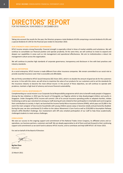### Directors' Report For the Financial year ended 31 DECember 2010

**Shareholders**

Taking into account the results for the year, the Directors propose a total dividend of 8.0% comprising a normal dividend of 6.0% and a special dividend of 2.0% for the financial year ended 31 December 2010.

### **Our Strength and Corporate Governance**

NTUC Income remains strong financially. Financial strength is especially critical in times of market volatility and turbulence. We will continue to consolidate our financial position and operate prudently. At the same time, we will continue to invest to expand and deepen our capabilities in areas such as risk management and operational effectiveness. We aim to institutionalise a robust risk management culture across the organisation.

We will continue to practise high standards of corporate governance, transparency and disclosure in line with best practices and industry standards.

#### **Social Enterprise**

As a social enterprise, NTUC Income is made different from other insurance companies. We remain committed to our social role to provide essential insurance cover that is accessible and affordable.

We are firmly committed to NTUC Social Enterprise (SE) Vision 2015, which is to double the amount of good we do for the customers we serve. In line with this vision, we will strive to maximise the value of our products for our customers and to set the standards for the insurance industry to become the most ethical insurer. In the pursuit of these objectives, we will continue to operate with prudence, maintain a high level of solvency and ensure financial sustainability.

### **Corporate Social Responsibility**

Complementing our social mission is our Corporate Social Responsibility programme which aims to benefit needy people in Singapore. Among the key initiatives in 2010 was the launch of OrangeAid, our flagship vehicle to help disadvantaged children and youths in Singapore. Under OrangeAid, NTUC Income will commit 1.0% of its annual insurance operating profits to adopted charities, initiate fundraising as well as spur volunteerism among our staff, bearing all costs related to their participation in charitable work and recognise their contributions to society. In April, we launched the Income Family Micro-Insurance Scheme (IFMIS), which pays out \$5,000 in the event the main caregiver of low-income households with young children passes away or becomes totally and permanently disabled. During the year, we also contributed \$1.0 million to the Labour Movement U Care Fund as well as \$150,000 to Assumption Pathway School's (APS) Montfort Challenge. Our involvement with APS also entailed participation of our staff to help these academicallychallenged students to meet various challenges.

### **Conclusion**

We owe our success to the ongoing support and commitment of the National Trades Union Congress, its affiliated unions and cooperatives, our business partners, customers and staff. We are deeply appreciative to all of them and look forward to their continuing support and commitment as we work hard to advance NTUC Income, and to contribute and help fulfill NTUC's SE Vision 2015.

For and on behalf of the Board of Directors

**Ng Kee Choe** Chairman

22 March 2011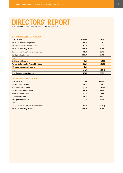## DIRECTORS' REPORT

### **2010 Profit & Loss - An Overview**

| <b>S\$ IN MILLION</b>                            | <b>FY 2010</b> | FY 2009 |
|--------------------------------------------------|----------------|---------|
| <b>Insurance Underwriting Profit</b>             | 68.3           | 57.2    |
| Interest, Dividend & Other Income                | 97.7           | 95.4    |
| <b>Insurance Operating Results</b>               | 166.0          | 152.6   |
| <b>Change in Fair Value Gains of Investments</b> | 61.8           | 207.3   |
| <b>Net Operating Surplus</b>                     | 227.8          | 359.9   |
| Less:                                            |                |         |
| <b>Restitution of Expenses</b>                   | (0.4)          | (4.3)   |
| Transfer to Surplus for Future Distribution      | (31.0)         | (31.5)  |
| Fair Value Loss through reserve                  | (2.3)          |         |
| Levy                                             | (14.6)         | (35.4)  |
| <b>Total Comprehensive Income</b>                | 179.5          | 288.7   |

### **2010 Profit & Loss - By Funds**

| <b>S\$ IN MILLION</b>                     | <b>FY2010</b> | <b>FY2009</b> |
|-------------------------------------------|---------------|---------------|
| Life Insurance Par Fund                   | 35.7          | 46.2          |
| Investment Linked Fund                    | (1.0)         | (1.5)         |
| Life Insurance Non Par Fund               | 65.0          | 138.4         |
| General Insurance Fund                    | 82.5          | 36.6          |
| Shareholders' Fund                        | 45.6          | 140.2         |
| <b>Net Operating Surplus</b>              | 227.8         | 359.9         |
| Less:                                     |               |               |
| Change in Fair Value Gains of Investments | (61.8)        | (207.3)       |
| <b>Insurance Operating Results</b>        | 166.0         | 152.6         |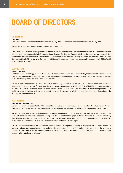## Board of directors

### **Ng Kee Choe**

### **Chairman**

Mr Ng Kee Choe was first appointed to the Board on 28 May 2004 and was appointed as the Chairman on 20 May 2005.

He was last re-appointed by the Founder Member on 30 May 2008.

Mr Ng is also the Chairman of Singapore Power Ltd and SP AusNet, and President-Commissioner of PT Bank Danamon Indonesia Tbk. His other board directorships include Singapore Airport Terminal Services Ltd, Capitaland Ltd and Singapore Exchange Limited. He is also the Chairman of Tanah Merah Country Club, and a member of the Temasek Advisory Panel and the Advisory Council of China Development Bank. Mr Ng was Vice-Chairman of DBS Group Holdings and retired from his executive position in July 2003 after 33 years of service with DBS.

### **Matthias Yao**

### **Deputy Chairman**

Mr Matthias Yao was first appointed to the Board on 15 September 1999 and last re-appointed by the Founder Member on 30 May 2008. He is the Chairman of the Human Resource & Remuneration Committee and the Nominating Committee. He is also a member of the Risk Management Committee and Audit Committee.

Mr Yao is currently the Mayor of South East District and Deputy Speaker of Parliament. In 1999, he was appointed Minister of State in the Prime Minister's Office and served as Deputy Secretary General in NTUC. He left NTUC in 2004 to become the Mayor of South East District. He continues to serve the Labour Movement as the Vice-Chairman of NTUC Club Management Council and is currently an Adviser to five trade unions. He is also a Trustee of the NTUC Eldercare Trust and a board member of the Housing & Development Board.

#### **Tan Suee Chieh**

### **Director and Chief Executive**

Mr Tan Suee Chieh was appointed NTUC Income's Chief Executive on February 2007. He has served on the NTUC Income Board of Directors since 2003 and was last re-elected as director representing the Ordinary and Participating Members on 29 May 2009.

Mr Tan graduated with first class honours from the London School of Economics in 1981 and is a qualified actuary. He was a past president of the Life Insurance Association of Singapore. Mr Tan was the Managing Director for Prudential plc's businesses in Hong Kong, Malaysia and Singapore when he left in 2001 to pursue a Masters in Social Organisational Psychology at the Columbia University in New York. He joined the SHL Group plc in 2003 as President for the Asia Pacific Region.

Mr Tan's current directorships include the Info-communications Development Authority of Singapore, NTUC Choice Homes Cooperative Ltd and International Cooperative and Mutual Insurance Federation. Mr Tan is also the Co-Chairman of the Institute of Service Excellence@SMU, Vice Chairman of the Singapore Children's Society Executive Committee and a member of Human Capital Leadership Institute Governing Council.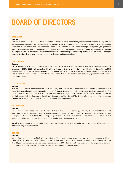## Board of directors

### **Gabriel Teo**

### **Director**

Mr Gabriel Teo was appointed to the Board on 24 May 2002 and was last re-appointed by the Founder Member on 30 May 2008. He is the Chairman of the Investment Committee and a member of the Nominating Committee and Human Resource & Remuneration Committee. Mr Teo runs his own consultancy firm, Gabriel Teo & Associates Pte Ltd. Prior to starting his own practice, he spent more than 20 years in the banking industry in the region, holding senior appointments with global institutions. He was Head of Corporate Banking at Citibank, Chief Executive Officer of Chase Manhattan Bank and Regional Managing Director of Bankers Trust. Currently, he serves on the boards of several other corporates as well as non-profit organisations.

#### **Tan Peng Heng**

### **Director**

Mr Tan Peng Heng was appointed to the Board on 28 May 2004 and was last re-elected as director representing Institutional Members on 29 May 2009. He is a member of the Human Resource & Remuneration Committee, Nominating Committee and Risk Management Committee. Mr Tan works in Qioptiq Singapore Pte Ltd. He is the Manager of Prototype Department dealing with Electro-Optics research, processes and products development. He is the current President of the Singapore Industrial & Services Employees' Union.

### **Tan Cheng Han**

### **Director**

Prof Tan Cheng Han was appointed to the Board on 20 May 2005 and was last re-appointed by the Founder Member on 30 May 2008. He is a member of the Audit Committee, Human Resource & Remuneration Committee and Nominating Committee. Prof Tan is currently a Professor and Dean of the National University of Singapore's Faculty of Law, as well as a Senior Counsel and Specialist Judge. He is the Chairman of the Advisory Committee on Move-On and Film Orders, a Commissioner of the Competition Commission of Singapore, and a board member of several listed companies.

#### **Soh Kim Soon**

#### **Director**

Mr Soh Kim Soon was appointed to the Board on 8 August 2006 and was last re-appointed by the Founder Member on 29 May 2009. He is the Chairman of the Risk Management Committee. Mr Soh is currently Chairman of ORIX Investment and Management Private Limited and ORIX Leasing Singapore Limited. He also serves on the boards of EnGro Corporation Limited, Juniper Capital Ventures (Pte) Ltd and Frasers Centrepoint Asset Management Ltd.

Mr Soh was previously a Senior Managing Director with DBS Bank where he held key senior positions in both business and support functions during his 29-year tenure.

### **Ron Foo**

### **Director**

Mr Ron Foo was first appointed to the Board on 8 August 2006 and was last re-appointed by the Founder Member on 29 May 2009. He is the Chairman of the Audit Committee. Mr Foo was a partner in PricewaterhouseCoopers, Singapore, for more than 22 years before retiring from active service in December 2005. He is presently a director of the SIA Engineering Company Limited and SembCorp Marine Ltd and a member of the Competition Appeal Board.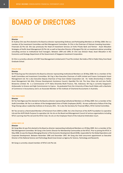## Board of directors

### **Audrey Chin**

### **Director**

Dr Audrey Chin was first elected to the Board as director representing Ordinary and Participating Members on 30 May 2008. She is a member of the Investment Committee and Risk Management Committee. Dr Chin is the Chairman of Vietnam Investing Associates - Financials (S) Pte Ltd. She was previously the Head of Investment Services at Fortis Private Bank and Partner - Asset Allocation Strategies at Pacific Asset Management (S) Pte Ltd, as well as Executive Director of Rossignol Pte Ltd, an investment adviser providing consulting services to institutional fund managers. Between 1994 and 1999, Dr Chin was Division Head, Asset Allocation in the Economics and Strategy Department of the Government of Singapore Investment Corporation.

Dr Chin is currently a director of K-REIT Asia Management Limited and JC Trust Pte Limited. She holds a PhD in Public Policy from Rand Graduate School.

### **Philip Eng**

### **Director**

Mr Philip Eng was first elected to the Board as director representing Institutional Members on 30 May 2008. He is a member of the Audit Committee and Investment Committee. Mr Eng is Non-Executive Chairman of mDR Limited and Frasers Centrepoint Asset Management Ltd. He is also Executive Deputy Chairman of Hup Soon Global Corporation Ltd. He holds directorships in Hektar Asset Management Sdn Bhd, Chinese Development Assistance Council, OpenNet Pte Ltd, The Hour Glass Ltd and Asia Pacific Breweries Limited. He is a Commissioner of PT Adira Dinamika Multi Finance, Tbk, Indonesia. Mr Eng is currently Singapore's Ambassador to Greece and High Commissioner to Cyprus. He graduated from the University of New South Wales with a Bachelor of Commerce in Accountancy and is an Associate Member of the Institute of Chartered Accountants in Australia.

### **Teo Yock Ngee**

### **Director**

Mr Teo Yock Ngee was first elected to the Board as director representing Institutional Members on 29 May 2009. He is a member of the Audit Committee. Mr Teo is an Adviser of the Amalgamated Union of Public Employees (AUPE). He was conferred as Fellow of the Ong Teng Cheong Labour Leadership Institute on 8 January 2011. He is also the Secretary for Financial Affairs, NTUC Central Committee.

Mr Teo served as a Nominated Member of Parliament from 2004 to 2006. He is the Chairman of the AUPE Foundation Co-operative Ltd and the AUPE Multi-Purpose Co-operative Ltd. He sits on the Board and Management Council of various organisations including NTUC Learning Hub Pte Ltd and the NTUC Club. He sits on the Employee Panel of the Industrial Arbitration Court.

#### **Gong Wee Lik**

### **Director**

Mr Gong Wee Lik was first elected to the Board as director representing Institutional Members on 29 May 2009. He is a member of the Risk Management Committee. Mr Gong is the Centric Director for Membership Communities at the NTUC. Prior to joining the NTUC in May 2008, he was the Deputy Managing Director of the Economic Development Board (EDB), responsible for the Global Operations and Corporate Development. Between November 1996 and December 1997, Mr Gong also held concurrent appointment as Executive Director of the National Science and Technology Board (now known as Agency for Science, Technology and Research).

Mr Gong is currently a board member of NTUC Link Pte Ltd.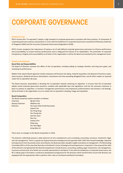#### **INTRODUCTION**

NTUC Income (the "Co-operative") adopts a high standard of corporate governance consistent with best practices. Its framework of corporate governance policies and practices is in line with the Guidelines on Corporate Governance issued by the Monetary Authority of Singapore (MAS) and the Insurance (Corporate Governance) Regulations (ICGR).

NTUC Income recognises the importance of having a set of well defined corporate governance processes to enhance performance and accountability, to sustain business performance and to safeguard the interest of its stakeholders. The promotion of corporate transparency, integrity and accountability at all levels of the organisation is led by the Board and assisted by the management team.

#### **BOARD GOVERNANCE**

#### **Board Role and Responsibilities**

The Board of Directors oversees the affairs of the Co-operative, including setting its strategic direction and long term goals, and reviewing its performance.

Matters that require Board approval include corporate and financial risk taking, material acquisition and disposal of business assets, share issuance, dividend and bonus declarations, investments and risks exceeding delegated limits, and all other matters as required under the Co-operative's By-Laws.

The Board exercises stewardship in directing the Co-operative towards achieving its objectives. It ensures that the Co-operative adopts sound corporate governance practices, complies with applicable laws and regulations, and has the necessary measures in place to achieve its objectives. It monitors management performance and emphasises professionalism and honesty in all dealings, and at all levels in the organisation so as to sustain the Co-operative's standing, image and reputation.

### **Board Composition**

|                  | The Board comprises twelve members as follows: |
|------------------|------------------------------------------------|
| Chairman         | Ng Kee Choe                                    |
| Deputy Chairman  | Matthias Yao                                   |
| <b>Directors</b> | Tan Suee Chieh (Chief Executive)               |
|                  | Gabriel Teo                                    |
|                  | Tan Peng Heng                                  |
|                  | Tan Cheng Han                                  |
|                  | Soh Kim Soon                                   |
|                  | Ron Foo                                        |
|                  | <b>Audrey Chin</b>                             |
|                  | <b>Philip Eng</b>                              |
|                  | Teo Yock Ngee                                  |
|                  | Gong Wee Lik                                   |
|                  |                                                |

There were no changes to the Board composition in 2010.

The directors collectively possess a wide spectrum of core competencies such as banking, accounting, insurance, investment, legal, and risk management. There is a good mix of general business background and specialist skills. With their broad knowledge, expertise and experience from the private sector and industry, the Board provides valuable insights and advice to management. The Nominating Committee (NC) is of the view that diversity on the Board in terms of background and experience is important. It has assessed the skills of the directors and agreed that the desired competencies include finance, accounting, auditing, legal, investments, risk management, insurance and actuarial, all of which are currently represented on the Board. In line with the Guidelines on Corporate Governance, the NC is taking steps to formalise a continuous development programme for the directors which would further ensure that directors are equipped with the appropriate skills to perform their roles on the Board and Board Committees.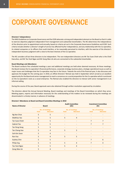### **Directors' Independence**

The MAS Guidelines on Corporate Governance and the ICGR advocate a strong and independent element on the Board so that it is able to exercise objective judgment independent from management and substantial shareholders. The NC determines the independence of the directors prior to appointment and annually, based on criteria set out in the Corporate Governance Guidelines and ICGR. Such criteria include whether a director's length of service has affected his/her independence, and any relationship with the Co-operative, its related companies or its officers that could interfere, or be reasonably perceived to interfere, with the exercise of the director's independent business judgment with a view to the best interests of the Co-operative.

The NC considers all but three directors to be independent. The non-independent directors are Mr Tan Suee Chieh who is the Chief Executive, and Mr Teo Yock Ngee and Mr Gong Wee Lik who are connected to the substantial shareholder.

### **Board Meetings and Attendance**

The Board conducts five scheduled meetings a year and additional meetings are held when deemed necessary. At these meetings, the Board reviews the Co-operative's financial performance, corporate strategy, business plans, strategic operational issues as well as major issues and challenges that the Co-operative may face in the future. Towards the end of the financial year, it also discusses and approves the budget for the coming year. In 2010, an offsite Directors' Retreat was held in September which served as an excellent opportunity for the Board and senior management to reach a consensus on a social proposition for the Co-operative which is anchored on the Co-operative's roots as a social enterprise. The Retreat also enabled the directors to interact with senior management in an informal setting.

During the course of the year, Board approvals were also obtained through written resolutions approved by circulation.

The directors attend the Annual General Meeting, Board meetings and meetings of the Board Committees on which they serve. Meeting papers, reports and information necessary for the understanding of the matters to be reviewed during the meetings are disseminated in a timely manner, in advance of meetings.

|                 | <b>Audit Committee</b><br><b>Board</b><br>(AC) |                          |                          | <b>Investment Committee</b><br>(IC) |                              |
|-----------------|------------------------------------------------|--------------------------|--------------------------|-------------------------------------|------------------------------|
| No. of meetings |                                                | No. of meetings          |                          | No. of meetings                     |                              |
|                 |                                                |                          |                          |                                     | <b>Attended</b>              |
| 5               | 5                                              |                          | $\overline{\phantom{a}}$ |                                     |                              |
| 5               | 5                                              | 5                        | $\overline{4}$           | $\overline{\phantom{a}}$            | $\qquad \qquad \blacksquare$ |
| 5               | 5                                              |                          | ٠                        | 7                                   | $\overline{7}$               |
| 5               | 5                                              | $\overline{\phantom{a}}$ | ٠                        | $\overline{7}$                      | $\overline{7}$               |
| 5               | 5                                              |                          |                          |                                     |                              |
| 5               | $\overline{4}$                                 | 5                        | 3                        | $\overline{\phantom{a}}$            |                              |
| 5               | $\overline{4}$                                 |                          |                          |                                     |                              |
| 5               | $\overline{4}$                                 | 5                        | 5                        | ٠                                   |                              |
| 5               | 5                                              |                          | $\overline{\phantom{0}}$ | 7                                   | 6                            |
| 5               | 5                                              | 5                        | $\overline{4}$           | 7                                   | $\overline{4}$               |
| 5               | 5                                              | 5                        | $\overline{4}$           |                                     |                              |
| 5               | $\overline{4}$                                 |                          | $\overline{\phantom{a}}$ | $\overline{\phantom{a}}$            |                              |
|                 | <b>Held</b>                                    | <b>Attended</b>          | <b>Held</b>              | <b>Attended</b>                     | <b>Held</b>                  |

#### **Directors' Attendance at Board and Board Committee Meetings in 2010**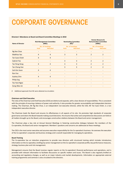### **Directors' Attendance at Board and Board Committee Meetings in 2010**

| <b>Name of Director</b> |                          | <b>Risk Management Committee</b><br>(RMC)<br>No. of meetings |                          | <b>Nominating Committee</b><br>$(NC)^{#}$<br>No. of meetings |                          | <b>Human Resource &amp;</b><br><b>Remuneration Committee</b><br>(HRRC) |  |
|-------------------------|--------------------------|--------------------------------------------------------------|--------------------------|--------------------------------------------------------------|--------------------------|------------------------------------------------------------------------|--|
|                         |                          |                                                              |                          |                                                              |                          | No. of meetings                                                        |  |
|                         | <b>Held</b>              | <b>Attended</b>                                              | <b>Held</b>              | <b>Attended</b>                                              | <b>Held</b>              | <b>Attended</b>                                                        |  |
| Ng Kee Choe             |                          | ٠                                                            |                          | $\overline{\phantom{a}}$                                     | ٠                        | ٠                                                                      |  |
| <b>Matthias Yao</b>     | 4                        | $\overline{4}$                                               | 3                        | 3                                                            | $\overline{2}$           | $\overline{2}$                                                         |  |
| Tan Suee Chieh          | 4                        | $\overline{4}$                                               |                          | $\overline{\phantom{a}}$                                     | $\overline{\phantom{a}}$ | ٠                                                                      |  |
| <b>Gabriel Teo</b>      |                          |                                                              | 3                        | $\overline{3}$                                               | $\overline{2}$           | $\overline{2}$                                                         |  |
| Tan Peng Heng           | 4                        | $\overline{4}$                                               | $\overline{3}$           | 3                                                            | $\overline{2}$           | $\overline{2}$                                                         |  |
| Tan Cheng Han           |                          | $\overline{\phantom{0}}$                                     | 3                        | $\overline{3}$                                               | $\overline{2}$           | $\overline{2}$                                                         |  |
| Soh Kim Soon            | 4                        | $\overline{4}$                                               |                          | $\overline{\phantom{a}}$                                     | $\overline{\phantom{a}}$ |                                                                        |  |
| Ron Foo                 |                          | $\overline{\phantom{a}}$                                     | $\overline{\phantom{a}}$ | $\overline{\phantom{a}}$                                     | ٠                        |                                                                        |  |
| <b>Audrey Chin</b>      | 4                        | 4                                                            |                          |                                                              | ٠                        |                                                                        |  |
| <b>Philip Eng</b>       | $\overline{\phantom{a}}$ | $\overline{\phantom{a}}$                                     | $\overline{\phantom{a}}$ | $\qquad \qquad \blacksquare$                                 | -                        |                                                                        |  |
| <b>Teo Yock Ngee</b>    |                          | $\overline{\phantom{a}}$                                     |                          | $\overline{\phantom{a}}$                                     | -                        |                                                                        |  |
| Gong Wee Lik            | 4                        | 3                                                            | ٠                        | $\qquad \qquad \blacksquare$                                 | -                        | -                                                                      |  |
|                         |                          |                                                              |                          |                                                              |                          |                                                                        |  |

Additional approvals from NC were obtained via circulation

#### **Chairman and Chief Executive**

The roles of the Chairman and Chief Executive (CEO) are distinct and separate, with a clear division of responsibilities. This is consistent with the principle of ensuring a balance of power and authority. It also provides for greater accountability and independent decision making. The Chairman, Mr Ng Kee Choe, is an independent non-executive director, while the CEO, Mr Tan Suee Chieh, is a non independent executive director.

The Chairman leads the Board and ensures its effectiveness in all aspects of its role. He promotes high standards of corporate governance and steers the Board towards making sound decisions. He ensures that active and comprehensive discussions are held on all matters brought up to the Board, and encourages constructive relations between the Board and senior management.

The Chairman plays a key role at Annual General Meetings in fostering constructive dialogue between the members of the Co-operative, the Board and senior management. Members' questions and concerns are addressed at these meetings.

The CEO is the most senior executive and assumes executive responsibility for the Co-operative's business. He oversees the execution of the Co-operative's corporate and business strategy and is overall responsible for managing its operations.

### **Board Training**

The Co-operative has an induction programme to provide new directors with structured training which includes introductory information on the Co-operative, briefings by senior management on the Co-operative's corporate profile, key performance measures, strategy, business plan and risk management.

Management ensures that the Board receives regular reports on the Co-operative's financial performance and operations, and is provided with relevant information to facilitate discussions on specific matters and issues. The Board is also regularly briefed on accounting and regulatory changes, as well as on major industry and market developments. Information on appropriate external training programmes and seminars is also circulated to the directors.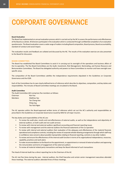### **Board Evaluation**

The Board has implemented an annual evaluation process which is carried out by the NC to assess the performance and effectiveness of the Board as a whole. All directors participate in the evaluation which is conducted through confidential completion of an evaluation questionnaire. The Board evaluation covers a wide range of matters including Board composition, Board process, Board accountability, standard of conduct and social impact.

The evaluation results and feedback are collated and discussed by the NC. The results of the evaluation exercise are also presented to the Board for discussion.

### **BOARD COMMITTEES**

The Board has established five Board Committees to assist it in carrying out its oversight of the operations and business affairs of the Co-operative. The five Board Committees are the Audit, Investment, Risk Management, Nominating, and Human Resource and Remuneration Committees. The Board has delegated authority and powers to these Committees to monitor and have oversight over specific areas.

The composition of the Board Committees satisfies the independence requirements stipulated in the Guidelines on Corporate Governance and the ICGR.

Each of the Committees has its own clearly defined terms of reference which describe its objectives, composition, and key duties and responsibilities. The minutes of Board Committee meetings are circulated to the Board.

#### **Audit Committee**

The Audit Committee (AC) comprises five members as follows:

Chairman Ron Foo Members Matthias Yao Tan Cheng Han Philip Eng Teo Yock Ngee

The AC operates within the Board-approved written terms of reference which set out the AC's authority and responsibilities as prescribed in the Guidelines on Corporate Governance issued by MAS for all major insurers.

The key duties and responsibilities of the AC are:

- To review the audit plan, results and cost-effectiveness of external audits, as well as the independence and objectivity of external auditors, on both audit and non-audit services
- To review with internal and external auditors significant accounting and financial reporting issues
- To review with management and the external auditors the financial statements of the Co-operative
- To review with internal and external auditors their evaluation of the adequacy and effectiveness of the material financial, operational and compliance controls, including the review of corporate whistle-blowing arrangements through which staff may in confidence raise concerns about possible improprieties relating to financial reporting, controls or any other matters
- To review and ensure the effectiveness of the internal audit function in terms of its organizational independence, resources, capability, practices and work plans
- To make recommendations to the Board on the appointment, re-appointment or removal of external auditors and approving the remuneration and terms of engagement of the external auditors
- To review all material related party transactions and keep the Board informed of such transactions

The Head of Internal Audit has a direct reporting line to the Chairman of the AC.

The AC met five times during the year**.** Internal auditors, the Chief Executive and certain senior management executives attended these meetings. The external auditors attended three of these meetings.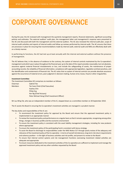During the year, the AC reviewed with management the quarterly management reports, financial statements, significant accounting policies and estimates. The external auditors' audit plan, the management letter and management's response were presented to the AC and discussed with both the management and the external auditors. The AC also reviewed the internal audit plan, scope of internal audit activities and reports of internal audits and follow up reviews performed by internal audit. The AC ensures that there are processes in place for ensuring that recommendations made by internal audit, external audit and MAS are effectively dealt with on a timely manner.

In performing its functions, the AC had met up at least annually with the internal and external auditors without the presence of management.

The AC believes that, in the absence of evidence to the contrary, the system of internal controls maintained by the Co-operative's management and which was in place throughout the financial year up to the date of this report provides reasonable, but not absolute, assurance against material financial misstatements or loss, and include the safeguarding of assets, the maintenance of proper accounting records, the reliability of financial information, compliance with appropriate legislation, regulation and best practices, and the identification and containment of financial risk. The AC notes that no system of internal controls can provide absolute assurance against the occurrence of material errors, poor judgment in decision-making, human error, losses, fraud or other irregularities.

### **Investment Committee**

The Investment Committee (IC) comprises six members as follows: Chairman Gabriel Teo

| <b>Members</b> | Tan Suee Chieh (Chief Executive)              |
|----------------|-----------------------------------------------|
|                | Audrey Chin                                   |
|                | <b>Philip Eng</b>                             |
|                | Ken Ng (Chief Actuary)                        |
|                | Peter Michael Heng (Chief Investment Officer) |

Mr Lau Wing Tat, who was an independent member of the IC, stepped down as a committee member on 30 September 2010.

The IC assists the Board in ensuring the Co-operative's investment activities are managed in a prudent manner.

The key duties and responsibilities of the IC are:

- To recommend the investment policy for approval by the Board and ensure that the approved investment policy is implemented in an appropriate manner
- To review the investment policy and performance on a regular basis so that it remains appropriate, recognising among other things, changes in business profile and the economic environment
- To ensure the investment policy is consistent with the asset liability management strategies, including for new products where appropriate
- To ensure the investment policy of the participating fund is consistent with bonus strategy
- To assist the Board to discharge its responsibilities under the MAS Notice 317 through yearly review of the adequacy and relevance of the investment policy of the Co-operative - in terms of overall risk tolerance, long-term risk-return requirements and solvency position – in the light of business activities and risk profile, and present its review to the Board
- To ensure that internal control systems and risk management functions overseeing investment related activities are adequate and appropriate
- To ensure resources dedicated to the investment activities of the Co-operative are sufficient to implement and manage the approved investment policy and any other activities requested by the Board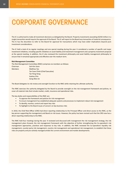The IC is authorised to make all investment decisions as delegated by the Board. Property investments exceeding S\$250 million in a single transaction would require the approval of the Board. The IC will report to the Board any transaction of material consequence. The IC has the discretion to refer to the Board for approval for transactions which may have wider implications beyond pure investment considerations.

The IC held a total of six regular meetings and one special meeting during the year. It considered a number of specific and major investment initiatives, including specific initiatives on asset-liability and investment management and a property investment proposal at the special meeting. In addition, the IC also reviewed the investment philosophy and asset liability management philosophy to ensure that it remained appropriate and effective over the medium term.

#### **Risk Management Committee**

The Risk Management Committee (RMC) comprises six members as follows:

| Chairman       | Soh Kim Soon                     |  |
|----------------|----------------------------------|--|
| <b>Members</b> | <b>Matthias Yao</b>              |  |
|                | Tan Suee Chieh (Chief Executive) |  |
|                | Tan Peng Heng                    |  |
|                | <b>Audrey Chin</b>               |  |
|                | Gong Wee Lik                     |  |
|                |                                  |  |

The Board delegates its risk review and oversight function to the RMC while retaining the ultimate authority.

The RMC exercises the authority delegated by the Board to provide oversight on the risk management framework and policies, to cover all material risks that include market, credit, insurance and operational risks.

The key duties and responsibilities of the RMC are:

- To approve the framework and policies for risk management
- To ensure management has established adequate systems and processes to implement robust risk management
- To identify, monitor, control and report key risks
- To highlight to the Board issues of concern on key business risks

In 2010, the Chief Risk Officer (CRO) had direct reporting relationship to the Principal Officer and direct access to the RMC, as the key person supporting the management and Board on risk issues. However, the policy has been revised such that the CRO now has a direct reporting relationship to the RMC.

The RMC held four meetings during the year. It reviewed and discussed with management the risk management strategy, the risk management plans forward, the risk management framework with the objective of further strengthening the Co-operative's risk management approaches, practices and responses to key risks. In addition, the RMC reviewed the Co-operative's liquidity risk management, counter-party risk management, country risk management and operational risk management, to establish that these risks are properly and pro-actively managed amidst the current environment and market developments.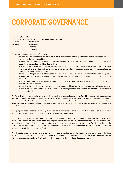### **Nominating Committee**

The Nominating Committee (NC) comprises four members as follows:

| Chairman       | <b>Matthias Yao</b>  |
|----------------|----------------------|
| <b>Members</b> | <b>Gabriel Teo</b>   |
|                | Tan Peng Heng        |
|                | <b>Tan Cheng Han</b> |

The key duties and responsibilities of the NC are:

- To make recommendations to the Board on all Board appointments and re-appointments including the appointment of members of the Board committees
- To determine the criteria to be applied in identifying suitable candidates, reviewing nominations and re-nominations for appointments to the Board and Board committees
- To ensure that each nominee is fit and proper and is the best and most qualified candidate nominated for the office, taking into account the candidate's contribution and performance, including his track record, age, experience, capabilities and other factors as may be deemed relevant
- To decide how the performance of the Board may be evaluated and propose performance criteria to the Board for approval
- To determine annually the independence of each director based on the definition and criteria set out in the provisions of the ICGR
- To ensure that all directors who continue in service submit themselves for re-nomination and re-election at regular intervals and at least every three years
- To decide whether a director who serves on multiple boards is able to and has been adequately discharging his or her duties, based on internal guidelines which address the competing time commitments that are faced when directors serve on multiple boards

The NC assists the Board to evaluate the suitability of candidates for appointment to the Board by ensuring that competent and qualified individuals capable of contributing to the success of the organisation are considered. It reviews and recommends all director appointments for the Board's endorsement. It also ensures that the composition of the Board comprises a diverse range of skills and expertise so that management can tap on the knowledge and experience of Board members. The NC also reviews the independence of each Board member on an annual basis.

In keeping with good corporate governance, all directors are subject to re-nomination and re-election once every three years. In addition, all new nominations to the Board require the prior approval of the MAS.

The NC is mindful that directors who serve on multiple boards may be faced with competing time commitment. Although the NC has not imposed a formal limit on the number of directorships which a director may hold, it requires each director to declare annually that he/she is able to devote sufficient time and attention to the Co-operative and to adequately discharge his/her duties as director. The NC has reviewed and is satisfied that directors who currently hold multiple board representations are able to devote adequate time and attention to discharge their duties effectively.

The NC met thrice during the year. It reviewed the Committee's terms of reference, the composition and membership of the Board and Board Committees, the criteria for the assessment of candidates for appointment to the Board and Board Committees and the skills and competencies needed on the Board. The NC also carried out the annual Board evaluation exercise.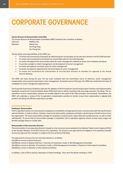### **Human Resource & Remuneration Committee**

The Human Resource & Remuneration Committee (HRRC) comprises four members as follows:

| Chairman | <b>Matthias Yao</b> |
|----------|---------------------|
| Members  | <b>Gabriel Teo</b>  |
|          | Tan Peng Heng       |
|          | Tan Cheng Han       |

The key duties and responsibilities of the HRRC are:

- To review and recommend a framework for determining the remuneration of non-executive directors and the Chief Executive
- To review and recommend to the Board the remuneration plan for the Chief Executive
- To review and approve the remuneration plans for senior management, defined as Senior Vice Presidents and above
- To provide oversight on talent management and development of senior management
- To review and approve succession plans for senior management
- To review and approve appointments and terminations to senior management
- To review and recommend the remuneration of non-executive directors to members for approval at the Annual General Meeting

The HRRC met twice during the year. The key areas reviewed were the Committee's terms of reference, senior management compensation and succession planning for senior management. During the course of the year, the HRRC also conducted interviews of candidates for senior management appointments.

The Corporate Governance Guidelines advocate the adoption of the Principles for Sound Compensation Practices and Implementation Standards issued by the Financial Stability Board (FSB) which aim to reduce incentives that encourage excessive risk taking. The Cooperative's current compensation practices are broadly aligned to the spirit of the FSB's principles and standards. Nonetheless, the HRRC will undertake a review of the Co-operative's compensation practices to further ensure that compensation is aligned with prudent risk taking and effective supervisory oversight.

### **REMUNERATION POLICY**

### **Employees' Remuneration**

The Co-operative's policy is to remunerate its employees at competitive and appropriate levels, commensurate with their performance and contribution. It seeks to attract, motivate, reward and retain quality employees and foster a performance-oriented culture across the organisation. The total compensation package for employees comprises basic salary, fixed and variable bonuses, as well as other staff benefits. To ensure that its remuneration package is competitive, the Co-operative regularly reviews its base salary ranges and benefits package based on market data.

### **Remuneration of Non-Executive Directors**

The remuneration of non-executive directors is based on a fee structure recommended by the National Trades Union Congress (NTUC) as the Founder Member of the NTUC Group of Co-operatives. The structure was approved by the Registrar of Co-operative Societies and annual approval from members is sought at the Annual General Meeting.

The approved fee structure for non-executive directors is as follows:

\$32,000 per annum to Board Chairman

\$28,000 per annum to Deputy Chairman / Chairman of Investment, Audit, or Risk Management Committee \$24,000 per annum to Member of Investment, Audit, or Risk Management Committee / Chairmen of other Board Committees \$20,000 per annum to Member of other Board Committees

In addition, a fee of \$50 is paid per attendance at Board meetings. There were five Board meetings in 2010.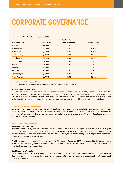### **Non-Executive Directors' Remuneration for 2010**

|                         |                       | Fee for attendance |                           |
|-------------------------|-----------------------|--------------------|---------------------------|
| <b>Name of Director</b> | <b>Directors' Fee</b> | at Board meetings  | <b>Total Remuneration</b> |
| Ng Kee Choe             | \$32,000              | \$250              | \$32,250                  |
| Matthias Yao            | \$28,000              | \$250              | \$28,250                  |
| <b>Gabriel Teo</b>      | \$28,000              | \$250              | \$28,250                  |
| Tan Peng Heng           | \$24,000              | \$250              | \$24,250                  |
| Tan Cheng Han           | \$24,000              | \$200              | \$24,200                  |
| Soh Kim Soon            | \$28,000              | \$200              | \$28,200                  |
| Ron Foo                 | \$28,000              | \$200              | \$28,200                  |
| <b>Audrey Chin</b>      | \$24,000              | \$250              | \$24,250                  |
| <b>Philip Eng</b>       | \$24,000              | \$250              | \$24,250                  |
| <b>Teo Yock Ngee</b>    | \$24,000              | \$250              | \$24,250                  |
| Gong Wee Lik            | \$24,000              | \$200              | \$24,200                  |

### **Immediate Family Member of Directors**

The Co-operative did not employ any immediate family member of a director in 2010.

### **Remuneration of Key Executives**

The Corporate Governance Guidelines recommend that the remuneration of at least the top five key executives be disclosed within bands of \$250,000. After careful consideration, the Board has decided not to disclose information on the remuneration of the top five key executives as the disadvantages to the Co-operative's business interests would far outweigh the benefits of such disclosure in view of the disparities in remuneration in the industry and the competitive pressures that are likely to result from such disclosure.

### **COMMUNICATION WITH MEMBERS**

Members of the Co-operative can access relevant information on the Co-operative at its website at www.income.com.sg. Members are also given the opportunity to participate actively at the Co-operative's Annual General Meetings where they can ask questions and communicate their views. The directors, senior management and external auditors are present at these meetings to address queries and concerns raised by members.

### **RISK MANAGEMENT STRATEGY**

### **Risk Management Overview**

Risk management is a key element of our corporate management. The role of risk management is to ensure risks are properly identified, assessed, controlled and mitigated, so as to safeguard our financial strength and business continuity and enable us to fulfill our obligations to our customers and stakeholders. We achieve these objectives through having a risk management framework that encompasses all key areas of our operations.

This Risk Management Strategy, as formulated by the Risk Management Committee (RMC) and approved by the Board, serves to ensure that the risk management framework, processes and controls are in place to identify, assess and manage material risks consistently across all business activities.

### **Risk Management Principles**

Risk is defined as events which have a range of probabilistic outcomes, some of which have a negative impact on the organization. Risk is a key part of our business and the objective of risk management is to ensure that these risks are properly identified, assessed, controlled or mitigated.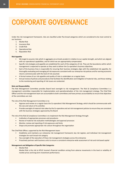Under the risk management framework, risks are classified under five broad categories which are considered to be most central to our business:

- 1. Market Risk
- 2. Insurance Risk
- 3. Credit Risk
- 4. Operational Risk
- 5. Reputation Risk

### **Risk Appetite**

- We target to assume risks which in aggregate are at levels prudent in relation to our capital strength, and which are aligned with our operational capabilities, and for which we are appropriately compensated.
- Specific risk strategies and appetite are established for each of the categories of risk. They set the boundaries within which management is expected to operate as they seek to deliver the Co-operative's business objectives.
- Each of the business lines is responsible for ensuring their business strategies align with the established risk appetite, for thoroughly evaluating and managing all risk exposures consistent with our enterprise risk policies and for earning economic returns commensurate with the level of risk assumed.
- A formal review of our risk appetite and quality of risks is undertaken on a regular basis.
- Annual review of policies and procedures that facilitate the identification and mitigation of material risks, and those relating to the monitoring and reporting of risk issues are conducted.

### **Role and Responsibility**

The Risk Management Committee provides Board level oversight to risk management. The Risk & Compliance Committee is a management committee responsible for implementation and operationalisation of the risk management strategy. The Chief Risk Officer and the risk management team are accountable to both committees and have primary accountability to ensure that objectives of the committees are met.

The role of the Risk Management Committee is to:

- Approve and review on a regular basis the Co-operative's Risk Management Strategy, which should be commensurate with the size and nature of its activities
- Provide oversight of material risks taken by the Co-operative and set risk management policies to ensure they are consistent with the business strategies approved by the Board

The role of the Risk & Compliance Committee is to implement the Risk Management Strategy through:

- Institution of appropriate processes and procedures
- Review of material risk evaluation methodologies and approval processes
- Monitor, review and reporting of risk exposures and limits
- Shape and promote appropriate risk culture throughout the organisation

The Chief Risk Officer, supported by the Risk Management team:

- Establishes and maintains our enterprise risk management framework, key risk register, and individual risk management strategies for each broad risk category
- Has oversight of the execution of these risk management strategies across the enterprise
- Proactively partners with business units to ensure a consistent enterprise-wide assessment of risk and risk based capital

### **Management and Mitigation of Specific Risk Categories**

- 1. Market Risk
	- Market Risk is the risk to NTUC Income's financial condition arising from adverse movements in the level or volatility of market prices and long term investment performance.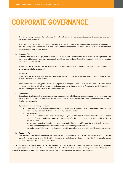This risk is managed through the confluence of investment and liability management strategies (including bonus strategy for participating business).

The Investment Committee approves policies governing asset and liability risk management. The Chief Actuary ensures that the liability considerations are fully incorporated into investment decisions. Asset liabilities studies are carried out on a regular basis to aid decision making.

2. Insurance Risk

Insurance risk refers to the payment of claim upon a contingent, uncontrollable event, in return for a premium. The assumption of insurance risk to earn an economic profit is our core business. This risk is managed through the combination of underwriting and pricing.

The Insurance Risk Policy sets out the types of risks that are acceptable to us, the limits of our retention and how new risks are to be evaluated and approved.

### 3. Credit Risk

Credit risk is the risk of default by borrowers and transactional counterparties as well as the loss of value of financial assets due to deterioration in credit quality.

The Counterparty Risk Policy puts in place a robust process of rating to be applied to credit exposure. Each credit is rated and assigned a limit which will be aggregated and monitored across different sources of counterparty risk. Absolute limits are set according to our evaluation of the credit worthiness.

### 4. Operational Risk

Operational Risk is the risk of loss resulting from inadequate or failed internal processes, people and systems or from external events. The key operational risks are disruption due to system failure or information security breaches, as well as legal or regulatory risks.

Operational Risks are managed through:

- Establishing and executing enterprise-wide risk management strategies for specific operational risks that could materially impact our ability to do business or impact our reputation
- Self Risk Assessment

Division heads are accountable for the day-to-day management of the operational risks inherent in their operations. They identify, assess, and design controls and action plans for the inherent operational risks to achieve effective internal controls

- Active engagement of the Compliance, Investment Middle Office and Legal functions in the review of new products and development of operational risk management tools and mitigation strategies
- Risk audits by the Risk Management function on specific areas of concern to identify possible gaps or weaknesses

### 5. Reputation Risk

Our business relies on our reputation and the trust our policyholders place in us for their financial security. We are committed to continue to earn this trust by reinforcing fair and ethical practices, supported by strong compliance and corporate governance structures and processes.

The risk management strategy ensures that risks are properly identified, assessed, controlled and mitigated. The strategy is tailored to our organisation and business structure to ensure that it is relevant and effective. From time to time, we will review the strategy to ensure that it remains so and it does provide the safeguards and assurances that our business is soundly run.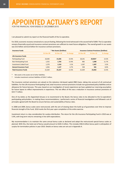I am pleased to submit my report on the financial health of the Co-operative.

For 2010, economic recovery remained on a secure footing, following the trend witnessed in the second half of 2009. The Co-operative remains financially sound and insurance contract provisions are sufficient to meet future obligations. The overall growth in our assets was \$3.0 billion and \$2.8 billion for insurance contract provisions.

| <b>Insurance Funds</b>        | * Net Assets (\$million) |           |          |           | Insurance Contract Provisions (\$million) |          |
|-------------------------------|--------------------------|-----------|----------|-----------|-------------------------------------------|----------|
|                               | 31-Dec-09                | 31-Dec-10 | % change | 31-Dec-09 | 31-Dec-10                                 | % change |
| Life Insurance Funds          |                          |           |          |           |                                           |          |
| <b>Participating Fund</b>     | 18,383                   | 21,026    | 14.4%    | 18,241    | 20,856^                                   | 14.3%    |
| Non-Participating Fund        | 1,555                    | 1.764     | 13.4%    | 983       | 1.098                                     | 11.7%    |
| Investment-Linked Fund        | 1,270                    | 1,310     | 3.1%     | 1.267     | 1,307                                     | 3.2%     |
| <b>General Insurance Fund</b> | 1.056                    | 1.127     | 6.7%     | 538       | 581                                       | 8.0%     |
| <b>Total Insurance Funds</b>  | 22,264                   | 25,227    | 13.3%    | 21,029    | 23.842                                    | 13.4%    |

Net assets is the assets net of other liabilities.

^ Includes investment contract liabilities of \$243.7 million.

The insurance contract provisions are valued on the statutory risk-based capital (RBC) basis, taking into account of all contractual liabilities. For the Life Insurance Participating Fund, total insurance contract provisions include non-guaranteed policy liabilities and an allowance for future bonuses. This year, based on our investigation of recent experience we have updated our reserving assumption for future lapses to reflect improvements in experience. The net effect of this was a reduction in insurance contract provisions of \$317.7 million.

One of my duties as the Appointed Actuary is to recommend to the Board, the bonus rates to be allocated to the Co-operative's participating policyholders. In making these recommendations, I performed a series of financial investigations and followed a set of principles agreed with the Board to ensure fairness and sustainability of bonus rates.

In 2008 and 2009, bonus scales were restructured, with the aim of slowing down the build up of guarantees over time to improve financial strength of the Fund. 2010 marks the first year upon completion of the entire exercise.

Investment return is a key consideration for surplus distribution. The return for the Life Insurance Participating Fund in 2010 was at 5.9%, with long term returns remaining in line with expectations.

My recommendation is to maintain the same annual bonus scale as declared and adopt the restructured special bonus scales as planned. With this, the total cost of bonus would amount to \$320.3 million. This includes \$58.8 million bonus paid in anticipation of surplus for termination policies in year 2010. Details on bonus rates are set out in Appendix A.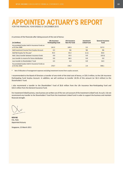A summary of the financials after taking account of the cost of bonus:

| (in \$million)                                                   | Life Insurance<br><b>Participating Fund</b> | Life Insurance<br><b>Non-Par Fund</b> | Investment<br><b>Linked Fund</b> | <b>General Insurance</b><br><b>Fund</b> |
|------------------------------------------------------------------|---------------------------------------------|---------------------------------------|----------------------------------|-----------------------------------------|
| Accumulated Surplus held in Insurance Funds as<br>at 31 Dec 2009 | 141.5                                       | 149.3                                 | 3.5                              | 517.5                                   |
| Add Investment Income from Surplus Account                       | 0.2                                         | <b>NA</b>                             | <b>NA</b>                        | <b>NA</b>                               |
| Add Net Surplus for the year <sup>^</sup>                        | 35.5                                        | 65.2                                  | (1.1)                            | 82.6                                    |
| Add / (less) transfer between insurance funds                    | 0.0                                         | 35.5                                  | 0.0                              | (35.5)                                  |
| Less transfer to reserve for future distribution                 | 0.0                                         | 66.5                                  | 0.0                              | 0.0                                     |
| Less transfer to Shareholders' Fund                              | 6.5                                         | 6.8                                   | 0.0                              | 16.5                                    |
| Accumulated Surplus held in Insurance Funds as<br>at 31 Dec 2010 | 170.7                                       | 176.7                                 | 2.4                              | 548.1                                   |

^ Net of Allocation of management expenses excluding investment income from surplus account.

I recommended to the Board of Directors a transfer of one-ninth of the total cost of bonus, or \$35.5 million, to the Life Insurance Participating Fund Surplus Account. In addition, we will continue to transfer 18.3% of this amount (or \$6.5 million) to the Shareholders' Fund.

I also recommend a transfer to the Shareholders' Fund of \$6.8 million from the Life Insurance Non-Participating Fund and \$16.5 million from the General Insurance Fund.

For investment linked business, new business are written out of the non unit account of the Investment Linked Fund. As such, I do not recommend any transfer to the Shareholders' Fund from the Investment Linked Fund in order to support the business and maintain financial strength.

**KEN NG** FIA, FSAS Appointed Actuary

Singapore, 22 March 2011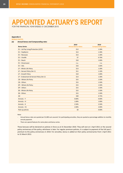### **Appendix A**

**Bonus Rates**

### *(a) Annual bonus and Compounding rates*

|                                         | 2010                      | 2010                     |
|-----------------------------------------|---------------------------|--------------------------|
| <b>Bonus Series</b>                     | <b>Annual Bonus Rates</b> | <b>Compounding Rates</b> |
| EV - Ltd Pay Living/Protection (LPLP)   | \$13                      | 1.30%                    |
| EV-PayMyUni                             | \$13                      | 1.30%                    |
| EV - Revosave                           | \$13                      | 1.30%                    |
| EV - Vivolife                           | \$7                       | 0.70%                    |
| $EV - Reach$                            | \$10                      | 1.00%                    |
| EV - Dreamsaver                         | n.a.                      | n.a.                     |
| $EV - SAiL$                             | \$16                      | 1.60%                    |
| LP - Whole Life Policy                  | \$13                      | 1.30%                    |
| LP - Harvest Policy (Ver 1)             | \$11                      | 1.10%                    |
| LP-Growth Policy                        | \$10                      | 1.00%                    |
| LP - Endowment & Harvest Policy (Ver 2) | \$13                      | 1.30%                    |
| CB - Whole Life Policy                  | \$15                      | 1.50%                    |
| $CB - Others$                           | \$15                      | 1.50%                    |
| DP - Whole Life Policy                  | \$15                      | 1.50%                    |
| DP-Others                               | \$15                      | 1.50%                    |
| SB - Whole Life Policy                  | \$15                      | 1.50%                    |
| $SB - Others$                           | \$15                      | 1.50%                    |
| <b>AD</b>                               | \$40                      | 4.75%                    |
| Annuity - Y                             | 0.00%                     | 0.00%                    |
| Annuity - H                             | 1.00%                     | 1.00%                    |
| Annuity $-K$                            | 2.50%                     | 2.50%                    |
| Annuity - K1                            | 2.00%                     | 2.00%                    |
| Paid-up policies                        | \$0                       | 0.00%                    |

Note:

- Annual bonus rates are quoted per \$1,000 sum assured. For participating annuities, they are quoted as percentage addition to monthly annuity payment.
- There are special features for some plans and bonus series.

These bonuses will be declared on policies in force as at 31 December 2010. They will vest on 1 April 2011 or the second policy anniversary of the policy, whichever is later. For regular premium policies, it is subject to payment of the full year's premium to the policy anniversary in 2010. For annuities, bonus is added on their policy anniversaries from 1 April 2011 to 31 March 2012.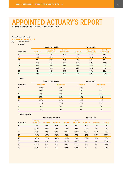### **Appendix A (continued)**

**Bonus Rates (continued)**

### *(b) Terminal Bonus*

### **LP Series**

|                    |                   | <b>For Deaths &amp; Maturities</b> |                               |                   | <b>For Surrenders</b>            |                               |  |  |
|--------------------|-------------------|------------------------------------|-------------------------------|-------------------|----------------------------------|-------------------------------|--|--|
| <b>Policy Year</b> | <b>Whole Life</b> | Endowment,<br>Harvest (v2)         | <b>Growth</b><br>Harvest (v1) | <b>Whole Life</b> | <b>Endowment</b><br>Harvest (v2) | <b>Growth</b><br>Harvest (v1) |  |  |
| 5                  | 125%              | 95%                                | 102%                          | 80%               | 56%                              | 62%                           |  |  |
| 10                 | 72%               | 58%                                | 61%                           | 59%               | 45%                              | 48%                           |  |  |
| 15                 | 57%               | 47%                                | 49%                           | 45%               | 36%                              | 37%                           |  |  |
| 20                 | 50%               | 42%                                | 43%                           | 50%               | 42%                              | 43%                           |  |  |
| 25                 | 46%               | 40%                                | 40%                           | 46%               | 40%                              | 40%                           |  |  |
| 30                 | 44%               | 38%                                | 38%                           | 44%               | 38%                              | 38%                           |  |  |
| 35                 | 42%               | 36%                                | 36%                           | 42%               | 36%                              | 36%                           |  |  |
| 40                 | 41%               | 35%                                | 35%                           | 41%               | 35%                              | 35%                           |  |  |
|                    |                   |                                    |                               |                   |                                  |                               |  |  |

### **CB Series**

|                    |                   | <b>For Deaths &amp; Maturities</b> | <b>For Surrenders</b> |                  |  |
|--------------------|-------------------|------------------------------------|-----------------------|------------------|--|
| <b>Policy Year</b> | <b>Whole Life</b> | <b>Endowment</b>                   | <b>Whole Life</b>     | <b>Endowment</b> |  |
| 5                  | 102%              | 89%                                | 62%                   | 52%              |  |
| 10                 | 56%               | 50%                                | 25%                   | 20%              |  |
| 15                 | 43%               | 39%                                | 31%                   | 28%              |  |
| 20                 | 37%               | 35%                                | 26%                   | 24%              |  |
| 25                 | 35%               | 32%                                | 35%                   | 32%              |  |
| 30                 | 33%               | 31%                                | 33%                   | 31%              |  |
| 35                 | <b>NA</b>         | <b>NA</b>                          | <b>NA</b>             | <b>NA</b>        |  |
| 40                 | <b>NA</b>         | <b>NA</b>                          | <b>NA</b>             | <b>NA</b>        |  |

### **EV Series – part 1**

|                    |                                     | <b>For Deaths &amp; Maturities</b> |                 |                 | <b>For Surrenders</b>               |           |                 |                 |
|--------------------|-------------------------------------|------------------------------------|-----------------|-----------------|-------------------------------------|-----------|-----------------|-----------------|
| <b>Policy Year</b> | <b>Ltd Pay</b><br><b>Whole Life</b> | PayMyUni                           | <b>Revosave</b> | <b>Vivolife</b> | <b>Ltd Pay</b><br><b>Whole Life</b> | PayMyUni  | <b>Revosave</b> | <b>Vivolife</b> |
| 5                  | 146%                                | 156%                               | 80%             | 0%              | 90%                                 | 95%       | 30%             | 0%              |
| 10                 | 155%                                | 165%                               | 125%            | 50%             | 99%                                 | 102%      | 70%             | 0%              |
| 15                 | 165%                                | 166%                               | 150%            | 100%            | 110%                                | 109%      | 105%            | 50%             |
| 20                 | 176%                                | 187%                               | 170%            | 150%            | 155%                                | 120%      | 145%            | 100%            |
| 25                 | 187%                                | 197%                               | 188%            | 185%            | 176%                                | 185%      | 175%            | 150%            |
| 30                 | 200%                                | <b>NA</b>                          | <b>NA</b>       | 185%            | 188%                                | <b>NA</b> | <b>NA</b>       | 185%            |
| 35                 | 213%                                | <b>NA</b>                          | <b>NA</b>       | 188%            | 200%                                | <b>NA</b> | <b>NA</b>       | 188%            |
| 40                 | 227%                                | <b>NA</b>                          | <b>NA</b>       | 195%            | 214%                                | <b>NA</b> | <b>NA</b>       | 195%            |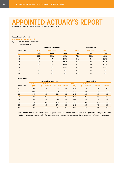### **Appendix A (continued)**

### **Bonus Rates (continued)**

### *(b) Terminal Bonus* (continued)

**EV Series – part 2**

|                    |              | <b>For Deaths &amp; Maturities</b> |             |              | <b>For Surrenders</b> |             |
|--------------------|--------------|------------------------------------|-------------|--------------|-----------------------|-------------|
| <b>Policy Year</b> | <b>Reach</b> | <b>Dreamsaver</b>                  | <b>SAIL</b> | <b>Reach</b> | <b>Dreamsaver</b>     | <b>SAIL</b> |
| 5                  | 50%          | 400%                               | 185%        | 25%          | 0%                    | 170%        |
| 10                 | 80%          | 950%                               | 195%        | 70%          | 900%                  | 180%        |
| 15                 | <b>NA</b>    | <b>NA</b>                          | 240%        | <b>NA</b>    | 0%                    | 220%        |
| 20                 | <b>NA</b>    | <b>NA</b>                          | 285%        | <b>NA</b>    | 0%                    | 266%        |
| 25                 | <b>NA</b>    | <b>NA</b>                          | 332%        | <b>NA</b>    | 0%                    | 316%        |
| 30                 | <b>NA</b>    | <b>NA</b>                          | 384%        | <b>NA</b>    | 0%                    | 374%        |
| 35                 | <b>NA</b>    | <b>NA</b>                          | <b>NA</b>   | <b>NA</b>    | 0%                    | <b>NA</b>   |
| 40                 | <b>NA</b>    | <b>NA</b>                          | <b>NA</b>   | <b>NA</b>    | 0%                    | <b>NA</b>   |

### **Other Series**

|                    |                          | <b>For Deaths &amp; Maturities</b> |                  |                  | <b>For Surrenders</b>    |                                 |                  |                  |
|--------------------|--------------------------|------------------------------------|------------------|------------------|--------------------------|---------------------------------|------------------|------------------|
| <b>Policy Year</b> | <b>SB Series</b><br>(WL) | <b>SB Series</b><br>(Endowment)    | <b>DP Series</b> | <b>AD Series</b> | <b>SB Series</b><br>(WL) | <b>SB Series</b><br>(Endowment) | <b>DP Series</b> | <b>AD Series</b> |
| 5                  | 59%                      | 52%                                | 0%               | 25%              | 27%                      | 22%                             | 0%               | <b>NA</b>        |
| 10                 | 40%                      | 37%                                | 0%               | 25%              | 12%                      | 9%                              | 0%               | 15%              |
| 15                 | 34%                      | 31%                                | 30%              | 25%              | 23%                      | 21%                             | 19%              | 15%              |
| 20                 | 31%                      | 29%                                | 28%              | 25%              | 21%                      | 19%                             | 18%              | 25%              |
| 25                 | 30%                      | 28%                                | 28%              | 25%              | 30%                      | 28%                             | 28%              | 25%              |
| 30                 | 29%                      | 28%                                | 28%              | 25%              | 29%                      | 28%                             | 28%              | 25%              |
| 35                 | 29%                      | 28%                                | 27%              | 25%              | 29%                      | 28%                             | 27%              | 25%              |
| 40                 | 28%                      | 27%                                | <b>NA</b>        | 25%              | 28%                      | 27%                             | <b>NA</b>        | 25%              |

Special bonus above is calculated as percentage of accumulated bonus, and applicable to the policies reaching the specified events above during year 2011. For Dreamsaver, special bonus rates are declared as a percentage of monthly premium.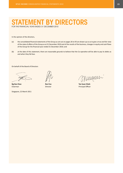### **TATEMENT BY DIRECTORS** For the financial year ended 31 December 2010

In the opinion of the directors,

- (a) the consolidated financial statements of the Group as set out on pages 26 to 93 are drawn up so as to give a true and fair view of the state of affairs of the Group as at 31 December 2010 and of the results of the business, changes in equity and cash flows of the Group for the financial year ended 31 December 2010; and
- (b) at the date of this statement, there are reasonable grounds to believe that the Co-operative will be able to pay its debts as and when they fall due.

On behalf of the Board of Directors

Singapore, 22 March 2011

minim

**Ng Kee Choe Ron Foo Tan Suee Chieh Chairman Director Director Director Principal Officer**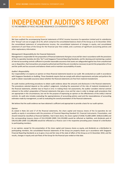### INDEPENDENT AUDITOR'S REPORT

TO THE MEMBERS OF NTUC INCOME INSURANCE CO-OPERATIVE LIMITED

### **Report on the Financial Statements**

We have audited the accompanying financial statements of NTUC Income Insurance Co-operative Limited and its subsidiaries (the "Group") set out on pages 26 to 93, which comprise the consolidated balance sheet of the Group as at 31 December 2010, the consolidated statement of comprehensive income, the consolidated statement of changes in equity, and consolidated statement of cash flows of the Group for the financial year then ended, and a summary of significant accounting policies and other explanatory information*.*

### *Management's Responsibility for the Financial Statements*

Management is responsible for the preparation of financial statements that give a true and fair view in accordance with the provisions of the Co-operative Societies Act (the "Act") and Singapore Financial Reporting Standards, and for devising and maintaining a system of internal accounting controls sufficient to provide reasonable assurance that assets are safeguarded against loss from unauthorised use or disposition, that transactions are properly authorised and that they are recorded as necessary to permit the preparation of true and fair profit and loss accounts and balance sheets and to maintain accountability of assets.

#### *Auditor's Responsibility*

Our responsibility is to express an opinion on these financial statements based on our audit. We conducted our audit in accordance with Singapore Standards on Auditing. Those Standards require that we comply with ethical requirements and plan and perform the audit to obtain reasonable assurance about whether the financial statements are free from material misstatement.

An audit involves performing procedures to obtain audit evidence about the amounts and disclosures in the financial statements. The procedures selected depend on the auditor's judgement, including the assessment of the risks of material misstatement of the financial statements, whether due to fraud or error. In making those risk assessments, the auditor considers internal controls relevant to the entity's preparation of financial statements that give a true and fair view in order to design audit procedures that are appropriate in the circumstances, but not for the purpose of expressing an opinion on the effectiveness of the entity's internal controls. An audit also includes evaluating the appropriateness of accounting policies used and the reasonableness of accounting estimates made by management, as well as evaluating the overall presentation of the financial statements.

We believe that the audit evidence we have obtained is sufficient and appropriate to provide a basis for our audit opinion.

#### *Opinion*

As stated in Note 2(r) and 17 of the financial statements, the share capital and treasury shares of the Co-operative do not qualify as equity in accordance with the provisions of Financial Reporting Standard 32, Financial Instruments: Presentation, and should instead be classified as financial liabilities. Had it been done, the share capital of \$438,713,000 (2009: \$438,613,000) and the corresponding treasury shares of \$14,159,000 (2009: \$14,159,000) would be reflected as liabilities, and dividends paid of \$38,432,000 (2009: \$12,898,000) would be reflected as a finance cost in the respective preceding years instead of a distribution to participating members.

In our opinion, except for the presentation of the share capital and treasury shares as equity, and dividends as a distribution to participating members, the consolidated financial statements of the Group are properly drawn up in accordance with Singapore Financial Reporting Standards so as to give a true and fair view of the state of affairs of the Group as at 31 December 2010, and the results, changes in equity and cash flows of the Group for the financial year ended on that date.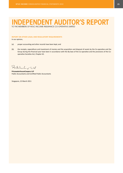### INDEPENDENT AUDITOR'S REPORT TO THE MEMBERS OF NTUC INCOME INSURANCE CO-OPERATIVE LIMITED

### **Report on Other Legal and Regulatory Requirements**

In our opinion,

- (a) proper accounting and other records have been kept; and
- (b) the receipts, expenditure and investment of monies and the acquisition and disposal of assets by the Co-operative and the Group during the financial year have been in accordance with the By-laws of the Co-operative and the provisions of the Cooperative Societies Act, Chapter 62.

Portchely UP

**PricewaterhouseCoopers LLP** Public Accountants and Certified Public Accountants

Singapore, 22 March 2011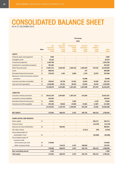### CONSOLIDATED BALANCE SHEET As at 31 December 2010

|                                         |                | <b>The Group</b>                    |                               |                              |                                 |                         |              |  |  |
|-----------------------------------------|----------------|-------------------------------------|-------------------------------|------------------------------|---------------------------------|-------------------------|--------------|--|--|
|                                         |                |                                     |                               | 2010                         |                                 |                         |              |  |  |
|                                         |                |                                     | <b>Life</b>                   |                              |                                 |                         |              |  |  |
|                                         |                | Life                                | <b>Insurance</b>              | <b>Investment</b>            | General                         | <b>Share</b>            |              |  |  |
|                                         | <b>Note</b>    | <b>Insurance</b><br><b>Par Fund</b> | <b>Non-Par</b><br><b>Fund</b> | <b>Linked</b><br><b>Fund</b> | <b>Insurance</b><br><b>Fund</b> | holders'<br><b>Fund</b> | <b>Total</b> |  |  |
|                                         |                | \$'000                              | \$'000                        | \$'000                       | \$'000                          | \$'000                  | \$'000       |  |  |
| <b>ASSETS</b>                           |                |                                     |                               |                              |                                 |                         |              |  |  |
| Property, plant and equipment           | 5              | 7,894                               |                               |                              |                                 |                         | 7,894        |  |  |
| Intangible assets                       | 6              | 26,222                              | $\blacksquare$                |                              |                                 |                         | 26,222       |  |  |
| Investment properties                   | $\overline{7}$ | 1,055,786                           |                               |                              |                                 | $\blacksquare$          | 1,055,786    |  |  |
| Investment in associated companies      | 9              | 301,665                             |                               |                              |                                 | $\blacksquare$          | 301,665      |  |  |
| Other financial assets                  | 10             | 17,891,731                          | 1,693,492                     | 1,284,318                    | 1,094,203                       | 379,105                 | 22,342,849   |  |  |
| Loans                                   | 11             | 868,932                             |                               |                              | 157                             |                         | 869,089      |  |  |
| Derivative financial instruments        | 12             | 276,254                             | 1,261                         | 6,869                        | 1,379                           | 12,075                  | 297,838      |  |  |
| Reinsurers' share of insurance contract |                |                                     |                               |                              |                                 |                         |              |  |  |
| provisions                              | 13             | $\blacksquare$                      |                               |                              | 33,488                          | $\blacksquare$          | 33,488       |  |  |
| Insurance and other receivables         | 14             | 100,612                             | 30,728                        | 31,691                       | 12,824                          | 25,658                  | 201,513      |  |  |
| Cash and cash equivalents               | 15             | 1,018,980                           | 87,321                        | 38,424                       | 65,629                          | 10,232                  | 1,220,586    |  |  |
|                                         |                | 21,548,076                          | 1,812,802                     | 1,361,302                    | 1,207,680                       | 427,070                 | 26,356,930   |  |  |
|                                         |                |                                     |                               |                              |                                 |                         |              |  |  |
| <b>LIABILITIES</b>                      |                |                                     |                               |                              |                                 |                         |              |  |  |
| Insurance contract provisions           | 13             | 20,612,165                          | 1,097,687                     | 1,307,145                    | 614,264                         | $\blacksquare$          | 23,631,261   |  |  |
| Investment contract liabilities         |                | 243,654                             |                               |                              |                                 |                         | 243,654      |  |  |
| Derivative financial instruments        | 12             | 64,821                              |                               | 3,904                        |                                 | 5,139                   | 73,864       |  |  |
| Insurance and other payables            | 16             | 455,383                             | 49,042                        | 47,896                       | 47,681                          | 17,807                  | 617,809      |  |  |
|                                         |                | 21,376,023                          | 1,146,729                     | 1,358,945                    | 661,945                         | 22,946                  | 24,566,588   |  |  |
|                                         |                |                                     |                               |                              |                                 |                         |              |  |  |
| <b>NET ASSETS</b>                       |                | 172,053                             | 666,073                       | 2,357                        | 545,735                         | 404,124                 | 1,790,342    |  |  |
|                                         |                |                                     |                               |                              |                                 |                         |              |  |  |
| <b>SHARE CAPITAL AND RESERVES</b>       |                |                                     |                               |                              |                                 |                         |              |  |  |
| Share capital                           | 17             | $\blacksquare$                      |                               |                              |                                 | 438,713                 | 438,713      |  |  |
| <b>Treasury shares</b>                  |                | $\blacksquare$                      |                               |                              |                                 | (14, 159)               | (14, 159)    |  |  |
| Reserves for future distribution        | 18             | $\blacksquare$                      | 489,401                       |                              |                                 |                         | 489,401      |  |  |
| Fair value reserve                      |                |                                     |                               |                              | (2, 311)                        | (50)                    | (2, 361)     |  |  |
| Accumulated deficit of                  |                |                                     |                               |                              |                                 |                         |              |  |  |
| shareholders' fund                      | 25             |                                     |                               |                              |                                 | (20, 380)               | (20, 380)    |  |  |
| Accumulated surplus of                  |                |                                     |                               |                              |                                 |                         |              |  |  |
| insurance funds                         |                |                                     |                               |                              |                                 |                         |              |  |  |
| - Life insurance par fund               | 24             | 170,660                             |                               |                              |                                 |                         | 170,660      |  |  |
| - Other insurance funds                 | 25             |                                     | 176,672                       | 2,357                        | 548,046                         |                         | 727,075      |  |  |
|                                         |                | 170,660                             | 666,073                       | 2,357                        | 545,735                         | 404,124                 | 1,788,949    |  |  |
| Non controlling interest                |                | 1,393                               | $\qquad \qquad \blacksquare$  | $\blacksquare$               | $\qquad \qquad \blacksquare$    |                         | 1,393        |  |  |
| <b>Total equity</b>                     |                | 172,053                             | 666,073                       | 2,357                        | 545,735                         | 404,124                 | 1,790,342    |  |  |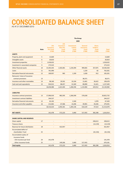### CONSOLIDATED BALANCE SHEET As at 31 December 2010

|                                        |                |                                     |                        | <b>The Group</b>             |                                 |                          |              |
|----------------------------------------|----------------|-------------------------------------|------------------------|------------------------------|---------------------------------|--------------------------|--------------|
|                                        |                |                                     |                        | 2009                         |                                 |                          |              |
|                                        |                |                                     | <b>Life</b>            |                              |                                 |                          |              |
|                                        |                | Life                                | <b>Insurance</b>       | <b>Investment</b>            | <b>General</b>                  | <b>Share</b>             |              |
|                                        | <b>Note</b>    | <b>Insurance</b><br><b>Par Fund</b> | Non-Par<br><b>Fund</b> | <b>Linked</b><br><b>Fund</b> | <b>Insurance</b><br><b>Fund</b> | holders'<br><b>Fund</b>  | <b>Total</b> |
|                                        |                | \$'000                              | \$′000                 | \$′000                       | \$'000                          | \$'000                   | \$'000       |
| <b>ASSETS</b>                          |                |                                     |                        |                              |                                 |                          |              |
| Property, plant and equipment          | 5              | 13,669                              |                        |                              |                                 |                          | 13,669       |
| Intangible assets                      | 6              | 20,810                              |                        |                              |                                 | $\overline{a}$           | 20,810       |
| Investment properties                  | $\overline{7}$ | 1,018,632                           |                        |                              |                                 | $\overline{\phantom{a}}$ | 1,018,632    |
| Investment in associated companies     | 9              | 273,523                             |                        |                              |                                 | $\overline{a}$           | 273,523      |
| Other financial assets                 | 10             | 15,445,435                          | 1,503,481              | 1,234,494                    | 999,065                         | 357,875                  | 19,540,350   |
| Loans                                  | 11             | 761,990                             |                        |                              | 1,229                           | 82                       | 763,301      |
| Derivative financial instruments       | 12             | 100,957                             | 965                    | 1,339                        | 1,028                           | 912                      | 105,201      |
| Reinsurers' share of insurance         |                |                                     |                        |                              |                                 |                          |              |
| contract provisions                    | 13             | $\overline{\phantom{a}}$            |                        |                              | 38,371                          | $\overline{\phantom{a}}$ | 38,371       |
| Insurance and other receivables        | 14             | 98,160                              | 29,501                 | 19,194                       | 13,401                          | 39,422                   | 199,678      |
| Cash and cash equivalents              | 15             | 924,912                             | 88,457                 | 31,569                       | 80,890                          | 31,621                   | 1,157,449    |
|                                        |                | 18,658,088                          | 1,622,404              | 1,286,596                    | 1,133,984                       | 429,912                  | 23,130,984   |
|                                        |                |                                     |                        |                              |                                 |                          |              |
| <b>LIABILITIES</b>                     |                |                                     |                        |                              |                                 |                          |              |
| Insurance contract provisions          | 13             | 17,996,919                          | 982,595                | 1,266,590                    | 576,628                         | $\overline{\phantom{a}}$ | 20,822,732   |
| <b>Investment contract liabilities</b> |                | 244,527                             |                        |                              |                                 |                          | 244,527      |
| Derivative financial instruments       | 12             | 63,102                              |                        | 2,340                        |                                 | 1,978                    | 67,420       |
| Insurance and other payables           | 16             | 212,062                             | 67,586                 | 14,206                       | 39,901                          | 45,636                   | 379,391      |
|                                        |                | 18,516,610                          | 1,050,181              | 1,283,136                    | 616,529                         | 47,614                   | 21,514,070   |
|                                        |                |                                     |                        |                              |                                 |                          |              |
| <b>NET ASSETS</b>                      |                | 141,478                             | 572,223                | 3,460                        | 517,455                         | 382,298                  | 1,616,914    |
|                                        |                |                                     |                        |                              |                                 |                          |              |
| <b>SHARE CAPITAL AND RESERVES</b>      |                |                                     |                        |                              |                                 |                          |              |
| Share capital                          | 17             |                                     |                        |                              |                                 | 438,613                  | 438,613      |
| Treasury shares                        |                | $\overline{\phantom{a}}$            |                        | $\qquad \qquad -$            |                                 | (14, 159)                | (14, 159)    |
| Reserves for future distribution       | 18             | $\qquad \qquad =$                   | 422,957                |                              |                                 |                          | 422,957      |
| Accumulated deficit of                 |                |                                     |                        |                              |                                 |                          |              |
| shareholders' fund                     | 25             |                                     |                        |                              |                                 | (42, 156)                | (42, 156)    |
| Accumulated surplus of                 |                |                                     |                        |                              |                                 |                          |              |
| insurance funds                        |                |                                     |                        |                              |                                 |                          |              |
| - Life insurance par fund              | 24             | 141,478                             |                        |                              |                                 |                          | 141,478      |
| - Other insurance funds                | 25             |                                     | 149,266                | 3,460                        | 517,455                         |                          | 670,181      |
| <b>Total equity</b>                    |                | 141,478                             | 572,223                | 3,460                        | 517,455                         | 382,298                  | 1,616,914    |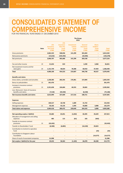## CONSOLIDATED STATEMENT OF COMPREHENSIVE INCOME

|                                                             |             | <b>The Group</b><br>2010  |                                                   |                             |                                    |                          |                        |  |  |
|-------------------------------------------------------------|-------------|---------------------------|---------------------------------------------------|-----------------------------|------------------------------------|--------------------------|------------------------|--|--|
|                                                             |             | Life<br><b>Insurance</b>  | <b>Life</b><br><b>Insurance</b><br><b>Non-Par</b> | Investment<br><b>Linked</b> | <b>General</b><br><b>Insurance</b> | <b>Share</b><br>holders' |                        |  |  |
|                                                             | <b>Note</b> | <b>Par Fund</b><br>\$'000 | <b>Fund</b><br>\$'000                             | <b>Fund</b><br>\$'000       | <b>Fund</b><br>\$'000              | <b>Fund</b><br>\$'000    | <b>Total</b><br>\$'000 |  |  |
| <b>Gross premiums</b>                                       |             | 2,862,323                 | 508,036                                           | 141,299                     | 301,844                            | $\blacksquare$           | 3,813,502              |  |  |
| Reinsurance premiums                                        |             | (15, 616)                 | (102, 356)                                        |                             | (18, 306)                          |                          | (136, 278)             |  |  |
| Net premiums                                                |             | 2,846,707                 | 405,680                                           | 141,299                     | 283,538                            |                          | 3,677,224              |  |  |
| Fee and other income                                        | 19          | 21,654                    | 819                                               |                             | 2,290                              | 2,068                    | 26,831                 |  |  |
| Net investment income and fair                              |             |                           |                                                   |                             |                                    |                          |                        |  |  |
| value gains                                                 | 20          | 1,131,739                 | 48,024                                            | 78,308                      | 60,910                             | 47,459                   | 1,366,440              |  |  |
| <b>Total</b>                                                |             | 4,000,100                 | 454,523                                           | 219,607                     | 346,738                            | 49,527                   | 5,070,495              |  |  |
| <b>Benefits and claims</b>                                  |             |                           |                                                   |                             |                                    |                          |                        |  |  |
| Gross claims, surrenders and annuities                      |             | 1,238,383                 | 282,355                                           | 176,961                     | 157,894                            | $\ddot{\phantom{a}}$     | 1,855,593              |  |  |
| Bonus to policyholders                                      | 13          | 261,476                   |                                                   |                             |                                    | $\blacksquare$           | 261,476                |  |  |
| Increase in insurance contract<br>provisions                | 13          | 2,321,658                 | 104,684                                           | 40,555                      | 39,065                             | $\overline{\phantom{a}}$ | 2,505,962              |  |  |
| Less: Reinsurers' share of insurance<br>benefits and claims |             | (7,518)                   | (59, 430)                                         |                             | (8, 238)                           |                          | (75, 186)              |  |  |
| Net insurance benefits and claims                           |             | 3,813,999                 | 327,609                                           | 217,516                     | 188,721                            |                          | 4,547,845              |  |  |
| <b>Expenses</b>                                             |             |                           |                                                   |                             |                                    |                          |                        |  |  |
| Selling expenses                                            |             | 100,317                   | 18,728                                            | 1,689                       | 31,722                             | $\blacksquare$           | 152,456                |  |  |
| Management expenses                                         | 21          | 50,102                    | 43,135                                            | 1,444                       | 43,800                             | 3,898                    | 142,379                |  |  |
| <b>Total claims and expenses</b>                            |             | 3,964,418                 | 389,472                                           | 220,649                     | 264,243                            | 3,898                    | 4,842,680              |  |  |
| Net operating surplus / (deficit)                           |             | 35,682                    | 65,051                                            | (1,042)                     | 82,495                             | 45,629                   | 227,815                |  |  |
| Allocation of management and selling<br>expenses            |             | 485                       | 115                                               | (61)                        | 103                                | (642)                    |                        |  |  |
| Transfer to insurance contract<br>provisions                | 13          | (32, 432)                 |                                                   |                             |                                    |                          | (32, 432)              |  |  |
| Transfer to Shareholders' Fund                              |             | (6,500)                   | (6,803)                                           |                             | (16, 520)                          | 29,823                   |                        |  |  |
| Contribution to Central Co-operative<br>Fund                |             |                           |                                                   |                             |                                    | (25)                     | (25)                   |  |  |
| Contribution to Singapore Labour<br>Foundation              |             |                           |                                                   |                             |                                    | (14, 577)                | (14, 577)              |  |  |
| Share of result of associated companies                     |             | 31,998                    |                                                   |                             |                                    |                          | 31,998                 |  |  |
| Net surplus / (deficit) for the year                        |             | 29,233                    | 58,363                                            | (1, 103)                    | 66,078                             | 60,208                   | 212,779                |  |  |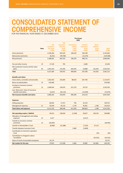## CONSOLIDATED STATEMENT OF COMPREHENSIVE INCOME

**The Group**

|                                                             |             | THE OLON<br>2009                                             |                                                                     |                                                      |                                                      |                                                   |                        |  |  |
|-------------------------------------------------------------|-------------|--------------------------------------------------------------|---------------------------------------------------------------------|------------------------------------------------------|------------------------------------------------------|---------------------------------------------------|------------------------|--|--|
|                                                             | <b>Note</b> | <b>Life</b><br><b>Insurance</b><br><b>Par Fund</b><br>\$′000 | Life<br><b>Insurance</b><br><b>Non-Par</b><br><b>Fund</b><br>\$'000 | Investment<br><b>Linked</b><br><b>Fund</b><br>\$'000 | General<br><b>Insurance</b><br><b>Fund</b><br>\$′000 | <b>Share</b><br>holders'<br><b>Fund</b><br>\$'000 | <b>Total</b><br>\$'000 |  |  |
| <b>Gross premiums</b>                                       |             | 2,196,304                                                    | 502,543                                                             | 106,559                                              | 330,198                                              | $\overline{\phantom{a}}$                          | 3,135,604              |  |  |
| Reinsurance premiums                                        |             | (8, 252)                                                     | (99, 780)                                                           |                                                      | (21, 476)                                            | ÷,                                                | (129, 508)             |  |  |
| Net premiums                                                |             | 2,188,052                                                    | 402,763                                                             | 106,559                                              | 308,722                                              | $\Box$                                            | 3,006,096              |  |  |
| Fee and other income                                        | 19          | 17,149                                                       | 765                                                                 |                                                      | 4,680                                                |                                                   | 22,594                 |  |  |
| Net investment income and fair value<br>gains               | 20          | 1,952,163                                                    | 131,444                                                             | 303,105                                              | 23,888                                               | 141,925                                           | 2,552,525              |  |  |
| <b>Total</b>                                                |             | 4,157,364                                                    | 534,972                                                             | 409,664                                              | 337,290                                              | 141,925                                           | 5,581,215              |  |  |
| <b>Benefits and claims</b>                                  |             |                                                              |                                                                     |                                                      |                                                      |                                                   |                        |  |  |
| Gross claims, surrenders and annuities                      |             | 1,563,343                                                    | 255,004                                                             | 88,020                                               | 207,706                                              | $\blacksquare$                                    | 2,114,073              |  |  |
| Bonus to policyholders                                      | 13          | 370,400                                                      |                                                                     |                                                      |                                                      | $\overline{a}$                                    | 370,400                |  |  |
| Increase in insurance contract<br>provisions                | 13          | 2,048,454                                                    | 136,074                                                             | 321,270                                              | 29,752                                               | $\blacksquare$                                    | 2,535,550              |  |  |
| Less: Reinsurers' share of insurance<br>benefits and claims |             | (2,015)                                                      | (56, 119)                                                           |                                                      | (13,939)                                             |                                                   | (72, 073)              |  |  |
| Net insurance benefits and claims                           |             | 3,980,182                                                    | 334,959                                                             | 409,290                                              | 223,519                                              |                                                   | 4,947,950              |  |  |
| <b>Expenses</b>                                             |             |                                                              |                                                                     |                                                      |                                                      |                                                   |                        |  |  |
| Selling expenses                                            |             | 80,402                                                       | 17,471                                                              | 736                                                  | 32,143                                               | $\Box$                                            | 130,752                |  |  |
| Management expenses                                         | 21          | 50,549                                                       | 44,116                                                              | 1,178                                                | 45,001                                               | 1,780                                             | 142,624                |  |  |
| <b>Total claims and expenses</b>                            |             | 4,111,133                                                    | 396,546                                                             | 411,204                                              | 300,663                                              | 1,780                                             | 5,221,326              |  |  |
| Net operating surplus / (deficit)                           |             | 46,231                                                       | 138,426                                                             | (1,540)                                              | 36,627                                               | 140,145                                           | 359,889                |  |  |
| Allocation of management and selling<br>expenses            | 13          | 4,317                                                        |                                                                     |                                                      | (4, 317)                                             |                                                   |                        |  |  |
| Transfer to insurance contract<br>provisions                | 13          | (20, 492)                                                    |                                                                     |                                                      |                                                      |                                                   | (20, 492)              |  |  |
| Transfer to Shareholders' Fund                              |             | (8,400)                                                      | (21, 388)                                                           |                                                      | (7, 325)                                             | 37,113                                            |                        |  |  |
| Transfer between Insurance Fund                             |             | $\overline{a}$                                               |                                                                     | 5,000                                                | (5,000)                                              |                                                   |                        |  |  |
| Contribution to Central Co-operative<br>Fund                |             | $\overline{\phantom{a}}$                                     | $\overline{a}$                                                      |                                                      |                                                      | (25)                                              | (25)                   |  |  |
| <b>Contribution to Singapore Labour</b><br>Foundation       |             | $\overline{\phantom{m}}$                                     |                                                                     |                                                      | $\overline{\phantom{a}}$                             | (35, 352)                                         | (35, 352)              |  |  |
| Share of result of associated companies                     |             | 16,175                                                       |                                                                     |                                                      |                                                      |                                                   | 16,175                 |  |  |
| Net surplus for the year                                    |             | 37,831                                                       | 117,038                                                             | 3,460                                                | 19,985                                               | 141,881                                           | 320,195                |  |  |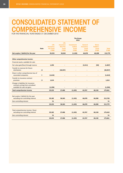### CONSOLIDATED STATEMENT OF COMPREHENSIVE INCOME

|                                                                                                          |             | <b>The Group</b><br>2010 |                          |                   |                  |              |              |  |
|----------------------------------------------------------------------------------------------------------|-------------|--------------------------|--------------------------|-------------------|------------------|--------------|--------------|--|
|                                                                                                          |             | <b>Life</b>              | Life<br><b>Insurance</b> | <b>Investment</b> | <b>General</b>   | <b>Share</b> |              |  |
|                                                                                                          |             | <b>Insurance</b>         | <b>Non-Par</b>           | <b>Linked</b>     | <b>Insurance</b> | holders'     |              |  |
|                                                                                                          | <b>Note</b> | <b>Par Fund</b>          | <b>Fund</b>              | <b>Fund</b>       | <b>Fund</b>      | <b>Fund</b>  | <b>Total</b> |  |
|                                                                                                          |             | \$'000                   | \$'000                   | \$'000            | \$'000           | \$'000       | \$'000       |  |
| Net surplus / (deficit) for the year                                                                     |             | 29,233                   | 58,363                   | (1, 103)          | 66,078           | 60,208       | 212,779      |  |
| Other comprehensive income:                                                                              |             |                          |                          |                   |                  |              |              |  |
| Financial assets, available-for-sale:                                                                    |             |                          |                          |                   |                  |              |              |  |
| Fair value gain/(loss) through reserve                                                                   |             | 1,294                    |                          |                   | (2, 311)         | (50)         | (1,067)      |  |
| Transfer to reserves for future<br>distribution                                                          | 18          |                          | (30, 957)                |                   |                  |              | (30, 957)    |  |
| Share in other comprehensive loss of<br>associated companies                                             | 9           | (1,614)                  |                          |                   |                  |              | (1,614)      |  |
| Transfer to insurance contract<br>provision                                                              | 13          | 1,614                    |                          |                   |                  |              | 1,614        |  |
| Change in liabilities for insurance<br>contracts arising from unrealised<br>available-for-sale net gains |             | (1, 294)                 |                          |                   |                  |              | (1, 294)     |  |
| <b>Total comprehensive income</b>                                                                        |             | 29,233                   | 27,406                   | (1, 103)          | 63,767           | 60,158       | 179,461      |  |
|                                                                                                          |             |                          |                          |                   |                  |              |              |  |
| Net surplus / (deficit) for the year<br>excluding non controlling interest                               |             | 29,182                   | 58,363                   | (1, 103)          | 66,078           | 60,208       | 212,728      |  |
| Non controlling interest                                                                                 |             | 51                       |                          |                   |                  |              | 51           |  |
|                                                                                                          |             | 29,233                   | 58,363                   | (1, 103)          | 66,078           | 60,208       | 212,779      |  |
|                                                                                                          |             |                          |                          |                   |                  |              |              |  |
| Total comprehensive income / (loss)<br>excluding non controlling interest                                |             | 29,182                   | 27,406                   | (1, 103)          | 63,767           | 60,158       | 179,410      |  |
| Non controlling interest                                                                                 |             | 51                       |                          |                   |                  |              | 51           |  |
|                                                                                                          |             | 29,233                   | 27,406                   | (1, 103)          | 63,767           | 60,158       | 179,461      |  |
|                                                                                                          |             |                          |                          |                   |                  |              |              |  |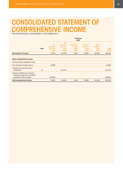### CONSOLIDATED STATEMENT OF COMPREHENSIVE INCOME For the financial year ended 31 December 2010

|                                                                          |             | <b>The Group</b><br>2009 |                              |                          |                          |                          |              |  |
|--------------------------------------------------------------------------|-------------|--------------------------|------------------------------|--------------------------|--------------------------|--------------------------|--------------|--|
|                                                                          |             |                          | Life                         |                          |                          |                          |              |  |
|                                                                          |             | <b>Life</b>              | <b>Insurance</b>             | <b>Investment</b>        | <b>General</b>           | <b>Share</b>             |              |  |
|                                                                          |             | Insurance                | Non-Par                      | <b>Linked</b>            | Insurance                | holders'                 |              |  |
|                                                                          | <b>Note</b> | <b>Par Fund</b>          | <b>Fund</b>                  | <b>Fund</b>              | <b>Fund</b>              | <b>Fund</b>              | <b>Total</b> |  |
|                                                                          |             | \$'000                   | \$'000                       | \$′000                   | \$′000                   | \$′000                   | \$′000       |  |
| Net surplus for the year                                                 |             | 37,831                   | 117,038                      | 3,460                    | 19,985                   | 141,881                  | 320,195      |  |
|                                                                          |             |                          |                              |                          |                          |                          |              |  |
| Other comprehensive income:                                              |             |                          |                              |                          |                          |                          |              |  |
| Financial assets, available-for-sale:                                    |             |                          |                              |                          |                          |                          |              |  |
| Fair value gain through reserve                                          |             | 42,885                   | $\overline{\phantom{a}}$     | $\overline{\phantom{a}}$ | $\overline{\phantom{a}}$ | $\blacksquare$           | 42,885       |  |
| Transfer to reserves for future                                          |             |                          |                              |                          |                          |                          |              |  |
| distribution                                                             | 18          | $\overline{\phantom{a}}$ | (31, 477)                    | $\overline{\phantom{a}}$ | $\overline{\phantom{a}}$ | ۰.                       | (31, 477)    |  |
| Change in liabilities for insurance<br>contracts arising from unrealised |             |                          |                              |                          |                          |                          |              |  |
| available-for-sale net gains                                             |             | (42, 885)                | $\qquad \qquad \blacksquare$ | $\overline{\phantom{m}}$ |                          | $\overline{\phantom{a}}$ | (42, 885)    |  |
| <b>Total comprehensive income</b>                                        |             | 37,831                   | 85,561                       | 3,460                    | 19,985                   | 141,881                  | 288,718      |  |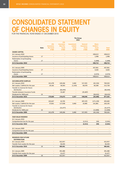## CONSOLIDATED STATEMENT OF CHANGES IN EQUITY

|                                                   |             | <b>The Group</b><br>2010 |                          |                          |                          |                          |              |  |
|---------------------------------------------------|-------------|--------------------------|--------------------------|--------------------------|--------------------------|--------------------------|--------------|--|
|                                                   |             | <b>Life</b>              | Life<br><b>Insurance</b> | <b>Investment</b>        | <b>General</b>           | <b>Share</b>             |              |  |
|                                                   |             | <b>Insurance</b>         | <b>Non-Par</b>           | <b>Linked</b>            | <b>Insurance</b>         | Holders'                 |              |  |
|                                                   | <b>Note</b> | <b>Par Fund</b>          | <b>Fund</b>              | <b>Fund</b>              | <b>Fund</b>              | <b>Fund</b>              | <b>Total</b> |  |
|                                                   |             | \$′000                   | \$′000                   | \$′000                   | \$'000                   | \$'000                   | \$000        |  |
| <b>SHARE CAPITAL</b>                              |             |                          |                          |                          |                          |                          |              |  |
| At 1 January 2010                                 |             | $\overline{a}$           |                          | $\overline{\phantom{a}}$ | $\overline{\phantom{a}}$ | 438,613                  | 438,613      |  |
| Issuance of participating shares                  | 17          | ÷,                       | $\blacksquare$           | $\overline{\phantom{a}}$ | $\overline{\phantom{a}}$ | 1,998                    | 1,998        |  |
| Redemption of participating                       |             |                          |                          |                          |                          |                          |              |  |
| shares                                            | 17          |                          |                          |                          |                          | (1,898)                  | (1,898)      |  |
| At 31 December 2010                               |             |                          |                          |                          |                          | 438,713                  | 438,713      |  |
|                                                   |             |                          |                          |                          |                          |                          |              |  |
| At 1 January 2009                                 |             | $\overline{\phantom{a}}$ | $\overline{\phantom{a}}$ | $\overline{\phantom{a}}$ | $\overline{\phantom{a}}$ | 437,961                  | 437,961      |  |
| Issuance of participating shares                  | 17          | $\overline{a}$           |                          | $\overline{a}$           | $\overline{a}$           | 3,626                    | 3,626        |  |
| Redemption of participating                       |             |                          |                          |                          |                          |                          |              |  |
| shares                                            | 17          |                          |                          |                          |                          | (2,974)                  | (2,974)      |  |
| At 31 December 2009                               |             | ÷,                       | $\overline{\phantom{a}}$ | $\overline{\phantom{a}}$ | $\sim$                   | 438,613                  | 438,613      |  |
| <b>ACCUMULATED SURPLUS</b>                        |             |                          |                          |                          |                          |                          |              |  |
| At 1 January 2010                                 |             | 141,478                  | 149,266                  | 3,460                    | 517,455                  | (42, 156)                | 769,503      |  |
| Net surplus / (deficit) for the year              |             | 29,182                   | 58,363                   | (1, 103)                 | 66,078                   | 60,208                   | 212,728      |  |
| Transfer to reserves for future                   |             |                          |                          |                          |                          |                          |              |  |
| distribution                                      |             |                          | (66, 444)                |                          |                          |                          | (66, 444)    |  |
| Transfer between Insurance Funds                  |             |                          | 35,487                   | $\overline{\phantom{a}}$ | (35, 487)                |                          |              |  |
| Dividends for 2009 paid                           | 23          | $\overline{\phantom{a}}$ |                          |                          |                          | (38, 432)                | (38, 432)    |  |
| At 31 December 2010                               |             | 170,660                  | 176,672                  | 2,357                    | 548,046                  | (20, 380)                | 877,355      |  |
|                                                   |             |                          |                          |                          |                          |                          |              |  |
| At 1 January 2009                                 |             | 103,647                  | 63,705                   |                          | 497,470                  | (171, 139)               | 493,683      |  |
| Net surplus / (deficit) for the year              |             | 37,831                   | 117,038                  | 3,460                    | 19,985                   | 141,881                  | 320,195      |  |
| Transfer to reserves for future                   |             |                          |                          |                          |                          |                          |              |  |
| distribution                                      |             |                          | (31, 477)                |                          |                          |                          | (31, 477)    |  |
| Dividends for 2008 paid                           | 23          |                          |                          |                          |                          | (12, 898)                | (12, 898)    |  |
| At 31 December 2009                               |             | 141,478                  | 149,266                  | 3,460                    | 517,455                  | (42, 156)                | 769,503      |  |
|                                                   |             |                          |                          |                          |                          |                          |              |  |
| <b>FAIR VALUE RESERVE</b>                         |             |                          |                          |                          |                          |                          |              |  |
| At 1 January 2010                                 |             | $\Box$                   | $\blacksquare$           | $\blacksquare$           | $\bar{\phantom{a}}$      | $\Box$                   |              |  |
| Comprehensive loss for the year                   |             | ÷,                       |                          | $\overline{a}$           | (2,311)                  | (50)                     | (2, 361)     |  |
| At 31 December 2010                               |             | L,                       | $\blacksquare$           | $\blacksquare$           | (2,311)                  | (50)                     | (2, 361)     |  |
|                                                   |             |                          |                          |                          |                          |                          |              |  |
| At 1 January 2009                                 |             | ÷,                       | $\overline{\phantom{a}}$ | $\overline{a}$           |                          | ÷,                       |              |  |
| Comprehensive loss for the year                   |             | $\qquad \qquad -$        |                          |                          |                          |                          |              |  |
| At 31 December 2009                               |             | $\overline{\phantom{a}}$ | $\overline{a}$           |                          | $\overline{\phantom{a}}$ | $\sim$                   |              |  |
|                                                   |             |                          |                          |                          |                          |                          |              |  |
| <b>RESERVES FOR FUTURE</b><br><b>DISTRIBUTION</b> |             |                          |                          |                          |                          |                          |              |  |
| At 1 January 2010                                 |             | $\overline{\phantom{a}}$ | 422,957                  | $\overline{\phantom{a}}$ | $\overline{\phantom{a}}$ | $\overline{a}$           | 422,957      |  |
| Transfer from surplus for the year                |             | $\overline{\phantom{a}}$ | 66,444                   | $\overline{\phantom{a}}$ | $\overline{\phantom{a}}$ | $\overline{\phantom{a}}$ | 66,444       |  |
| At 31 December 2010                               |             |                          |                          |                          |                          |                          |              |  |
|                                                   | 18          | $\blacksquare$           | 489,401                  | $\blacksquare$           | $\blacksquare$           | $\blacksquare$           | 489,401      |  |
| At 1 January 2009                                 |             | $\blacksquare$           | 391,480                  | $\overline{\phantom{a}}$ | $\blacksquare$           | $\blacksquare$           | 391,480      |  |
| Transfer from surplus for the year                |             | ÷,                       | 31,477                   | $\overline{\phantom{a}}$ | $\overline{\phantom{a}}$ |                          | 31,477       |  |
| At 31 December 2009                               | 18          |                          | 422,957                  |                          |                          |                          | 422,957      |  |
|                                                   |             |                          |                          |                          |                          |                          |              |  |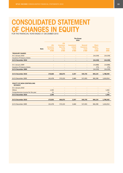### CONSOLIDATED STATEMENT OF CHANGES IN EQUITY For the financial year ended 31 December 2010

|                                                     |             | <b>The Group</b><br>2010 |                          |                          |                          |              |              |  |
|-----------------------------------------------------|-------------|--------------------------|--------------------------|--------------------------|--------------------------|--------------|--------------|--|
|                                                     |             |                          | Life                     |                          |                          |              |              |  |
|                                                     |             | Life                     | <b>Insurance</b>         | Investment               | <b>General</b>           | <b>Share</b> |              |  |
|                                                     |             | <b>Insurance</b>         | <b>Non-Par</b>           | <b>Linked</b>            | <b>Insurance</b>         | Holders'     |              |  |
|                                                     | <b>Note</b> | <b>Par Fund</b>          | <b>Fund</b>              | <b>Fund</b>              | <b>Fund</b>              | <b>Fund</b>  | <b>Total</b> |  |
|                                                     |             | \$'000                   | \$'000                   | \$'000                   | \$'000                   | \$'000       | \$000        |  |
| <b>TREASURY SHARES</b>                              |             |                          |                          |                          |                          |              |              |  |
| At 1 January 2010                                   |             | $\overline{a}$           |                          |                          |                          | (14, 159)    | (14, 159)    |  |
| Issuance of treasury shares                         |             |                          |                          |                          |                          |              |              |  |
| At 31 December 2010                                 |             |                          |                          |                          | $\blacksquare$           | (14, 159)    | (14, 159)    |  |
|                                                     |             |                          |                          |                          |                          |              |              |  |
| At 1 January 2009                                   |             |                          | ÷,                       |                          | $\overline{\phantom{a}}$ | (14,088)     | (14,088)     |  |
| Issuance of treasury shares                         |             | $\overline{\phantom{a}}$ | $\overline{\phantom{a}}$ | $\overline{\phantom{a}}$ | $\overline{\phantom{a}}$ | (71)         | (71)         |  |
| At 31 December 2009                                 |             |                          | ÷,                       | $\blacksquare$           | $\overline{\phantom{a}}$ | (14, 159)    | (14, 159)    |  |
|                                                     |             |                          |                          |                          |                          |              |              |  |
| At 31 December 2010                                 |             | 170,660                  | 666,073                  | 2,357                    | 545,735                  | 404,124      | 1,788,949    |  |
|                                                     |             |                          |                          |                          |                          |              |              |  |
| At 31 December 2009                                 |             | 141,478                  | 572,223                  | 3,460                    | 517,455                  | 382,298      | 1,616,914    |  |
|                                                     |             |                          |                          |                          |                          |              |              |  |
| <b>EQUITY OF NON-CONTROLLING</b><br><b>INTEREST</b> |             |                          |                          |                          |                          |              |              |  |
| At 1 January 2010                                   |             |                          | $\overline{\phantom{a}}$ |                          |                          |              |              |  |
| Others                                              |             | 1,342                    |                          |                          |                          |              | 1,342        |  |
| Comprehensive income for the year                   |             | 51                       |                          |                          |                          |              | 51           |  |
| At 31 December 2010                                 |             | 1,393                    |                          |                          |                          |              | 1,393        |  |
|                                                     |             |                          |                          |                          |                          |              |              |  |
| At 31 December 2010                                 |             | 172,053                  | 666,073                  | 2,357                    | 545,735                  | 404,124      | 1,790,342    |  |
|                                                     |             |                          |                          |                          |                          |              |              |  |
| At 31 December 2009                                 |             | 141,478                  | 572,223                  | 3,460                    | 517,455                  | 382,298      | 1,616,914    |  |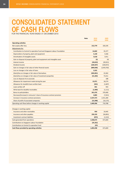### CONSOLIDATED STATEMENT OF CASH FLOWS

|                                                                           | <b>Note</b> | 2010       | 2009        |
|---------------------------------------------------------------------------|-------------|------------|-------------|
|                                                                           |             | \$000      | \$000       |
| <b>Operating activities</b>                                               |             |            |             |
| Net surplus after levy                                                    |             | 212,779    | 320,195     |
| Adjustments for:                                                          |             |            |             |
| Contribution to Central Co-operative Fund and Singapore Labour Foundation |             | 14,602     | 35,377      |
| Depreciation of property, plant and equipment                             |             | 5,140      | 5,566       |
| Amortisation of intangible assets                                         |             | 5,618      | 3,911       |
| Gain on disposal of property, plant and equipment and intangible asset    |             | (5)        | (4)         |
| Interest income                                                           |             | (39, 819)  | (39, 921)   |
| Dividend income                                                           |             | (184, 507) | (169, 872)  |
| Gain on changes in fair value of other financial assets                   |             | (809, 696) | (2,455,702) |
| Loss on changes in fair value of loans                                    |             | 3,322      |             |
| (Gain)/loss on changes in fair value of derivatives                       |             | (302, 891) | 23,362      |
| (Gain)/loss on changes in fair value of investment properties             |             | (31, 283)  | 73,411      |
| Loss on disposal of an associate                                          |             |            | 188         |
| Allowance for impairment made during the year                             |             | 15,971     | 18,274      |
| Allowance for doubtful loans written back                                 |             | (501)      | (1,687)     |
| Loans written off                                                         |             | 841        | 943         |
| Write-back for doubtful receivables                                       |             | (1,909)    | (1, 111)    |
| <b>Bonus to policyholders</b>                                             |             | 261,476    | 370,400     |
| Decrease/(increase) in reinsurers' share of insurance contract provision  |             | 4,883      | (7,651)     |
| Increase in insurance contract provisions                                 |             | 2,547,373  | 2,551,284   |
| Share of profit of associated companies                                   |             | (31,998)   | (16, 175)   |
| Operating cash flows before changes in working capital                    |             | 1,669,396  | 710,788     |
| Changes in working capital:                                               |             |            |             |

| Insurance and other receivables                     | 959       | 19,445                   |
|-----------------------------------------------------|-----------|--------------------------|
| Insurance and other payables                        | 259.193   | (56, 891)                |
| Investment contract liabilities                     | (873)     | (1,522)                  |
| Cash generated from operations                      | 1,928,675 | 671,820                  |
| <b>Contributions to Singapore Labour Foundation</b> | (35, 352) |                          |
| <b>Contributions to Central Co-operative Fund</b>   | (25)      | $\overline{\phantom{0}}$ |
| Cash flows provided by operating activities         | 1,893,298 | 671,820                  |
|                                                     |           |                          |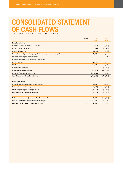# CONSOLIDATED STATEMENT OF CASH FLOWS

For the financial year ended 31 December 2010

|                                                                               | <b>Note</b> | 2010        | 2009       |
|-------------------------------------------------------------------------------|-------------|-------------|------------|
|                                                                               |             | \$000       | \$000      |
| <b>Investing activities</b>                                                   |             |             |            |
| Purchase of property, plant and equipment                                     |             | (4,013)     | (3,766)    |
| Purchase of intangible assets                                                 |             | (12, 100)   | (12, 962)  |
| Increase in properties                                                        |             | (5, 871)    | (3, 498)   |
| Proceeds from disposal of property, plant and equipment and intangible assets |             | 5,723       | 2,514      |
| Proceeds from disposal of an associate                                        |             |             | 50         |
| Proceeds from disposal of investment properties                               |             |             | 3,377      |
| Interest received                                                             |             | 38,975      | 39,957     |
| Dividends received                                                            |             | 184,466     | 168,559    |
| Investment in associate                                                       |             |             | (32, 242)  |
| Increase in investments (net)                                                 |             | (1,891,801) | (984, 454) |
| (Increase)/decrease in loans (net)                                            |             | (107, 208)  | 31,726     |
| Cash flows used in investing activities                                       |             | (1,791,829) | (790, 739) |
| <b>Financing activities</b>                                                   |             |             |            |
| Proceeds from issuance of participating shares                                |             | 1,998       | 3,555      |
| Redemption of participating shares                                            |             | (1,898)     | (2,974)    |
| Dividends paid to participating members                                       |             | (38, 432)   | (12,898)   |
| Cash flows used in financing activities                                       |             | (38, 332)   | (12, 317)  |
|                                                                               |             |             |            |
| Net increase/(decrease) in cash and cash equivalents                          |             | 63,137      | (131, 236) |
| Cash and cash equivalents at beginning of the year                            |             | 1,157,449   | 1,288,685  |
| Cash and cash equivalents at end of the year                                  | 15          | 1,220,586   | 1,157,449  |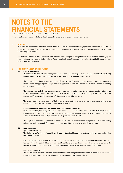For the financial year ended 31 December 2010

These notes form an integral part of and should be read in conjunction with the financial statements.

#### **1. General**

NTUC Income Insurance Co-operative Limited (the "Co-operative") is domiciled in Singapore and constituted under the Cooperative Societies Act (Chapter 62). The address of the Co-operative's registered office is 75 Bras Basah Road, NTUC Income Centre, Singapore 189557.

The principal activities of the Co-operative consist of the underwriting of life and general insurance business, and carrying out investment activities incidental to its business. The principal activities of its subsidiaries are investment holding and operator of retail and referral services.

#### **2. Significant accounting policies**

#### **(a) Basis of preparation**

These financial statements have been prepared in accordance with Singapore Financial Reporting Standards ("FRS"), under the historical cost convention, except as disclosed in the accounting policies below.

The preparation of financial statements in conformity with FRS requires management to exercise its judgement in the process of applying the Group's accounting policies. It also requires the use of certain critical accounting estimates and assumptions.

The estimates and underlying assumptions are reviewed on an ongoing basis. Revisions to accounting estimates are recognised in the year in which the estimate is revised, if the revision affects only that year, or in the year of the revision and future years, if the revision affects both current and future years.

The areas involving a higher degree of judgement or complexity, or areas where assumptions and estimates are significant to the financial statements, are disclosed in Note 3.

#### *Interpretations and amendments to published standards effective in 2010*

On 1 January 2010, the Group adopted the new or amended FRS and interpretation to FRS ("INT FRS") that are mandatory for application from that date. Changes to the Group's accounting policies have been made as required, in accordance with the transitional provisions in the respective FRS and INT FRS.

The adoption of these new or amended FRS and INT FRS did not result in substantial changes to the Group's accounting policies and had no material effect on the amounts reported for the current or prior financial years.

# **(b) Fund accounting**

#### *Life Insurance Par Fund*

The Life Insurance Par Fund contains all the individual participating life insurance contracts and certain non-participating life insurance contracts.

Participating life insurance contracts are contracts that contain a discretionary participating feature ("DPF"). This feature entitles the policyholders to receive additional benefits in the form of annual and terminal bonuses. The amount or timing of the bonus declaration is not guaranteed, and is at the sole discretion of the Group.

#### *Life Insurance Non-Par Fund*

The Life Insurance Non-Par Fund contains the health insurance and group term insurance businesses. It also includes the IncomeShield plans, ElderShield Scheme and the Dependants' Protection Scheme.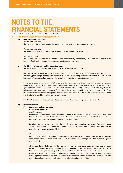# **2. Significant accounting policies (continued)**

# **(b) Fund accounting (continued)**

#### *Investment Linked Fund*

The Investment Linked Fund contains the business of all investment-linked insurance contracts.

#### *General Insurance Fund*

The General Insurance Fund contains the business of all the general insurance contracts.

#### *Shareholders' Fund*

The Shareholders' Fund contains the capital contributions made by shareholders, net of transfers to and from the insurance funds and net assets relating to other non-insurance businesses.

#### **(c) Classification of insurance and investment contracts**

The Group issues contracts that transfer insurance risk or financial risk, or both.

Financial risk is the risk of a possible change in one or more of the following: a specified interest rate, security price, commodity price, foreign exchange rate, index of prices or rates, credit rating or credit index or other variable, provided in the case of non-financial variable, that the variable is not specific to a party to the contract.

Insurance contracts are those contracts that transfer significant insurance risk. An insurance contract is a contract under which one party (the insurer) accepts significant insurance risk from another party (the policyholder) by agreeing to compensate the policyholder if a specified uncertain future event (the insured event) adversely affects the policyholder. Such contracts may also transfer financial risks. As a general guideline, the Group defines as significant insurance risk the possibility of having to pay benefits on the occurrence of an insured event that are at least 5% more than the benefits payable if the insured event did not occur.

Investment contracts are those contracts that transfer financial risk without significant insurance risk.

#### **(d) Insurance contracts**

# **(i) Recognition and measurement**

# **Life Insurance Contracts**

# *Premium revenue*

Premiums from life insurance in-force insurance contracts, including annuities, are recognised as revenue on the due date. Premiums not received on due date are included as revenue. The outstanding premiums are included in "Insurance and other receivables" in the balance sheet.

Premiums received in advance before the due dates are not recognised as revenue. They are recorded as advance premiums and included in "Insurance and other payables" in the balance sheet until they are recognised as revenue when they fall due.

#### *Claims*

Claims include maturities, annuities, surrenders and death claims. Maturity and annuity claims are recognised as an expense when due for payment. Surrender claims are recognised when paid. Death claims are recognised when notified.

All expense charges deducted from the investment linked life insurance contracts are recognised as income by the Life Insurance Par Fund for products introduced prior to 2009. For products introduced from 2009, these expense charges are recognised as income by the Investment Linked Fund. If the insurance benefit arising from a death claim exceeds the surrender value of an investment linked policy, the additional benefit exceeding the surrender value is paid out of the Life Insurance Par Fund for products introduced prior to 2009 and paid out of the Investment Linked Fund for products introduced from 2009.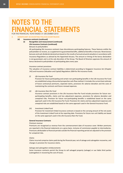For the financial year ended 31 December 2010

### **2. Significant accounting policies (continued)**

### **(d) Insurance contracts (continued)**

#### **(i) Recognition and measurement (continued) Life Insurance Contracts (continued)**

*Bonuses to policyholders*

All participating life insurance contracts have discretionary participating features. These features entitle the policyholders to receive, as a supplement to guaranteed benefits, additional benefits or bonuses. Reversionary bonuses and cash dividends declared are based on the results of annual actuarial valuations in accordance with Insurance Regulations as advised by the Appointed Actuary. The amount or timing of the bonus declaration is not guaranteed, and is at the sole discretion of the Group. The Board of Directors approves the amount of bonus declared to policyholders of participating plans every year.

#### *Insurance contract provisions*

The valuation of insurance contract liabilities is determined according to Singapore Insurance Act (Chapter 142) and Insurance (Valuation and Capital) Regulations 2004 for life insurance funds.

#### *(i) Life Insurance Par Fund*

Provision for future participating and certain non-participating benefits in the Life Insurance Par Fund are established using a discounted prospective cash-flow method. It includes the current best estimate of future contractual premiums, expected claims, provisions for adverse deviation and the costs of maintaining the contracts and future renewal expenses.

### *(ii) Life Insurance Non-Par Fund*

Insurance contract provisions in the Life Insurance Non-Par Fund include provisions for future nonparticipating benefits, claims and loss adjustment expenses, provisions for adverse deviation and unexpired risks. Provision for future non-participating benefits is established based on the same approach used in the Life Insurance Par Fund. Provisions for claims and loss adjustment expenses and unexpired risks are established based on the same approach used in the General Insurance Fund.

#### *(iii) Investment Linked Fund*

Provision for investment linked insurance contracts is based on the carrying amount of the net assets of the Investment Linked Fund at the reporting date. Provisions for future non unit liability are based on the same approach used in the Life Insurance Non-Par Fund.

# **General Insurance Contracts**

#### *Premium revenue*

Premiums are recognised as revenue from the commencement date of insurance cover. Written premiums are reported in the financial statements on a gross basis, inclusive of commission payable to intermediaries. Premiums attributable to financial periods outside the financial reporting period are adjusted to the provision for unexpired risks.

#### *Claims*

Claims incurred comprise claims paid during the financial year, net of salvage and subrogation recoveries, and changes in provision for insurance claims.

#### *Salvage and subrogation reimbursements*

Some insurance contracts permit the Group to sell salvaged property (salvage) or sue liable third parties (subrogation) in recovering the cost of losses.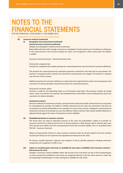For the financial year ended 31 December 2010

# **2. Significant accounting policies (continued)**

### **(d) Insurance contracts (continued)**

# **(i) Recognition and measurement (continued)**

#### **General Insurance Contracts (continued)**

*Salvage and subrogation reimbursements* (continued)

Reasonable estimates of the salvage recoveries or subrogation reimbursements are included as an allowance in the measurement of the insurance liability for claims, and recognised in other assets when the liability is settled.

#### *Insurance contract provisions – General Insurance Fund*

#### *Provision for unexpired risks*

Provision for unexpired risks includes provision for unearned premiums and a provision for premium deficiency.

The provision for unearned premiums represents premiums received for risks that have not yet expired. The provision is recognised when contracts are entered into and premiums are charged. The provision is released over the term of the contract.

Additional provision for premium deficiency is made where the expected future claim costs and expenses and a provision for adverse deviation exceed the provision for unearned premiums.

#### *Provision for insurance claims*

Provision is made for all outstanding claims as at the balance sheet date. This provision includes all unpaid claims, claims incurred but not reported, the anticipated direct and indirect costs of settling these claims and a provision for adverse deviation.

#### **Investment Contracts**

Amounts collected on investment contracts, which primarily involve the transfer of financial risk are accounted for using deposit accounting. The liability is initially measured at its fair value less transaction costs that are incremental and directly attributable to the acquisition or issue of the contract. Subsequent measurement of investment contracts at amortised cost uses the effective interest method. Claim and/or benefit settlement is adjusted directly against the value of investment contract liabilities.

# **(ii) Embedded derivatives in insurance contracts**

The Group does not need to separately measure at fair value the policyholder's option to surrender an insurance contract for a fixed amount (or for an amount based on a fixed amount and an interest rate), even if the exercise price differs from the carrying amount of the host insurance liability. This is in accordance with FRS 104 – Insurance Contracts.

Options and guarantees inherent in some insurance contracts which are closely related to the host contract issued by the Group are not required to be separated and measured at fair value.

All revenue, benefit payments, expenses and valuation of future benefits payments including investment components are recognised in profit or loss.

### **(iii) Impact on unrealised gains and losses on available-for-sale assets on liabilities from insurance contracts – Life Insurance Par Fund**

Changes in insurance contract liabilities within Life Insurance Par Fund which are due to the unrealised gains or losses arising from available-for-sale assets are recognised directly in the fair value reserve to match the corresponding unrealised gains or losses arising from available-for-sale assets.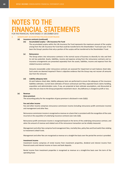For the financial year ended 31 December 2010

### **2. Significant accounting policies (continued)**

### **(d) Insurance contracts (continued)**

# **(iv) Accumulated surplus – Life Insurance Par Fund**

The accumulated surplus within the Life Insurance Par Fund represents the maximum amount of the surplus arising from the Life Insurance Par Fund that could be transferred to the Shareholders' Fund each year. It has been the Group's practice that only a portion of the surplus will be transferred to the Shareholders' Fund.

#### **(v) Reinsurance**

The Group enters into reinsurance contracts in the normal course of business to diversify its risks and limit its net loss potential. Assets, liabilities, income and expense arising from the reinsurance contracts and coinsurance arrangements are presented separately from the assets, liabilities, income and expense from the related insurance contracts.

Amounts recoverable under reinsurance contracts are assessed for impairment at each balance sheet date. Such assets are deemed impaired if there is objective evidence that the Group may not recover all amounts due from the reinsurer.

#### **(vi) Liability adequacy tests**

At each balance sheet date, liability adequacy tests are performed to ensure the adequacy of the insurance liabilities estimates. Current best estimates of future contractual cash flow, expected future claims handling, acquisition and administration costs, if any, are projected at best estimate assumptions, and discounted at rates that are close to the Group prospective investment return. Any deficiency is charged to profit or loss.

#### **(e) Revenue**

### **Gross premium**

The accounting policy for the recognition of gross premium is disclosed in note  $2(d)(i)$ .

#### **Fee and other income**

Fee and other income comprises reinsurance commission income (including reinsurance profit commission income) and management and other fees.

Reinsurance commission income is recognised as revenue on a basis that is consistent with the recognition of the costs incurred on the acquisition of underlying insurance contracts (see note 2(d)).

Reinsurance profit commission income is recognised based on the terms of the underlying reinsurance contract, and when the amount of revenue and related cost of the reinsurance transaction can be reliably measured.

Management and other fees comprise fund management fees, mortality fees, policy fees and fund switch fees relating to Investment Linked Funds.

Management and other fees are recognised as revenue on a straight-line basis over the period the service is provided.

#### **Investment income**

Investment income comprises of rental income from investment properties, dividend and interest income from financial assets and interest income on loans and bank deposits.

Rental income from investment properties is recognised as revenue on a straight-line basis over the term of the operating lease.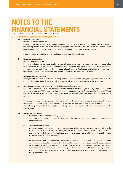For the financial year ended 31 December 2010

### **2. Significant accounting policies (continued)**

# **(e) Revenue (continued)**

#### **Investment income (continued)**

Interest income is recognised using the effective interest method. When a receivable is impaired, the Group reduces the carrying amount to its recoverable amount, being the estimated future cash flow discounted at the original effective interest rate of the instrument and continues unwinding the discount as interest income.

Dividend income is recognised when the right to receive payment is established.

#### **(f) Employee compensation**

#### **Defined contribution plans**

Defined contribution plans are post-employment benefit plans under which the Group pays fixed contributions into separate entities such as the Central Provident Fund on a mandatory, contractual or voluntary basis. The Group has no further payment obligations once the contributions have been paid. The Group's contributions are recognised as employee compensation expense when they are due, unless they can be capitalised as an asset.

#### **Employee leave entitlements**

Employee entitlements to annual leave are recognised when they accrue to employees. A provision is made for the estimated liability for annual leave as a result of services rendered by the employees up to the balance sheet date.

#### **(g) Contributions to Central Co-operative Fund and Singapore Labour Foundation**

Under the Co-operative Societies Act, the surplus of a Co-operative society is subject to a levy payable to the Central Co-operative Fund (the "CCF") and/or the Singapore Labour Foundation (the "SLF"). A levy of 5% of the first \$500,000 of surplus is payable to the CCF. A levy of 20% of the surplus for amounts above \$500,000 is payable to either the SLF or CCF.

In the case of an insurance Co-operative, the surplus excludes the portion that is used for declaration of bonus to policyholders or retained in the insurance fund and, accordingly, no provision for levy has been made for any surplus retained in any insurance fund. Such surpluses are designated as surpluses retained within insurance funds on the balance sheet.

#### **(h) Foreign currency translation**

#### **(i) Functional and presentation currency**

The financial statements are presented in Singapore Dollars and are rounded to the nearest thousand, unless otherwise stated.

# **(ii) Transactions and balances**

Foreign currency transactions are translated into Singapore Dollars using the exchange rates prevailing at the dates of the transactions. Foreign exchange gains and losses resulting from settlement of such transactions and from the translation at year-end exchange rates of monetary assets and liabilities denominated in foreign currencies are recognised in profit or loss.

Changes in fair values of available-for-sale debt securities (i.e. monetary items) denominated in foreign currencies are analysed into currency translation differences on the amortised cost of the securities and other changes; the currency translation differences are recognised in profit or loss and the other changes are recognised in the fair value reserve. Changes in fair values of available-for-sale equity securities (i.e. non-monetary items) are recognised in the fair value reserve, together with the related currency translation differences.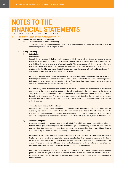For the financial year ended 31 December 2010

**2. Significant accounting policies (continued)**

# **(h) Foreign currency translation (continued)**

# **(ii) Transactions and balances (continued)**

Translation differences on non-monetary items, such as equities held at fair value through profit or loss, are reported as part of the fair value gain or loss.

#### **(i) Group accounting**

#### **(i) Subsidiaries**

#### *Consolidation*

Subsidiaries are entities (including special purpose entities) over which the Group has power to govern the financial and operating policies so as to obtain benefits from its activities, generally accompanied by a shareholding giving rise to a majority of the voting rights. The existence and effect of potential voting rights that are currently exercisable or convertible are considered when assessing whether the Group controls another entity. Subsidiaries are consolidated from the date on which control is transferred to the Group. They are de-consolidated from the date on which control ceases.

In preparing the consolidated financial statements, transactions, balances and unrealised gains on transactions between group entities are eliminated. Unrealised losses are also eliminated but are considered an impairment indicator of the asset transferred. Accounting policies of subsidiaries have been changed where necessary to ensure consistency with the policies adopted by the Group.

Non-controlling interests are that part of the net results of operations and of net assets of a subsidiary attributable to the interests which are not owned directly or indirectly by the equity holders of the Company. They are shown separately in the consolidated statement of comprehensive income, statement of changes in equity and balance sheet. Total comprehensive income is attributed to the non-controlling interests based on their respective interests in a subsidiary, even if this results in the non-controlling interests having a deficit balance.

#### *Transactions with non-controlling interests*

Changes in the Company's ownership interest in a subsidiary that do not result in a loss of control over the subsidiary are accounted for as transactions with equity owners of the Group. Any difference between the change in the carrying amounts of the non-controlling interest and the fair value of the consideration paid or received is recognised in a separate reserve within equity attributable to the equity holders of the Company.

### **(ii) Associated companies**

Associated companies are entities (not being subsidiaries) in which the Group has significant influence, but not control, generally accompanied by a shareholding giving rise to voting rights of 20% and above but not exceeding 50%. Investments in associated companies are accounted for in the consolidated financial statements using the equity method of accounting less impairment losses, if any.

Investments in associated companies are initially recognised at cost. The cost of an acquisition is measured at the fair value of the assets given, equity instruments issued or liabilities incurred or assumed at the date of exchange, plus costs directly attributable to the acquisition. Goodwill on associated companies represents the excess of the cost of acquisition of the associate over the Group's share of the fair value of the identifiable net assets of the associate and is included in the carrying amount of the investments.

In applying the equity method of accounting, the Group's share of its associated companies' post-acquisition profits or losses are recognised in profit or loss and its share of post-acquisition movements in reserves is recognised in equity directly. These post-acquisition movements are adjusted against the carrying amount of the investment.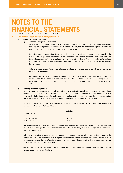For the financial year ended 31 December 2010

### **2. Significant accounting policies (continued)**

### **(i) Group accounting (continued)**

#### **(ii) Associated companies (continued)**

When the Group's share of losses in an associated company equals or exceeds its interest in the associated company, including any other unsecured non-current receivables, the Group does not recognise further losses, unless it has obligations or has made payments on behalf of the associated company.

Unrealised gains on transactions between the Group and its associated companies are eliminated to the extent of the Group's interest in the associated companies. Unrealised losses are also eliminated unless the transaction provides evidence of an impairment of the asset transferred. Accounting policies of associated companies have been changed where necessary to ensure consistency with the accounting policies adopted by the Group.

Gains and losses arising from partial disposals or dilutions in investments in associated companies are recognised in profit or loss.

Investments in associated companies are derecognised when the Group loses significant influence. Any retained interest in the entity is re-measured at its fair value. The difference between the carrying amount of the retained investment at the date when significant influence is lost and its fair value is recognised in profit or loss.

### **(j) Property, plant and equipment**

Property, plant and equipment are initially recognised at cost and subsequently carried at cost less accumulated depreciation and accumulated impairment losses. The cost of an item of property, plant and equipment initially recognised includes its purchase price and any cost that is directly attributable to bringing the asset to the location and condition necessary for it to be capable of operating in the manner intended by management.

Depreciation on property, plant and equipment is calculated on a straight-line basis to allocate their depreciable amounts over their estimated useful lives as follows:

|                               | Useful lives |
|-------------------------------|--------------|
| Office equipment              | 5 years      |
| <b>Furniture and fittings</b> | 5 years      |
| Computer equipment            | 3 to 5 years |
| Motor vehicles                | 5 years      |

The residual values, estimated useful lives and depreciation method of property, plant and equipment are reviewed, and adjusted as appropriate, at each balance sheet date. The effects of any revision are recognised in profit or loss when the changes arise.

Subsequent expenditure relating to property, plant and equipment that has already been recognised is added to the carrying amount of the asset only when it is probable that future economic benefits associated with the item will flow to the Group and the cost of the item can be measured reliably. All other repair and maintenance expenses are recognised in profit or loss when incurred.

On disposal of an item of property, plant and equipment, the difference between the disposal proceeds and its carrying amount is recognised in profit or loss.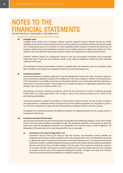For the financial year ended 31 December 2010

#### **2. Significant accounting policies (continued)**

### **(k) Intangible assets**

Intangible assets include cost of computer software acquired. Acquired computer software licenses are initially capitalised at cost which includes the purchase price (net of any discounts and rebates) and other directly attributable cost of preparing the asset for its intended use. Direct expenditure which enhances or extends the performance of computer software beyond its specifications and which can be reliably measured is added to the original cost of the software. Costs associated with maintaining computer software are recognised as an expense when incurred.

Computer software licenses are subsequently carried at cost less accumulated amortisation and accumulated impairment losses. These costs are amortised to profit or loss using the straight-line method over their estimated useful lives of five years.

The amortisation period and amortisation method of intangible assets are reviewed at least at each balance sheet date. The effects of any revision are recognised in profit or loss when the changes arise.

#### **(l) Investment properties**

Investment properties are initially recognised at cost and subsequently carried at fair value. Fair value is based on active market prices, adjusted, if necessary, for any difference in the nature, location or condition of the specific asset. If this information is not available, the Group uses alternative methods such as discounted cash flow projections or recent prices in less active markets. These valuations are reviewed annually by an independent professional valuer. Changes in fair values are recorded in profit or loss.

All properties are held as investment properties within the Life Insurance Par Fund for investment purposes (rental yields and capital appreciation). Any change in value of the properties would accrue mainly to the participating policyholders.

Investment properties are subject to renovations or improvements at regular intervals. The cost of major renovations and improvements is capitalised and the carrying amounts of the replaced components are recognised in profit or loss. The cost of maintenance, repairs and minor improvements is charged to profit or loss when incurred.

On disposal of an investment property, the difference between the disposal proceeds and the carrying amount is recognised to profit or loss.

#### **(m) Investment and other financial assets**

Non-derivative investments and other financial assets are classified into the following categories: at fair value through profit or loss, loans and receivables and available-for-sale. The classification depends on the purpose for which the assets were acquired. Management determines the classification of its financial assets at initial recognition. The designation of financial assets at fair value through profit or loss is irrevocable.

#### **(i) Investments at fair value through profit or loss**

Investments that are held by the Group to back life insurance and investment contract liabilities are designated by the Group on initial recognition at fair value through profit or loss. This designation eliminates or significantly reduces measurement inconsistency that would otherwise arise. The measurement bases for investment contracts, investment linked life insurance contracts and contracts with discretionary participation features issued by the Group all reflect changes in the fair value of the investments backing the contracts. For annuities and other life insurance contracts issued by the Group, the valuation discount rate is adjusted for changes in the fair value of the investments backing the contracts. Changes in the value of all insurance contract and investment contract liabilities are included in profit or loss.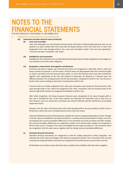For the financial year ended 31 December 2010

# **2. Significant accounting policies (continued)**

# **(m) Investment and other financial assets (continued)**

# **(ii) Loans and receivables**

Loans and receivables are non-derivative financial assets with fixed or determinable payments that are not quoted in an active market other than those that the Group intends to sell in the short term or that it has designated at fair value through profit or loss. Loans and receivables include "cash and cash equivalents", "insurance and other receivables" and "loans".

#### **(iii) Available-for-sale investments**

Available-for-sale investments are non-derivative financial assets that are either designated in this category or not classified in any of the other categories*.*

### **(iv) Recognition, measurement, derecognition and disclosure**

Purchases and sales of 'regular way' financial instruments are recognised on trade date, which is when the Group commits to purchase or sell the assets. Financial assets are derecognised when the contractual rights to receive cash flows from the financial assets expire, or when the financial assets have been transferred, together with substantially all the risks and rewards of ownership. On disposal of a financial asset, the difference between the carrying amount and the sale proceeds is recognised in profit or loss. Any amount in the fair value reserve relating to that asset is transferred to profit or loss.

Financial assets are initially recognised at fair value plus transaction costs except for financial assets at fair value through profit or loss, which are recognised at fair value. Transaction costs for financial assets at fair value through profit and loss are recognised immediately in profit or loss.

After initial recognition, the Group measures financial assets, designated at fair value through profit or loss, and as available-for-sale, at fair values without any deduction for transaction costs it may incur on their disposal. Loans are measured at amortised cost using the effective interest method less accumulated impairment losses.

Changes in the fair value of financial assets at fair value through profit or loss are included in profit or loss in the period in which they arise, including interest income from such assets.

Interest and dividend income on financial assets, available-for-sale are recognised separately in income. Changes in the fair values of available-for-sale debt securities (i.e. monetary items) denominated in foreign currencies are analysed into currency translation differences on the amortised cost of the securities and other changes; the currency translation differences are recognised in profit or loss and the other changes are recognised in the fair value reserve. Changes in fair values of available-for-sale equity securities (i.e. non-monetary items) are recognised in the fair value reserve, together with the related currency translation differences.

### **(v) Derivative financial instruments**

Derivative financial instruments are categorised as held for trading measured at initial recognition, and subsequently, at fair value and changes in fair value are recognised in profit or loss. Transaction costs incurred in buying and selling derivative instruments are recognised in the profit and loss account when incurred.

All derivatives are carried as assets when fair value is positive and as liabilities when fair value is negative.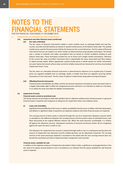For the financial year ended 31 December 2010

# **2. Significant accounting policies (continued)**

# **(m) Investment and other financial assets (continued)**

# **(vi) Fair value estimation**

The fair values of financial instruments traded in active markets (such as exchange-traded and over-thecounter securities and derivatives) are based on quoted market prices at the balance sheet date. The quoted market prices used for financial assets held by the Group are the current bid prices. The fair values of financial instruments that are not traded in an active market are determined by using valuation techniques. The Group uses a variety of methods and makes assumptions that are based on market conditions existing at each balance sheet date. These techniques include the use of recent arm's length market transactions, reference to the current fair value of another instrument that is substantially the same, discounted cash flow analysis or option pricing models. Where appropriate, quoted market prices or dealer quotes for similar instruments are used. Equity instruments whose value cannot be reliably measured are measured at cost less accumulated impairment losses, if any.

The fair value of a derivative financial instrument is determined by reference to its quoted price if quoted prices are regularly available from an exchange, dealer, or broker and there are regularly recurring market transactions in the instrument. The fair value of options is determined using option pricing techniques.

#### **(vii) Offsetting financial instruments**

Financial assets and liabilities are offset, and the net amount reported in the balance sheet only when there is a legally enforceable right to offset the recognised amounts and there is an intention to settle on a net basis, or to realise the asset and settle the liability simultaneously.

#### **(n) Impairment of assets**

#### **Financial assets carried at amortised costs**

The Group assesses at each balance sheet date whether there is objective evidence that a financial asset or a group of financial assets is impaired and recognises an allowance for impairment when such evidence exists.

#### **(i) Loans and receivables**

Significant financial difficulty of the issuer or debtor, probability that the issuer or debtor will enter bankruptcy, and default or significant delay in payments are objective evidence that these financial assets are impaired.

The carrying amount of these assets is reduced through the use of an impairment allowance account which is calculated as the difference between the carrying amount and the present value of estimated future cash flows discounted at the original effective interest rate. When the asset becomes uncollectible, it is written off against the allowance account. Subsequent recoveries of amounts previously written off are recognised against the same line item in profit or loss.

The allowance for impairment loss account is reduced through profit or loss in a subsequent period when the amount of impairment loss decreases and the related decrease can be objectively measured. The carrying amount of the asset previously impaired is increased to the extent that the new carrying amount does not exceed the amortised cost had no impairment been recognised in prior periods.

#### **Financial assets, available-for-sale**

In addition to the objective evidence of impairment described in Note 2 (n)(i), a significant or prolonged decline in the fair value of an equity security below its cost is considered as an indicator that the equity available-for-sale financial asset is impaired.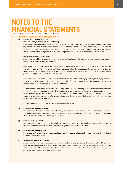For the financial year ended 31 December 2010

**2. Significant accounting policies (continued)**

## **(n) Impairment of assets (continued)**

# **Financial assets, available-for-sale (continued)**

If any evidence of impairment exists, the cumulative loss that was recognised in the fair value reserve is reclassified to profit or loss. The cumulative loss is measured as the difference between the acquisition cost (net of any principal repayments and amortisation) and the current fair value, less any impairment loss previously recognised as an expense. The impairment losses recognised as an expense on equity securities are not reversed through profit or loss.

#### **Impairment of non-financial assets**

Assets that are subject to amortisation are reviewed for impairment whenever there is any objective evidence or indication that these assets may be impaired.

For the purpose of impairment testing, the recoverable amount (i.e. the higher of the fair value less cost to sell and the value-in-use) is determined on an individual asset basis unless the asset does not generate cash flows that are largely independent of those from other assets. If this is the case, the recoverable amount is determined for the cashgenerating unit ("CGU") to which the asset belongs.

If the recoverable amount of the asset (or CGU) is estimated to be less than its carrying amount, the carrying amount of the asset (or CGU) is reduced to its recoverable amount. The difference between the carrying amount and recoverable amount is recognised as an impairment loss in profit or loss.

An impairment loss for an asset is reversed if, and only if, there has been a change in the estimates used to determine the asset's recoverable amount since the last impairment loss was recognised. The carrying amount of this asset is increased to its revised recoverable amount, provided that this amount does not exceed the carrying amount that would have been determined (net of any accumulated amortisation or depreciation) had no impairment loss been recognised for the asset in prior years.

A reversal of impairment loss for an asset is credited to profit or loss.

#### **(o) Insurance and other receivables**

Insurance and other receivables include outstanding premiums, trade receivables, accrued interest receivable from fixed deposits with banks and other receivables. These are recognised initially at fair value and subsequently measured at amortised cost less accumulated impairment losses.

#### **(p) Cash and cash equivalents**

Cash and cash equivalents comprise bank balances and fixed deposits held with banks which are readily convertible into known amounts of cash and are subject to an insignificant risk of change in value.

#### **(q) Insurance and other payables**

Insurance and other payables are recognised initially at fair value and subsequently measured at amortised cost using the effective interest method.

### **(r) Share capital and treasury shares**

All paid-up shares are participating shares and are classified as equity, although they do not all qualify as equity based on the presentation requirements of Financial Reporting Standards 32, Financial Instruments: Presentation. All shareholders are entitled to redeem their shares at the par value of \$10 each or the net asset value of the Group based on the last balance sheet date, whichever is lower.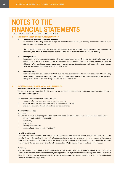For the financial year ended 31 December 2010

# **2. Significant accounting policies (continued)**

### **(r) Share capital and treasury shares (continued)**

Dividends on participating shares are recognised in the Statement of Changes in Equity in the year in which they are declared and approved for payment.

The consideration payable for the purchase by the Group of its own shares is treated as treasury shares at balance sheet date, and shown as a deduction from shareholders' funds in the Statement of Changes in Equity.

#### **(s) Other provisions**

Provisions other than insurance contract provisions are recognised when the Group has a present legal or constructive obligation, as a result of past events, and it is probable that an outflow of resources will be required to settle the obligation. When the Group expects a provision to be reimbursed, the reimbursement is recognised as a separate asset but only when the reimbursement is virtually certain.

### **(t) Operating leases**

Leases of investment properties which the Group retains substantially all risks and rewards incidental to ownership are classified as operating leases. Rental income from operating leases (net of any incentives given to the lessees) is recognised in profit or loss on a straight-line basis over the lease term.

### **3. Critical accounting estimates and judgements**

# **Insurance Contract Provisions for Life Insurance**

The insurance contract provisions for Life insurance are computed in accordance with the applicable regulatory principles using a prospective approach.

The provisions comprise of the following liabilities:

- expected future net payments from guaranteed benefits
- expected future net payments from non-guaranteed benefits (if any)
- provision for adverse deviation from the expected experience

#### **Valuation Methodology**

#### *Assumptions*

Liabilities are computed using the prospective cash flow method. The areas where assumptions have been applied are:

- Mortality and morbidity (if applicable)
- Persistency
- Discount rate
- Management expenses
- Bonuses (for Life Insurance Par Fund only)

#### *Mortality and Morbidity*

A detailed review of the Group's mortality and morbidity experience by plan types and by underwriting types is conducted annually. Based on the results of the review, the Group's Appointed Actuary has formed an opinion with regard to the expected future mortality and/or morbidity experience. The Group also uses published mortality and/or morbidity tables for plans that have no historical experience. A provision for adverse deviation (PAD) is also made based on the types of product.

#### *Persistency*

A detailed review of the Group's persistency experience by plan types and channels is conducted annually. The Group tries to balance past experience and future conditions by making prudent assumptions about the future long term average persistency levels. For new plans with no historical experience, the Group uses industry experience as a basis or assumes full persistency, whichever is deemed more prudent.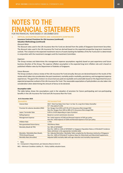For the financial year ended 31 December 2010

# **3. Critical accounting estimates and judgements (continued)**

# **Insurance Contract Provisions for Life Insurance (continued)**

# **Valuation Methodology (continued)**

*Discount Rates*

The discount rates used in the Life Insurance Non-Par Fund are derived from the yields of Singapore Government Securities. The discount rates used in the Life Insurance Par Fund are derived based on the expected prospective long-term investment outlook. This is based on the expected investment returns of assets backing the liabilities of the Par Fund and it is determined in conjunction with the investment managers and the Investment Committee.

#### *Expenses*

The Group reviews and determines the management expense assumptions regularly based on past experience and future business direction of the Group. The expense inflation assumption is the expected long term inflation rate and is based on published inflation rates by the Department of Statistics of Singapore.

#### *Future Bonuses*

The Group conducts a bonus review of the Life Insurance Par Fund annually. Bonuses are declared based on the results of the review which takes into consideration the past investment, mortality and/or morbidity, persistency, and management expense experiences. The goal of the review is to ensure bonuses paid are equitable and sustainable based on the Appointed Actuary's expected prospective outlook of the Life Insurance Par Fund. The reasonable expectations of policyholders are also taken into consideration when determining the amount of bonus to be declared.

#### **Assumption table**

The table below shows the assumptions used in the valuation of provision for future participating and non-participating benefits in the Life Insurance Par Fund and Life Insurance Non-Par Fund.

| <b>Assumptions</b>                                         | Life Insurance Fund                                                                                                                                                                  |
|------------------------------------------------------------|--------------------------------------------------------------------------------------------------------------------------------------------------------------------------------------|
| <b>Interest Rate</b>                                       | MCL <sup>*</sup> : Risk Free Rates from Year 1 to Year 15, Long Term Rates thereafter<br>PL <sup>*</sup> : Flat yield of 5.25%                                                       |
| Provision for adverse deviation (PAD)                      | Par: Ranges from 83% to 87.5% of C1 (Insurance Risk charge) PAD<br>Non-Par: Ranges from 50% to 90% of C1 (Insurance Risk charge) PAD                                                 |
| Lapse / Surrender Rate                                     | 0.0% to 14.0% depending on type of product                                                                                                                                           |
| <b>Selling Expense</b>                                     | Based on current commission structure                                                                                                                                                |
| <b>Management Expense</b>                                  | Par: Initial expense of \$160 and Renewal expense of \$45 per policy<br>Non-Par: Initial expense of \$100 and Renewal expense of \$15 per policy                                     |
| Inflation Rate                                             | 1.75%                                                                                                                                                                                |
| Non-guaranteed future bonus                                | 2010 Bonus Rates                                                                                                                                                                     |
| Mortality (Death & TPD)                                    | Par: 90% of S9702M/F<br>Non-Par: 100% to 110% of S9702M/F or Singapore Population Rates or ESTender07 Incidence<br>Rates whichever is the appropriate mortality table                |
| Mortality / Morbidity Rate (Death,<br>TPD & Dread Disease) | Par: Adjusted Mortality / Morbidity Table compiled by the Monetary Authority of Singapore<br>Non-Par: 100% of ESTender07 Incidence Rates for Eldershield and Eldershield Supplements |
| Mortality Rate (Annuities)                                 | Adjusted a(90) mortality table with age reduction and mortality improvement                                                                                                          |

#### **At 31 December 2010**

Note:

C1 – Component 1 Requirement, per Statutory Returns Form 21

MCL – Minimum Condition Liability; PL – Policy Liability valuation bases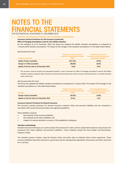For the financial year ended 31 December 2010

# **3. Critical accounting estimates and judgements (continued)**

# **Insurance Contract Provisions for Life Insurance (continued)**

# **Effect of Changing Assumptions Used for Life Liability Valuation**

For the valuation as at 31 December 2010, the Group has updated the liability valuation assumptions as compared to 1 January 2010 valuation assumptions. The impact of the changes in the valuation assumptions is in the table shown below:

*Life Insurance Par Fund*

| <b>Changes in sequence</b>                    | Change in insurance contract<br>provision for guaranteed benefits<br>$\mathsf{S}'$ 000 | % (Decrease)/increase in<br>insurance contract provision for<br>guaranteed benefits* |
|-----------------------------------------------|----------------------------------------------------------------------------------------|--------------------------------------------------------------------------------------|
| <b>Update of lapse assumption</b>             | (317,716)                                                                              | (2.9%)                                                                               |
| Change in C1 PAD assumption                   | (38,042)                                                                               | (0.4% )                                                                              |
| Update of risk free rates to 31 December 2010 | 2,610                                                                                  | 0.0%                                                                                 |

The insurance contract provision for guaranteed benefits is used to illustrate the effect of changing assumptions used for life liability valuation instead of using the entire insurance contract provision because the entire insurance contract provision is currently the policy assets of the fund.

#### *Life Insurance Non-Par Fund*

The Group has updated the liability valuation assumptions as compared to 1 January 2010. The impact of the changes in the valuation assumptions is in the table shown below:

|                                               | Change in insurance contract<br>provision for guaranteed benefits | % Increase/(decrease) in<br>insurance contract provision for |
|-----------------------------------------------|-------------------------------------------------------------------|--------------------------------------------------------------|
| <b>Changes</b>                                | <b>S'000</b>                                                      | guaranteed benefits                                          |
| Change in lapse assumption                    | (35, 597)                                                         | (3.8%)                                                       |
| Update on risk free rates to 31 December 2010 | 22.371                                                            | 2.4%                                                         |

#### **Insurance Contract Provisions for General Insurance**

The insurance contract provisions for General Insurance comprise claims and premium liabilities and are computed in accordance with sound actuarial principles and regulatory guidelines.

These liabilities comprise:

- best estimate of the premium liabilities;
- best estimate of the claims liabilities; and
- margins for adverse deviation to ensure a 75% probability of adequacy.

# **Valuation methodology**

Standard actuarial techniques are used to project the provision for claims and loss adjustment expenses and provision for unexpired risk ("claim liabilities and premium liabilities"). These methods include the Chain-Ladder and Bornhuetter-Ferguson model.

The valuation process involves using the Group's claims and policy data to estimate future claims experience. These insurance liabilities have been derived on a gross basis and are subsequently adjusted for reinsurance and other recoveries for a net basis.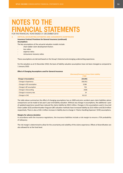For the financial year ended 31 December 2010

**3. Critical accounting estimates and judgements (continued)**

# **Insurance Contract Provisions for General Insurance (continued)**

#### **Assumptions**

The key assumptions of the actuarial valuation models include:

- chain ladder claim development factors
- loss ratios
- expense ratios
- reinsurance recovery ratios

These assumptions are derived based on the Group's historical and emerging underwriting experience.

For the valuation as at 31 December 2010, the basis of liability valuation assumptions have not been changed as compared to 1 January 2010.

### **Effect of Changing Assumptions used for General Insurance**

The table above summarises the effect of changing assumptions has on 2009 and prior accident years claim liabilities where comparisons can be made to last year's year end liability valuation. Without any change in assumptions, the additional 1 year of updated experience would have reduced the claims liability by \$38.3 million. Changes in the assumptions used in Incurred Chain Ladder (ICD) and Bornhuetter-Ferguson (BF) valuation methods have increased liability by \$3.6 million and \$0.8 million respectively. There is also a \$10.1 million increase in liability due to change in 'Claims Handling Expenses' (CHE) assumptions.

#### **Margins for adverse deviation**

In accordance with the insurance regulations, the insurance liabilities include a risk margin to ensure a 75% probability of adequacy.

The risk margin is determined to allow for the uncertainty and volatility of the claims experience. Effects of diversification are also allowed for at the fund level.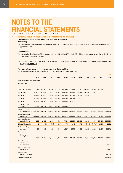For the financial year ended 31 December 2010

# **3. Critical accounting estimates and judgements (continued)**

# **Insurance Contract Provisions for General Insurance (continued)**

# **Discounting**

The insurance liabilities have been discounted using risk free rates derived from the yields of the Singapore government bonds of appropriate term.

#### **Gross liabilities**

The gross claims liability as at 31 December 2010 is \$452 million (FY2009: \$412 million) as compared to net claims liability of \$421 million (FY2009: \$382 million).

The premium liability on gross basis is \$162 million (FY2009: \$164 million) as compared to net premium liability of \$160 million (FY2009: \$156 million).

**\$'000**

#### **Development and movement of general insurance claim liabilities**

Below is the summary of the development of past years' gross claims liabilities.

|                                                                   | 2001    | 2002    | 2003    | 2004    | 2005    | 2006    | 2007    | 2008    | 2009    | 2010    | <b>Total</b>      |
|-------------------------------------------------------------------|---------|---------|---------|---------|---------|---------|---------|---------|---------|---------|-------------------|
| Claims development table 2010                                     |         |         |         |         |         |         |         |         |         |         |                   |
| <b>Accident year</b>                                              |         |         |         |         |         |         |         |         |         |         |                   |
|                                                                   |         |         |         |         |         |         |         |         |         |         |                   |
| End of accident year                                              | 130,921 | 180,583 | 214,700 | 221,260 | 211,430 | 166,473 | 175,745 | 246,049 | 244,656 | 212,240 |                   |
| 1 year later                                                      | 140,852 | 189,434 | 197,057 | 201,873 | 198,300 | 175,776 | 196,521 | 240,920 | 226,472 |         |                   |
| 2 years later                                                     | 142,216 | 185,858 | 189,914 | 196,892 | 197,168 | 172,310 | 194,974 | 235,024 |         |         |                   |
| 3 years later                                                     | 140,546 | 185,424 | 191,627 | 195,433 | 195,546 | 174,119 | 193,230 |         |         |         |                   |
| 4 years later                                                     | 140,205 | 182,769 | 191,504 | 190,751 | 193,766 | 172,861 |         |         |         |         |                   |
| 5 years later and<br>beyond                                       | 139,425 | 182,277 | 190,671 | 190,902 | 193,196 |         |         |         |         |         |                   |
| <b>Estimate of gross</b><br>cumulative claims                     | 139,425 | 182,277 | 190,671 | 190,902 | 193,196 | 172,861 | 193,230 | 235,024 | 226,472 |         | 212,240 1,936,298 |
| Cumulative claim<br>payments                                      | 139,219 | 180,819 | 188,781 | 188,382 | 185,773 | 160,052 | 163,894 | 176,514 | 130,105 |         | 57,059 1,570,598  |
| Estimate of gross<br>claim liabilities                            | 206     | 1,458   | 1,890   | 2,520   | 7,423   | 12,809  | 29,336  | 58,510  | 96,367  | 155,181 | 365,700           |
| <b>Effect of discounting</b>                                      | (0)     | (7)     | (18)    | (34)    | (75)    | (146)   | (370)   | (874)   | (1,728) | (3,099) | (6, 351)          |
| <b>Claims handling</b><br>expenses                                | 29      | 203     | 262     | 348     | 1,027   | 1,770   | 4,050   | 8,058   | 13,232  | 21,263  | 50,242            |
| Best estimate of<br>gross claim<br>liability before<br>recoveries | 235     | 1,654   | 2,134   | 2,834   | 8,375   | 14,433  | 33,016  | 65,694  | 107,871 | 173,345 | 409,591           |
| Estimated gross claim<br>liabilities for prior<br>accident years  |         |         |         |         |         |         |         |         |         |         | 1,006             |
| Recoveries and other<br>adjustments                               |         |         |         |         |         |         |         |         |         |         | (2,046)           |
| Provisions for<br>adverse deviation                               |         |         |         |         |         |         |         |         |         |         | 43,293            |
| <b>Gross claim liabilities</b>                                    |         |         |         |         |         |         |         |         |         |         | 451,844           |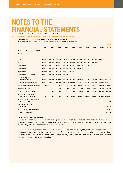# **3. Critical accounting estimates and judgements (continued)**

 **Insurance Contract Provisions for General Insurance (continued) Development and movement of general insurance claim liabilities (continued)**

|                                                                      |         |         |         |         |         |         |         |         |          | v vvv        |
|----------------------------------------------------------------------|---------|---------|---------|---------|---------|---------|---------|---------|----------|--------------|
|                                                                      | 2001    | 2002    | 2003    | 2004    | 2005    | 2006    | 2007    | 2008    | 2009     | <b>Total</b> |
| <b>Claims development table 2009</b>                                 |         |         |         |         |         |         |         |         |          |              |
| <b>Accident year</b>                                                 |         |         |         |         |         |         |         |         |          |              |
|                                                                      |         |         |         |         |         |         |         |         |          |              |
| End of accident year                                                 | 130,921 | 180,583 | 214,700 | 221,260 | 211,430 | 166,473 | 175,745 | 246,049 | 244.656  |              |
| 1 year later                                                         | 140,852 | 189,434 | 197,057 | 201,873 | 198,300 | 175,776 | 196,521 | 240.920 |          |              |
| 2 years later                                                        | 142,216 | 185,858 | 189,914 | 196,892 | 197,168 | 172,310 | 194,974 |         |          |              |
| 3 years later                                                        | 140,546 | 185,424 | 191,627 | 195,433 | 195,546 | 174,119 |         |         |          |              |
| 4 years later                                                        | 140,205 | 182,769 | 191,504 | 190,751 | 193,766 |         |         |         |          |              |
| 5 years later and beyond                                             | 139,511 | 182,396 | 190,738 | 191,492 |         |         |         |         |          |              |
| <b>Estimate of gross</b><br>cumulative claims                        | 139,511 | 182,396 | 190,738 | 191,492 | 193,766 | 174,119 | 194,974 | 240,920 | 244,656  | 1,752,572    |
| Cumulative claim payments                                            | 139,020 | 180,434 | 188,388 | 186,450 | 179,746 | 151,611 | 148,982 | 153,219 | 76,844   | 1,404,694    |
| Estimate of gross claim liabilities                                  | 491     | 1,962   | 2,350   | 5,042   | 14,020  | 22,508  | 45,992  | 87,701  | 167,812  | 347,878      |
| <b>Effect of discounting</b>                                         | (3)     | (18)    | (34)    | (55)    | (164)   | (296)   | (696)   | (1,597) | (3, 263) | (6, 126)     |
| <b>Claims handling expenses</b>                                      | 47      | 186     | 222     | 478     | 1,328   | 2,129   | 4,342   | 8,254   | 15,774   | 32,760       |
| Best estimate of gross claim<br>liability before recoveries          | 535     | 2,130   | 2,538   | 5,465   | 15,184  | 24,341  | 49,638  | 94,358  | 180,323  | 374,512      |
| <b>Estimated gross claim liabilities</b><br>for prior accident years |         |         |         |         |         |         |         |         |          | 1,040        |
| Recoveries and other<br>adjustments                                  |         |         |         |         |         |         |         |         |          | (2,969)      |
| Provisions for adverse deviation                                     |         |         |         |         |         |         |         |         |          | 39,717       |
| <b>Gross claim liabilities</b>                                       |         |         |         |         |         |         |         |         |          | 412,300      |

# **Fair value of financial instruments**

The majority of the Group's financial instruments reported at fair value are based on quoted and observable market prices or on service providers' internally developed models that are based on independently sourced market parameters, including interest rate yield curves, option volatilities and currency rates.

The Group's fair value policies are approved by the Investment Committee with oversight by the Board. Management exercise judgment in determining the risk characteristics of various financial instruments, discount rates, estimates of future cash flows and other factors used in the valuation process. Judgment may also be applied when less readily observable external parameters are used in fair value estimation.

**\$'000**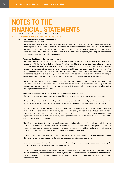For the financial year ended 31 December 2010

## **4. Management of insurance and financial risks**

# *(a) Life Insurance Contracts Risk Management*

# **Insurance Risk in Life Funds**

The Group is exposed to life insurance risk when it signs a contract with the insured party for a premium amount and in return promises to pay a sum of money if a specified event occurs within the time frame stipulated in the contract. The terms of acceptance of the risks by the Group are generally long term in nature (except when they are group or health insurance plans, which are usually on an annual basis). These risks accepted by the Group are mortality risk, morbidity risk, longevity risk and investment risk.

#### **Terms and Conditions of Life Insurance Contracts**

The majority of the individual life insurance contracts plans written in the Par Fund are long term participating policies consisting of Whole Life Plans, Endowments and Annuities. In writing these plans, the Group takes on mortality, morbidity, longevity, and investment risks. The eventual payment to the policyholders consists of a guaranteed amount (the sum assured) and a non-guaranteed component distributed via annual reversionary (if any) and final terminal bonuses (if any). Once declared, bonuses become a fully guaranteed liability, although the Group has the discretion to reduce future reversionary and terminal bonuses if experience is unfavourable. Payment occurs upon death, occurrence of specific morbidity, or survival of the policyholder, depending on the type of policy.

The Non-Par Fund consists of pure insurance protection plans, such as ElderShield, Dependent Protection Scheme (DPS) and Group & Health contracts. Both ElderShield and DPS provide long term contracts. The Group and Health contracts are usually on a negotiable and yearly renewable basis. Protection values are payable upon death, disability, and hospitalisation of the policyholders.

#### **Objectives of managing life insurance risks and the policies for mitigating risks**

Life insurance risks arise through exposure to mortality, morbidity, persistency and any unforeseen expenses.

The Group has implemented underwriting and claims management guidelines and procedures to manage its life insurance risks. It also considers its reinsurance coverage and risk appetite to manage its overall risk exposure.

Mortality risks are selected through underwriting and appropriate premiums are charged based on the level of risks that applicants bring in. The mortality tables used for pricing are based on the Group's best estimates from its annual experience studies. The levels of mortality risks are determined by age, gender, and underwriting experience. For applicants that have mortality risks higher than the Group's tolerance level, these risks will be ceded to the reinsurance companies.

The Life Insurance Non-Par Fund is made up of both group and individual contracts. For death and morbidity covers, the Group transfers insurance risk in excess of its retention limit to its appointed reinsurers on a per contract basis. To manage concentration of insurance risks as a result of a single event such as an epidemic outbreak or terrorist activity, the Group obtains catastrophic reinsurance that limits its maximum overall exposure.

As most of the life insurance contracts are written locally, there is a concentration of geographical risk in Singapore. This risk is managed through prudent underwriting and appropriate reinsurance strategies.

Lapse rate is evaluated in a prudent manner through the pricing of new products, product design, and regular monitoring of persistency reports and procedures for recovery.

Mortality risk is also managed through appropriate claim management systems that help to identify fraudulent claims. The results of yearly experience reviews of mortality, longevity and persistency are used to decide on the bases for reserving and pricing of products. Inevitably, there remains uncertainty about future longevity and persistency that cannot be removed.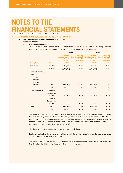For the financial year ended 31 December 2010

**4. Management of insurance and financial risks (continued)**

# *(a) Life Insurance Contracts Risk Management (continued)*

### **Sensitivity Analysis**

#### **(i) Life Insurance Par Fund**

To understand the risks undertaken by the Group in the Life Insurance Par Fund, the following sensitivity analysis is done to measure the impact on the Group's non-guaranteed benefit liabilities.

| <b>Impact On</b><br><b>Impact On</b><br><b>Impact On</b><br><b>Impact On</b><br><b>Non-Guaranteed</b><br><b>Non-Guaranteed</b><br><b>Non-Guaranteed</b><br><b>Non-Guaranteed</b><br><b>Benefit</b><br><b>Benefit</b><br><b>Benefit</b><br><b>Benefit</b><br><b>Liabilities</b><br><b>Liabilities</b><br><b>Liabilities</b><br><b>Liabilities</b><br>\$'000<br>\$'000<br>%<br>%<br><b>Assumption</b><br>Change<br>$+100$ bps<br>941,315<br>9.6%<br>871,491<br>10.0%<br>Interest rates<br>(1,214,949)<br>$-100$ bps<br>(1, 277, 738)<br>$-13.0%$<br>$-13.9%$<br>Mortality/morbidity/<br>longevity<br>- life insurance<br>contracts,<br>excluding<br>annuities<br>$+20%$<br>(297, 931)<br>(266, 025)<br>$-3.0%$<br>$-3.0%$<br>$-20%$<br>2.9%<br>2.7%<br>289,173<br>234,925<br>- annuities contracts<br>Mortality<br>Improvement<br>of 1 Year<br>(23,027)<br>(25,059)<br>$-0.3%$<br>$-0.3%$<br>Mortality<br>Deterioration<br>of 1 Year<br>25,202<br>0.3%<br>23,923<br>0.3%<br>$+20%$<br>(356, 920)<br>(400, 424)<br>$-4.6%$<br>$-3.6%$<br>Lapses<br>$-20%$<br>400,473<br>4.1%<br>403,628<br>4.6% |  | 2010 |  | 2009 |  |  |  |
|----------------------------------------------------------------------------------------------------------------------------------------------------------------------------------------------------------------------------------------------------------------------------------------------------------------------------------------------------------------------------------------------------------------------------------------------------------------------------------------------------------------------------------------------------------------------------------------------------------------------------------------------------------------------------------------------------------------------------------------------------------------------------------------------------------------------------------------------------------------------------------------------------------------------------------------------------------------------------------------------------------------------------------------------------------------------------------------------|--|------|--|------|--|--|--|
|                                                                                                                                                                                                                                                                                                                                                                                                                                                                                                                                                                                                                                                                                                                                                                                                                                                                                                                                                                                                                                                                                              |  |      |  |      |  |  |  |
|                                                                                                                                                                                                                                                                                                                                                                                                                                                                                                                                                                                                                                                                                                                                                                                                                                                                                                                                                                                                                                                                                              |  |      |  |      |  |  |  |
|                                                                                                                                                                                                                                                                                                                                                                                                                                                                                                                                                                                                                                                                                                                                                                                                                                                                                                                                                                                                                                                                                              |  |      |  |      |  |  |  |
|                                                                                                                                                                                                                                                                                                                                                                                                                                                                                                                                                                                                                                                                                                                                                                                                                                                                                                                                                                                                                                                                                              |  |      |  |      |  |  |  |
|                                                                                                                                                                                                                                                                                                                                                                                                                                                                                                                                                                                                                                                                                                                                                                                                                                                                                                                                                                                                                                                                                              |  |      |  |      |  |  |  |
|                                                                                                                                                                                                                                                                                                                                                                                                                                                                                                                                                                                                                                                                                                                                                                                                                                                                                                                                                                                                                                                                                              |  |      |  |      |  |  |  |
|                                                                                                                                                                                                                                                                                                                                                                                                                                                                                                                                                                                                                                                                                                                                                                                                                                                                                                                                                                                                                                                                                              |  |      |  |      |  |  |  |
|                                                                                                                                                                                                                                                                                                                                                                                                                                                                                                                                                                                                                                                                                                                                                                                                                                                                                                                                                                                                                                                                                              |  |      |  |      |  |  |  |
|                                                                                                                                                                                                                                                                                                                                                                                                                                                                                                                                                                                                                                                                                                                                                                                                                                                                                                                                                                                                                                                                                              |  |      |  |      |  |  |  |
|                                                                                                                                                                                                                                                                                                                                                                                                                                                                                                                                                                                                                                                                                                                                                                                                                                                                                                                                                                                                                                                                                              |  |      |  |      |  |  |  |
|                                                                                                                                                                                                                                                                                                                                                                                                                                                                                                                                                                                                                                                                                                                                                                                                                                                                                                                                                                                                                                                                                              |  |      |  |      |  |  |  |
|                                                                                                                                                                                                                                                                                                                                                                                                                                                                                                                                                                                                                                                                                                                                                                                                                                                                                                                                                                                                                                                                                              |  |      |  |      |  |  |  |
|                                                                                                                                                                                                                                                                                                                                                                                                                                                                                                                                                                                                                                                                                                                                                                                                                                                                                                                                                                                                                                                                                              |  |      |  |      |  |  |  |
|                                                                                                                                                                                                                                                                                                                                                                                                                                                                                                                                                                                                                                                                                                                                                                                                                                                                                                                                                                                                                                                                                              |  |      |  |      |  |  |  |
|                                                                                                                                                                                                                                                                                                                                                                                                                                                                                                                                                                                                                                                                                                                                                                                                                                                                                                                                                                                                                                                                                              |  |      |  |      |  |  |  |
|                                                                                                                                                                                                                                                                                                                                                                                                                                                                                                                                                                                                                                                                                                                                                                                                                                                                                                                                                                                                                                                                                              |  |      |  |      |  |  |  |
|                                                                                                                                                                                                                                                                                                                                                                                                                                                                                                                                                                                                                                                                                                                                                                                                                                                                                                                                                                                                                                                                                              |  |      |  |      |  |  |  |
|                                                                                                                                                                                                                                                                                                                                                                                                                                                                                                                                                                                                                                                                                                                                                                                                                                                                                                                                                                                                                                                                                              |  |      |  |      |  |  |  |
|                                                                                                                                                                                                                                                                                                                                                                                                                                                                                                                                                                                                                                                                                                                                                                                                                                                                                                                                                                                                                                                                                              |  |      |  |      |  |  |  |
|                                                                                                                                                                                                                                                                                                                                                                                                                                                                                                                                                                                                                                                                                                                                                                                                                                                                                                                                                                                                                                                                                              |  |      |  |      |  |  |  |
|                                                                                                                                                                                                                                                                                                                                                                                                                                                                                                                                                                                                                                                                                                                                                                                                                                                                                                                                                                                                                                                                                              |  |      |  |      |  |  |  |

The non-guaranteed benefit liabilities in the sensitivity analysis represent the value of future bonus and transfers. Assuming policy assets remain the same, a dollar reduction in the guaranteed benefit liabilities results in an additional dollar available for future bonus and transfer. If interest rates are increased by 100 bps, the non-guaranteed benefit liabilities are increased by 9.6% (2009: 10.0%). This would mean that future bonus and transfers may be increased by 9.6% (2009: 10.0%).

The changes in the assumptions are applied to all future cash flows.

Profits are defined as the present value of future cash flows before transfer to the Surplus Account and assuming no bonus is declared in the future.

The impact on profits gives an indication of how changes in experience in the future will affect the profits, and thereby, affect the ability of the Group to declare bonus and transfer.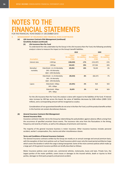For the financial year ended 31 December 2010

**4. Management of insurance and financial risks (continued)**

# *(a) Life Insurance Contracts Risk Management (continued)*

## **Sensitivity Analysis (continued)**

#### **(ii) Life Insurance Non-Par Fund**

To understand the risks undertaken by the Group in the Life Insurance Non-Par Fund, the following sensitivity analysis is done to measure the impact on the Group's benefit liabilities.

|                         |                                                                            |                                                  | 2010                                        | 2009                                             |                                             |  |
|-------------------------|----------------------------------------------------------------------------|--------------------------------------------------|---------------------------------------------|--------------------------------------------------|---------------------------------------------|--|
|                         |                                                                            | <b>Impact</b><br><b>On Liabilities</b><br>\$′000 | <b>Impact</b><br><b>On Liabilities</b><br>% | <b>Impact</b><br><b>On Liabilities</b><br>\$′000 | <b>Impact</b><br><b>On Liabilities</b><br>% |  |
| <b>Assumption</b>       | Change                                                                     |                                                  |                                             |                                                  |                                             |  |
| Interest rates          | $+100$ bps                                                                 | (186, 020)                                       | $-17%$                                      | (152, 207)                                       | $-15%$                                      |  |
|                         | $-100$ bps                                                                 | 318,325                                          | 29%                                         | 257,566                                          | 26%                                         |  |
| Mortality/<br>morbidity | ElderShield: +11.1% Morbidity<br>DPS: +5% Mortality<br>G&H: +20% Morbidity | 105,854                                          | 10%                                         | 78,240                                           | 8%                                          |  |
|                         | ElderShield: -11.1% Morbidity<br>DPS: -5% Mortality<br>G&H: -20% Morbidity | (90, 459)                                        | $-8%$                                       | (68, 147)                                        | $-7%$                                       |  |
| Lapses                  | Eldershield: +50bps<br>DPS: +50bps                                         | (22, 391)                                        | $-2%$                                       | N/A                                              | N/A                                         |  |
|                         | Eldershield: -50bps<br>DPS: -50bps                                         | 25,870                                           | 2%                                          | N/A                                              | N/A                                         |  |

For the Life Insurance Non-Par Fund, the analysis is done with respect to the liabilities of the fund. If interest rates increase by 100 bps across the board, the value of liabilities decreases by \$186 million (2009: \$152 million), and a corresponding amount will be recognised as surplus.

Considerations of non-guaranteed benefits do not arise in the Non-Par Fund, as all the product benefits written in this fund do not contain discretionary features.

# *(b) General Insurance Contracts Risk Management*

#### **General Insurance Risks**

Insurance contracts transfer risk to the Group by indemnifying the policyholders against adverse effects arising from the occurrence of specified uncertain future events. The insurance risks arise from the fluctuations in the timing, frequency and severity of claims, as well as the adequacy of premiums and reserves.

The majority of the general insurance business is motor insurance. Other insurance business includes personal accident, worker's compensation, fire, marine and other miscellaneous classes.

#### **Terms and Conditions of General Insurance Contracts**

The General Insurance contracts written by the Group are mostly on an annual coverage and annual premium basis, with the exception of short term policies such as Travel Insurance which cover only the travel period and Marine Cargo which covers the duration in which the cargo is being transported. Some of the more common policies which make up a large part of the general insurance portfolio are briefly described as follows:

Motor Insurance policies cover private cars, commercial vehicles, motorcycles, buses and taxis. Private Cars, the largest portion of the motor portfolio, covers losses or damages to the insured vehicle, death or injuries to third parties, damages to third party property and personal accident.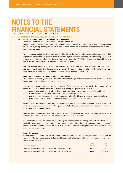For the financial year ended 31 December 2010

### **4. Management of insurance and financial risks (continued)**

# *(b) General Insurance Contracts Risk Management (continued)*

### **Terms and Conditions of General Insurance Contracts (continued)**

Personal Accident policies cover death, disablement, medical expenses and emergency evacuation expenses due to accident, hijacking, murder, assault, strike, riot, civil commotion, act of terrorism and natural disasters such as earthquake and flood.

Workmen Compensation policies cover 2 legal liabilities. Firstly, the "Act" provides compensation to workers or their dependants for specified occupational diseases, personal injuries or deaths caused by accidents arising out of and in the course of employment. Secondly, "Common Law" covers an employer's liability under common law to his workers, due to negligence leading to an accident resulting in death or injury.

Fire Insurance policies insure properties against physical losses or damages by fire and lightning and extraneous perils such as riot & strike, malicious damage, explosion, aircraft damage, impact damage, bursting & overflowing of water pipes, flood, earthquake, volcanic eruption, hurricane, cyclone, typhoon or windstorm.

#### **Objectives of managing risks and policies for mitigating risks**

The objectives of managing insurance risks are to enhance the long-term financial performance of the business and limit any excessive variability of the insurance results.

Underwriting insurance contracts involves the pooling of a large number of uncorrelated risks to reduce relative variability. The Group adopts the following measures to manage the general insurance risks:

- underwriting standards to select risks and control exposure in accordance to established guidelines
- claims control to pay claims fairly and control claim wastage or fraud
- pricing and reserving standards to ensure adequate pricing for risks and valuation of insurance liabilities
- reinsurance protection to limit exposure to large insurance contracts and large claims

Concentration risk is particularly relevant in the case of natural disasters and other catastrophes. The Group's insurance contracts mostly cover perils and risks in Singapore. As such, the Group's concentration risk is negligible as Singapore is hardly exposed to natural disasters.

Perils like floods, epidemics and terrorism do present a level of variability and correlation in the future claim experience but these concentration of risks are protected by event excess of loss reinsurance.

Geographically our risks are concentrated in Singapore. Concentration risk arising from natural catastrophes is negligible as the exposure to natural disasters in Singapore is minimal from historical experience. 80% of the Group's general insurance portfolio is motor insurance with risks well diversified across private cars, commercial vehicles, motorcycles, buses and taxis.

#### **Sensitivity analysis**

Given the uncertainty in establishing the claim liabilities, it is likely that the final outcome will be different from the estimation. The table below gives an indication of the sensitivity of the claim liabilities and the impact on net surplus before levy for the year:

| Net claim liabilities                                              | 2010<br>\$′000 | 2009<br>\$′000 |
|--------------------------------------------------------------------|----------------|----------------|
| Assumed loss ratio for Bornhuetter-Ferguson method increase by 20% | 37.667         | 31.853         |
| Assumed loss ratio for Bornhuetter-Ferguson method decrease by 20% | (37.667)       | (31.853)       |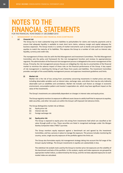For the financial year ended 31 December 2010

#### **4. Management of insurance and financial risks (continued)**

#### *(c) Financial risk*

The Group has to meet substantial long term liabilities to policyholders for claims and maturity payments and to ensure that adequate liquidity is available to meet short term claims, solvency margin and capital adequacy for business expansion. The Group invests in a variety of market instruments such as bonds and quoted and unquoted equities to match the maturity of its liabilities. This exposes the Group to a number of risks such as interest rate, liquidity, currency and credit risks.

The management of these risks lies with the Risk Management and Investment Committees. The Risk Management Committee sets the policy and framework for the risk management function and reviews its appropriateness regularly. The administration of the financial risk management process is delegated to the senior management of the Group. Primarily, the risk management process focuses on mitigating the risks due to uncertainties of the financial market to minimise the adverse impact of these risks on the financial performance of the Group. A key aspect of risk management is matching the timing of cash flows from assets and liabilities. The Investment Committee provides oversight of the asset/liability management process and approves investment guidelines and limits.

#### **(i) Market risk**

Market risk is the risk of loss arising from uncertainty concerning movements in market prices and rates, including observable variables such as interest rates, exchange rates, and others that may be only indirectly observable such as volatilities and correlations. Market risk includes such factors as changes in economic environment, consumption pattern and investor's expectation etc. which may have significant impact on the value of the investments.

The Group's investments are substantially dependent on changes in interest rates and equity prices.

The Group regularly monitors its exposure to different asset classes to satisfy itself that its exposure to equities, debt securities, and other risk assets are within the Group's self-imposed risk tolerance limits.

The Group distinguishes market risk as follows:

- (a) Equity price risk
- (b) Interest rate risk
- (c) Foreign exchange risk

### **(a) Equity price risk**

The Group is exposed to equity price risk arising from investments held which are classified as fair value through profit or loss. These securities are listed in recognised exchanges under the Morgan Stanley Composite Index ("MSCI") purview.

The Group monitors equity exposure against a benchmark set and agreed by the Investment Committee, and has a process in place to manage the exposure. This process includes monitoring the country, sector, single security exposure of the portfolio against the limits set.

The Group also formulates equity risk management strategy taking into account the full range of the Group's equity holdings. The Group's investments in equities are substantially in Asia.

The statistical risk analytic tools used by the Group to monitor price risk exposures are the volatility of the benchmark and beta of the portfolio. In this analysis, equity and index exposures are grouped by appropriate market indices, as determined by the Group, and the net beta adjusted exposures to each market index are calculated.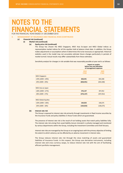# **4. Management of insurance and financial risks (continued)**

# *(c) Financial risk (continued)*

# **(i) Market risk (continued)**

### **(a) Equity price risk (continued)**

The Group has chosen the MSCI Singapore, MSCI Asia Ex-Japan and MSCI Global indices as representative market indices for all the equities held at balance sheet date. In addition, the Group makes adjustments or assumptions where it determines this to be necessary or appropriate. Historical statistics used in the model may not accurately estimate future changes particularly in periods of market turmoil. Actual results may differ substantially from these estimates.

Sensitivity analysis for changes in risk variable that was reasonably possible at year end is as follows:

| Impact on surplus<br>before levy and allocation<br>of management expenses |            |  |
|---------------------------------------------------------------------------|------------|--|
| 2010                                                                      | 2009       |  |
|                                                                           | \$'000     |  |
| 828,491                                                                   | 834,308    |  |
| (828, 491)                                                                | (834, 308) |  |
|                                                                           |            |  |
|                                                                           |            |  |
| 576,147                                                                   | 397,052    |  |
| (576, 147)                                                                | (397, 052) |  |
|                                                                           |            |  |
|                                                                           |            |  |
| 164,023                                                                   | 106,675    |  |
| (164, 023)                                                                | (106, 675) |  |
|                                                                           | \$'000     |  |

#### **(b) Interest rate risk**

The Group is exposed to interest rate risk primarily through investments in fixed income securities by the Insurance Funds and policy liabilities in those Funds which are guaranteed.

The presence of interest rate risk is the result of not holding assets that match policy liabilities fully. The interest rate risk arising from asset-liability tenure mismatch is actively managed and monitored by various departments within the Group, including the Investment Committee and Chief Actuary.

Interest rate risks are managed by the Group on an ongoing basis with the primary objective of limiting the extent to which solvency can be affected by an adverse movement in interest rates.

The Group reduces interest rate risk through the close matching of assets and guaranteed liabilities of Insurance Funds. In this respect, the Group uses derivative instruments, including interest rate and cross currency swaps, to reduce interest rate risk with the aim of facilitating efficient portfolio management.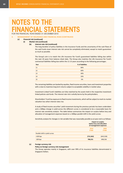For the financial year ended 31 December 2010

## **4. Management of insurance and financial risks (continued)**

# *(c) Financial risk (continued)*

# **(i) Market risk (continued)**

### **(b) Interest rate risk (continued)**

The long duration of policy liabilities in the Insurance Funds and the uncertainty of the cash flows of the said Funds mean interest rate risk cannot be completely eliminated, except to match guarantees as much as possible.

The Group's aim is to match the Life Insurance Par Fund's guaranteed liabilities falling due within the next 10 years from balance sheet date. The Group also matches the Life Insurance Par Fund's contractual liabilities falling due within the 11-15 years according to the following percentages.

The remaining liabilities are backed by equities, fixed income securities, loans and investment properties with a view to maximise long term returns subject to acceptable volatility in market value.

Investment Linked Fund's liabilities are fully matched by the assets held in the respective investment linked policies sub-funds. The interest rate risk is wholly borne by the policyholders.

Shareholders' Fund has exposure to fixed income investments, which will be subject to mark-to-market valuation loss when interest rates rise.

A study of fixed income securities' yield movement during the previous periods has been undertaken and a 100bps change in yield across the different curves is considered to be a reasonable basis for interest rate sensitivity analysis. The table below summarises the impact on surplus before levy and allocation of management expenses based on a 100bps parallel shift in the yield curves:

Sensitivity analysis for changes in risk variable that was reasonably possible as at year end is as follows:

|                                |                | Impact on surplus<br>before levy and allocation<br>of management expenses |
|--------------------------------|----------------|---------------------------------------------------------------------------|
|                                | 2010<br>\$′000 | 2009<br>\$′000                                                            |
| Parallel shift in yield curves |                |                                                                           |
| $+100$ bps                     | (715, 362)     | (643, 528)                                                                |
| $-100$ bps                     | 780,231        | 698,536                                                                   |

#### **(c) Foreign currency risk**

#### **Policy on foreign currency risk management**

The Group operates mainly in Singapore, with over 99% of its insurance liabilities denominated in Singapore Dollars.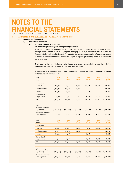**4. Management of insurance and financial risks (continued)**

# *(c) Financial risk (continued)*

### **(i) Market risk (continued)**

#### **(c) Foreign currency risk (continued**)

**Policy on foreign currency risk management (continued)**

The Group mitigates the potential foreign currency risks arising from its investment in financial assets through a combination of direct hedging and managing the foreign currency exposure against the Singapore dollar trade weighted basket. The potential foreign currency risks arising from the investment in foreign currency denominated bonds are hedged using foreign exchange forward contracts and currency swaps.

The Group monitors and rebalances the foreign currency exposure periodically to keep the deviations from the trade weighted basket within the approved tolerances.

The following table presents the Group's exposures to major foreign currencies, presented in Singapore Dollar equivalent amounts as at:

| 2010                               | <b>USD</b>  | <b>Euro</b> | <b>GBP</b> | <b>HKD</b> | <b>KRW</b>                   | <b>Others</b> |
|------------------------------------|-------------|-------------|------------|------------|------------------------------|---------------|
| <b>Assets</b>                      | \$'000      | \$'000      | \$'000     | \$'000     | \$'000                       | \$'000        |
| Investments                        |             |             |            |            |                              |               |
| - Equities                         | 322,353     | 111,124     | 70,704     | 897,320    | 461,234                      | 869,507       |
| - Debt securities                  | 1,727,983   | 230,655     | 51,082     |            | $\qquad \qquad \blacksquare$ | 105,755       |
| - Funds                            | 751,923     | 35,432      |            | 320        |                              | 30,257        |
| Cash and cash<br>equivalents       | 39,860      | 3,757       | 397        | 10,485     | 2,273                        | 41,361        |
| Total                              | 2,842,119   | 380,968     | 122,183    | 908,125    | 463,507                      | 1,046,880     |
|                                    |             |             |            |            |                              |               |
| Less:                              |             |             |            |            |                              |               |
| Derivative contracts<br>(notional) | (1,667,321) | (267, 445)  | (17, 714)  | (71, 425)  | (44, 375)                    | (965, 744)    |
| Net foreign currency               |             |             |            |            |                              |               |
| risk exposure                      | 1,174,798   | 113,523     | 104,469    | 836,700    | 419,132                      | 81,136        |
|                                    |             |             |            |            |                              |               |
| 2009                               | <b>USD</b>  | <b>Euro</b> | <b>GBP</b> | <b>HKD</b> | <b>KRW</b>                   | <b>Others</b> |
| <b>Assets</b>                      | \$'000      | \$'000      | \$'000     | \$'000     | \$'000                       | \$'000        |
| Investments                        |             |             |            |            |                              |               |
| - Equities                         | 311,104     | 140,827     | 69,861     | 574,592    | 306,203                      | 598,976       |
| - Debt securities                  | 1,244,794   | 371,792     | 38,633     |            | $\frac{1}{2}$                | 222,946       |
| - Funds                            | 328,232     | 18,317      |            | 2,417      | -                            | 108,792       |
| Cash and cash                      |             |             |            |            |                              |               |
| equivalents                        | 46,194      | 2,580       | 444        | 8,669      | 2,059                        | 18,405        |
| Total                              | 1,930,324   | 533,516     | 108,938    | 585,678    | 308,262                      | 949,119       |
|                                    |             |             |            |            |                              |               |
| Less:                              |             |             |            |            |                              |               |
| Derivative contracts<br>(notional) | (845, 176)  | (272, 546)  | (21, 346)  | (52, 686)  | (17, 379)                    | (1, 379, 175) |
| Net foreign currency               |             |             |            |            |                              |               |
| risk exposure                      | 1,085,148   | 260,970     | 87,592     | 532,992    | 290,883                      | (430, 056)    |
|                                    |             |             |            |            |                              |               |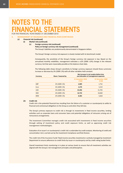# **4. Management of insurance and financial risks (continued)**

# *(c) Financial risk (continued)*

# **(i) Market risk (continued)**

**(c) Foreign currency risk (continued)**

**Policy on foreign currency risk management (continued)** The Group's liabilities are predominantly denominated in Singapore dollars.

The Group's foreign currency risk exposure is closely tracked with its benchmark model.

Consequently, the sensitivity of the Group's foreign currency risk exposure is low. Based on the annualised monthly volatilities, management estimates a  $\pm 2\%$  (2009:  $\pm 2\%$ ) change in the relevant currency risk that were reasonably possible at the balance sheet date.

The following table shows Group's sensitivity to foreign currency exposure should those currencies increase or decrease by 2% (2009: 2%) with all other variables held constant.

| <b>Currency</b> | Risen / lowered by | Net increase in net surplus before levy<br>and allocation of management expenses |                            |  |  |
|-----------------|--------------------|----------------------------------------------------------------------------------|----------------------------|--|--|
|                 |                    | 31 December 2010<br>\$′000                                                       | 31 December 2009<br>\$′000 |  |  |
| <b>GBP</b>      | 2% (2009: 2%)      | 2,089                                                                            | 1,752                      |  |  |
| Euro            | 2% (2009: 2%)      | 2,270                                                                            | 5,219                      |  |  |
| <b>USD</b>      | 2% (2009: 2%)      | 23,496                                                                           | 21,703                     |  |  |
| <b>HKD</b>      | 2% (2009: 2%)      | 16,734                                                                           | 10,660                     |  |  |
| <b>KRW</b>      | 2% (2009: 2%)      | 8,383                                                                            | 5,818                      |  |  |

# **(ii) Credit risk**

Credit risk is the potential financial loss resulting from the failure of a customer or counterparty to settle its financial and contractual obligations to the Group as and when they fall due.

The Group's primary exposure to credit risk is through its investments in fixed income securities, lending activities such as corporate loans and consumer loans and potential obligations of reinsurers arising out of reinsurance arrangements.

The Investment Committee manages credit risk associated with investments in fixed income securities through setting of investment policy and credit exposure limits, as well as approving credit risk management methodologies.

Evaluation of an issuer's or counterparty's credit risk is undertaken by credit analysts. Monitoring of credit and concentration risk is carried out by the Investment Compliance and Risk Division.

The credit risk of the Insurance Funds' fixed income securities investments is actively managed by Investment Department to ensure adherence to credit limits by issuer or counterparty and by credit rating bucket limits.

Overall investment limits monitoring is in place at various levels to ensure that all investment activities are aligned with the Group's risk management principles and philosophies.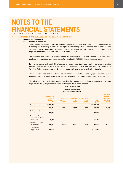For the financial year ended 31 December 2010

# **4. Management of insurance and financial risks (continued)**

# *(c) Financial risk (continued)*

### **(ii) Credit risk (continued)**

The corporate loans in the portfolio are generally secured by commercial real estate, thus mitigating credit risk. Evaluating and monitoring of credit risk arising from such lending activities is undertaken by credit analysts. Valuation of the corporate loans' collateral is carried out periodically. The carrying amount of past due or impaired corporate loans on 31 December 2010 is \$nil (2009: nil).

The consumer loan portfolio as at 31 December 2010 amounts to \$92 million (2009: \$129 million). This is made up of secured and unsecured loans of which about 94% (2009: 93%) are secured loans.

For the management of credit risk of secured consumer loans, the Group regularly performs a valuation exercise to derive the fair value of the collaterals. The purpose of this exercise is to monitor the Loan to Valuation Ratio. For some loans, the Group may repossess the collateral when the loan defaults.

The Group's credit policy to monitor the default risk on unsecured loans is to engage an external agent to regularly inform the Group if any of the borrowers are currently facing legal actions by other creditors.

The following table provides information regarding the carrying value of financial assets that have been impaired and the ageing of financial assets that are past due but not impaired.

**At 31 December 2010**

|                                                          |                                                      |                               | At 31 December 2010                                           |                                         |                        |                                                                    |
|----------------------------------------------------------|------------------------------------------------------|-------------------------------|---------------------------------------------------------------|-----------------------------------------|------------------------|--------------------------------------------------------------------|
|                                                          |                                                      |                               | <b>Financial assets that are</b><br>past due but not impaired |                                         |                        |                                                                    |
|                                                          | <b>Neither past</b><br>due nor<br>impaired<br>\$′000 | Up to $3$<br>months<br>\$′000 | 3 months to<br>1 year<br>\$′000                               | <b>Greater than</b><br>1 year<br>\$′000 | <b>Total</b><br>\$'000 | <b>Financial</b><br>assets that<br>have been<br>impaired<br>\$′000 |
| Debt securities                                          | 14,782,466                                           | $\qquad \qquad \blacksquare$  | ٠                                                             | $\qquad \qquad \blacksquare$            | 14,782,466             |                                                                    |
| Loans                                                    | 861,216                                              | 5,951                         | 1,597                                                         | 325                                     | 869,089                | 1,925                                                              |
| Derivatives with<br>positive fair values                 | 297,838                                              |                               | $\overline{\phantom{a}}$                                      |                                         | 297,838                |                                                                    |
| Reinsurers' share of<br>insurance contract<br>provisions | 33,488                                               |                               |                                                               |                                         | 33,488                 |                                                                    |
| Insurance and other<br>receivables                       | 129,048                                              | 67,717                        | 4,595                                                         | 153                                     | 201,513                | 5,223                                                              |
| Cash and cash<br>equivalents                             | 1,220,586                                            |                               |                                                               |                                         | 1,220,586              |                                                                    |
|                                                          |                                                      |                               |                                                               |                                         |                        |                                                                    |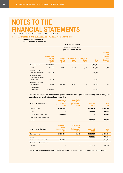# **4. Management of insurance and financial risks (continued)**

### *(c) Financial risk (continued)*

**(ii) Credit risk (continued)**

| At 31 December 2009                                      |                                                               |                               |                                 |                                         |                        |                                                                       |
|----------------------------------------------------------|---------------------------------------------------------------|-------------------------------|---------------------------------|-----------------------------------------|------------------------|-----------------------------------------------------------------------|
|                                                          | <b>Financial assets that are</b><br>past due but not impaired |                               |                                 |                                         |                        |                                                                       |
|                                                          | <b>Neither past</b><br>due nor<br>impaired<br>\$′000          | Up to $3$<br>months<br>\$′000 | 3 months to<br>1 year<br>\$′000 | <b>Greater than</b><br>1 year<br>\$′000 | <b>Total</b><br>\$′000 | <b>Financial</b><br>assets<br>that have<br>been<br>impaired<br>\$′000 |
| Debt securities                                          | 13,303,885                                                    |                               |                                 | $\overline{\phantom{a}}$                | 13,303,885             |                                                                       |
| Loans                                                    | 752,795                                                       | 6,950                         | 2,420                           | 1,136                                   | 763,301                | 2,426                                                                 |
| Derivatives with<br>positive fair values                 | 105,201                                                       |                               | $\overline{a}$                  |                                         | 105,201                |                                                                       |
| Reinsurers' share of<br>insurance contract<br>provisions | 38,371                                                        |                               | $\overline{\phantom{a}}$        |                                         | 38,371                 |                                                                       |
| Insurance and other<br>receivables                       | 128,343                                                       | 65,898                        | 5,002                           | 435                                     | 199,678                | 7,132                                                                 |
| Cash and cash<br>equivalents                             | 1,157,449                                                     |                               |                                 | -                                       | 1,157,449              |                                                                       |

The table below provide information regarding the credit risk exposure of the Group by classifying assets according to the credit ratings of counterparties.

| As at 31 December 2010                   | <b>Investment</b><br>Grade<br>(AAA to BBB-)<br>\$'000 | <b>Speculative</b><br>Grade<br>(Below BBB-)<br>\$'000 | Non-rated<br>\$′000 | <b>Total</b><br>\$'000 |
|------------------------------------------|-------------------------------------------------------|-------------------------------------------------------|---------------------|------------------------|
| Debt securities                          | 11,157,682                                            | 112,142                                               | 3,512,642           | 14,782,466             |
| Loans                                    | $\overline{\phantom{0}}$                              |                                                       | 869,089             | 869,089                |
| Cash and cash equivalents                | 1,220,586                                             | $\qquad \qquad \blacksquare$                          | $\blacksquare$      | 1,220,586              |
| Derivatives with positive fair<br>values |                                                       |                                                       | 297,838             | 297,838                |

| As at 31 December 2009                   | <b>Investment</b><br>Grade<br>(AAA to BBB-)<br>\$′000 | <b>Speculative</b><br>Grade<br>(Below BBB-)<br>\$′000 | Non-rated<br>\$′000      | <b>Total</b><br>\$'000 |
|------------------------------------------|-------------------------------------------------------|-------------------------------------------------------|--------------------------|------------------------|
| Debt securities                          | 10,839,038                                            | 73,062                                                | 2,391,785                | 13,303,885             |
| Loans                                    | $\overline{\phantom{a}}$                              |                                                       | 763,301                  | 763,301                |
| Cash and cash equivalents                | 1,157,449                                             | -                                                     | $\overline{\phantom{0}}$ | 1,157,449              |
| Derivatives with positive fair<br>values | $\overline{a}$                                        |                                                       | 105,201                  | 105,201                |

The carrying amount of assets included on the balance sheet represents the maximum credit exposure.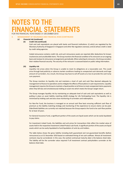# **4. Management of insurance and financial risks (continued)**

# *(c) Financial risk (continued)*

# **(ii) Credit risk (continued)**

Cash and cash equivalents are placed with banks and financial institutions: (i) which are regulated by the Monetary Authority of Singapore in Singapore and other like regulators overseas; and (ii) whose credit is rated by credit rating agencies.

Ceded reinsurance contains credit risk, and such reinsurance assets are reported after deductions for known insolvencies and uncollectible items. The Group monitors the financial condition of its reinsurers on an ongoing basis and reviews its reinsurance arrangements periodically. When selecting its reinsurers, the Group considers their relative financial security. The security of the reinsurer is assessed based on public rating information.

# **(iii) Liquidity risk**

Liquidity risk arises when the Group is unable to meet its obligations at a reasonable cost. This could arise through bad publicity or adverse market conditions leading to unexpected cash demands and huge amount of surrenders. As a result, the Group may have to sell off assets at a loss to provide the cash lump sum payment.

The Group monitors its liquidity risk and maintains a level of cash and cash flow deemed adequate by management to finance its operations and to mitigate the effects of fluctuations in cash requirements. Liquidity management requires the Group to maintain a liquid position at all times to meet unexpected claims payments when they fall due and simultaneously holding an asset mix which meets the Group's target return.

The Group manages liquidity risk by maintaining an adequate level of cash and cash equivalents as well as putting in place an asset liability matching (ALM) strategy for Life Participating Fund. The liquidity risk is minimised by holding cash and also close monitoring of surrenders and redemptions.

For Non-Par Fund, the business is managed on an annual cash flow basis ensuring sufficient cash flow of premium as the liability matching strategy and monitoring of the experience to ensure claims can be paid. ElderShield liabilities are currently not matched because the Group expects the fund to be cash-flow positive for at least 10 years.

For General Insurance Fund, a significant portion of the assets are liquid assets which can be easily liquidated to pay claims.

For Investment Linked Funds, the liabilities and unit prices for transactions fully reflect the market value of assets held in the respective Investment Linked Product sub-funds. A significant portion of the assets are liquid assets which can be easily liquidated to fund liquidation of units by unit-holders.

The table below shows the gross liability including both guaranteed and non-guaranteed benefits (before reinsurance) as at 31 December 2010 based on estimated timing of net cash outflows. Almost all investment contracts may be surrendered. In this case, the earliest contractual maturity date is the balance sheet date. The liability will be the surrender value required if all investment contract policyholders surrender at the balance sheet date.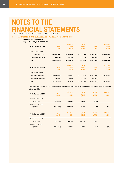# **4. Management of insurance and financial risks (continued)**

# *(c) Financial risk (continued)*

**(iii) Liquidity risk (continued)**

|                        |                | <b>Within 1</b> | $1 - 5$     | $5 - 15$    | Over 15        |
|------------------------|----------------|-----------------|-------------|-------------|----------------|
| As 31 December 2010    | <b>Total</b>   | year            | years       | years       | years          |
|                        | \$′000         | \$′000          | \$′000      | \$′000      | \$′000         |
| Long Term business     |                |                 |             |             |                |
| - Insurance contracts  | (23, 631, 261) | (2,854,915)     | (5,467,629) | (4,685,544) | (10, 623, 173) |
| - Investment contracts | (243, 654)     | (118, 743)      | (81, 953)   | (42, 958)   |                |
| <b>Total</b>           | (23, 874, 915) | (2,973,658)     | (5,549,582) | (4,728,502) | (10,623,173)   |
|                        |                |                 |             |             |                |
|                        |                | <b>Within 1</b> | $1 - 5$     | $5 - 15$    | Over 15        |
| As 31 December 2009    | <b>Total</b>   | year            | years       | years       | years          |
|                        | \$′000         | \$′000          | \$′000      | \$'000      | \$′000         |
| Long Term business     |                |                 |             |             |                |
| - Insurance contracts  | (20, 822, 732) | (2, 138, 450)   | (4,572,022) | (4,611,205) | (9,501,055)    |
| - Investment contracts | (244, 527)     | (116, 548)      | (83, 533)   | (44, 446)   |                |
| Total                  | (21,067,259)   | (2, 254, 998)   | (4,655,555) | (4,655,651) | (9,501,055)    |

The table below shows the undiscounted contractual cash flows in relation to derivative instruments and other payables.

| As 31 December 2010             | <b>Total</b><br>\$′000 | Within 1<br>year<br>\$'000 | $1 - 5$<br>years<br>\$'000        | $5 - 15$<br>years<br>\$′000 | Over <sub>15</sub><br>years<br>\$'000 |
|---------------------------------|------------------------|----------------------------|-----------------------------------|-----------------------------|---------------------------------------|
| Derivative financial            |                        |                            |                                   |                             |                                       |
| instruments                     | (65, 223)              | (60, 492)                  | (3,817)                           | (914)                       |                                       |
| Insurance and other             |                        |                            |                                   |                             |                                       |
| payables                        | (617, 809)             | (589, 259)                 | (23, 766)                         | (4, 720)                    | (64)                                  |
| As 31 December 2009             | <b>Total</b><br>\$'000 | Within 1<br>year<br>\$'000 | $1 - 5$<br><b>Years</b><br>\$′000 | $5 - 15$<br>years<br>\$′000 | Over 15<br>years<br>\$'000            |
| Derivative financial            |                        |                            |                                   |                             |                                       |
| instruments                     | (68, 278)              | (45, 968)                  | (22, 797)                         | 487                         | $\overline{\phantom{a}}$              |
| Insurance and other<br>payables | (379, 391)             | (352, 192)                 | (22, 543)                         | (4, 557)                    | (99)                                  |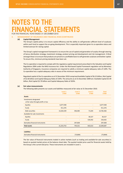For the financial year ended 31 December 2010

### **4. Management of insurance and financial risks (continued)**

### **(d) Capital Management**

The Group's capital policy is to ensure capital efficiency and the ability to self-generate sufficient level of surpluses within each fund to support the on-going development. This is especially important given its co-operative status and limited avenues for raising capital.

The Group's capital management framework is to ensure the use of capital and generation of surplus through steering of bonus distribution strategy, investment strategy, product pricing and development and risk management. Critical amongst these is to ensure that products are priced on a profitable basis to self-generate surpluses and bolster capital. To ensure this, minimum pricing standards have been set.

The Co-operative is required to comply with the regulatory capital requirement prescribed in the Valuation and Capital Regulations 2004 under the MAS Insurance Act. Under the Risk-based Capital Framework regulation set by Monetary Authority of Singapore, Insurance companies are required to satisfy a minimum capital adequacy ratio of 120%. The Co-operative has a capital adequacy ratio in excess of the minimum requirement.

Regulated capital of the Co-operative as at 31 December 2010 comprised Available Capital of \$6.22 billion, Risk Capital of \$2.66 billion and Capital Adequacy Ratio of 234%. The amounts as at 31 December 2009 are: Available Capital \$5.49 billion, Risk Capital \$2.70 billion and Capital Adequacy Ratio of 203%.

#### **(e) Fair value measurements**

The following table presents our assets and liabilities measured at fair value at 31 December 2010.

|                                      | Level 1<br>\$'000        | Level <sub>2</sub><br>\$′000 | Level 3<br>\$'000 | <b>Total</b> |
|--------------------------------------|--------------------------|------------------------------|-------------------|--------------|
|                                      |                          |                              |                   | \$′000       |
| <b>Assets</b>                        |                          |                              |                   |              |
| Investments designated               |                          |                              |                   |              |
| at fair value through profit or loss |                          |                              |                   |              |
| Equities                             | 6,077,938                | $\qquad \qquad \blacksquare$ |                   | 6,077,938    |
| Funds                                | 911,476                  | $\overline{\phantom{m}}$     |                   | 911,476      |
| Debt securities                      | 14,264,339               | 446,483                      | 71,644            | 14,782,466   |
| Available-for-sale investments       |                          |                              |                   |              |
| Equities                             | $\overline{\phantom{m}}$ |                              | 36,527            | 36,527       |
| <b>Funds</b>                         | $\overline{\phantom{0}}$ |                              | 534,442           | 534,442      |
| Derivative financial instruments     |                          | 297,838                      |                   | 297,838      |
| <b>Total assets</b>                  | 21,253,753               | 744,321                      | 642,613           | 22,640,687   |
|                                      |                          |                              |                   |              |
| <b>Liabilities</b>                   |                          |                              |                   |              |
| Derivative financial instruments     |                          | (73, 864)                    |                   | (73, 864)    |

The fair value of financial instruments traded in active markets (such as trading and available-for-sale securities) is based on quoted market prices at the balance sheet date. The quoted market price used for financial assets held by the Group is the current bid price. These instruments are included in Level 1.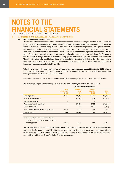For the financial year ended 31 December 2010

**4. Management of insurance and financial risks (continued)**

## **(e) Fair value measurements (continued)**

The fair value of financial instruments that are not traded in an active market (for example, over-the-counter derivatives) is determined by using valuation techniques. The Group uses a variety of methods and makes assumptions that are based on market conditions existing at each balance sheet date. Quoted market prices or dealer quotes for similar instruments are used to estimate fair value for long-term debt for disclosure purposes. Other techniques, such as estimated discounted cash flows, are used to determine fair value for the remaining financial instruments. The fair value of interest rate swaps is calculated as the present value of the estimated future cash flows. The fair value of forward foreign exchange contracts is determined using quoted forward exchange rates at the balance sheet date. These investments are included in Level 2 and comprise debt investments and derivative financial instruments. In infrequent circumstances, where a valuation technique for these instruments is based on significant unobservable inputs, such instruments are included in Level 3.

Valuation of private equity fund investments was based on net asset value reports as at 30 September 2010, adjusted for the net cash flows movement from 1 October 2010 till 31 December 2010. If a premium of 4.5% had been applied, the impact on the valuation would have been \$17.8m.

**Available-for-sale investments**

For debt investments in Level 3, if a discount factor of 10% had been applied, the impact would be \$12 million.

|                                                  | <b>Debt</b><br><b>investments</b><br>\$′000 | <b>Unquoted</b><br>funds<br>\$′000 | <b>Unquoted</b><br>equities<br>\$′000 | <b>Total</b><br>\$′000 |
|--------------------------------------------------|---------------------------------------------|------------------------------------|---------------------------------------|------------------------|
| Opening balance                                  | 44,725                                      | 397,251                            | 37,483                                | 479,459                |
| Sales of level 3 securities                      |                                             | (42, 971)                          | (308)                                 | (43, 279)              |
| Transfers into level 3                           | $\qquad \qquad -$                           |                                    |                                       |                        |
| Purchases of level 3 securities                  | $\overline{\phantom{a}}$                    | 160,467                            | 1,772                                 | 162,239                |
| <b>Revaluation reserve</b>                       | $\qquad \qquad -$                           | 512                                | (1,579)                               | (1,067)                |
| Gains and losses recognised in profit or loss    | 26,919                                      | 19,183                             | (841)                                 | 45,261                 |
| <b>Closing balance</b>                           | 71,644                                      | 534,442                            | 36,527                                | 642,613                |
|                                                  |                                             |                                    |                                       |                        |
| Total gains or losses for the period included in |                                             |                                    |                                       |                        |
| profit or loss for assets held at the end of the |                                             |                                    |                                       |                        |
| reporting period                                 | 26.919                                      | 19,183                             | (841)                                 | 45.261                 |

The following table presents the changes in Level 3 instruments for the year ended 31 December 2010.

The carrying value less impairment provision of insurance receivables and payables are assumed to approximate their fair values. The fair value of financial liabilities for disclosure purposes is estimated based on quoted market prices or dealer quotes for similar instruments by discounting the future contractual cash flows at the current market interest rate that is available to the Group for similar financial instruments.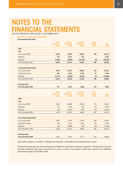**5. Property, plant and equipment**

**Life Insurance Par Fund**

|                                 | <b>Office</b><br>equipment<br>\$′000 | <b>Furniture</b><br>and fittings<br>\$'000 | <b>Computer</b>     | <b>Motor</b><br>vehicles<br>\$'000 | <b>Total</b><br>\$'000 |
|---------------------------------|--------------------------------------|--------------------------------------------|---------------------|------------------------------------|------------------------|
|                                 |                                      |                                            | equipment<br>\$'000 |                                    |                        |
| 2010                            |                                      |                                            |                     |                                    |                        |
| Cost                            |                                      |                                            |                     |                                    |                        |
| At 1 January 2010               | 6,403                                | 18,254                                     | 26,060              | 504                                | 51,221                 |
| <b>Additions</b>                | 164                                  | 2,973                                      | 876                 | $\blacksquare$                     | 4,013                  |
| <b>Disposals</b>                | (3, 284)                             | (6,506)                                    | (10, 735)           | (9)                                | (20,534)               |
| At 31 December 2010             | 3,283                                | 14,721                                     | 16,201              | 495                                | 34,700                 |
| <b>Accumulated depreciation</b> |                                      |                                            |                     |                                    |                        |
| At 1 January 2010               | 5,093                                | 12,312                                     | 19,883              | 264                                | 37,552                 |
| Charge for the year             | 496                                  | 2,024                                      | 2,533               | 87                                 | 5,140                  |
| <b>Disposals</b>                | (2, 777)                             | (4,068)                                    | (9,035)             | (6)                                | (15, 886)              |
| At 31 December 2010             | 2,812                                | 10,268                                     | 13,381              | 345                                | 26,806                 |
| Net book value                  |                                      |                                            |                     |                                    |                        |
| At 31 December 2010             | 471                                  | 4,453                                      | 2,820               | 150                                | 7,894                  |
|                                 |                                      |                                            |                     |                                    |                        |
|                                 | <b>Office</b>                        | <b>Furniture</b>                           | <b>Computer</b>     | <b>Motor</b>                       |                        |
|                                 | equipment<br>\$′000                  | and fittings<br>\$'000                     | equipment<br>\$′000 | vehicles<br>\$′000                 | <b>Total</b><br>\$'000 |
| 2009                            |                                      |                                            |                     |                                    |                        |
| Cost                            |                                      |                                            |                     |                                    |                        |
| At 1 January 2009               | 6,344                                | 18,858                                     | 25,328              | 476                                | 51,006                 |
| <b>Additions</b>                | 80                                   | 2,618                                      | 969                 | 99                                 | 3,766                  |
| <b>Disposals</b>                | (21)                                 | (3, 222)                                   | (237)               | (71)                               | (3, 551)               |
| At 31 December 2009             | 6,403                                | 18,254                                     | 26,060              | 504                                | 51,221                 |
|                                 |                                      |                                            |                     |                                    |                        |
| <b>Accumulated depreciation</b> |                                      |                                            |                     |                                    |                        |
| At 1 January 2009               | 4,523                                | 11,129                                     | 17,491              | 203                                | 33,346                 |
| Charge for the year             | 585                                  | 2,272                                      | 2,625               | 84                                 | 5,566                  |
| <b>Disposals</b>                | (15)                                 | (1,089)                                    | (233)               | (23)                               | (1,360)                |
| At 31 December 2009             | 5,093                                | 12,312                                     | 19,883              | 264                                | 37,552                 |
| Net book value                  |                                      |                                            |                     |                                    |                        |
| At 31 December 2009             | 1,310                                | 5,942                                      | 6,177               | 240                                | 13,669                 |

Depreciation expense is included in "Management expenses" in the statement of comprehensive income.

During the financial year, the Group reviewed and changed the useful lives of computer equipment. The useful lives of certain computer equipment have been reduced from 5 years to 3 years. This change in useful lives resulted in an additional depreciation charge of \$197,000 in 2010.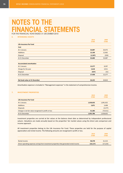#### **6. Intangible assets**

|                                 | 2010    | 2009   |
|---------------------------------|---------|--------|
|                                 | \$'000  | \$'000 |
| Life Insurance Par Fund         |         |        |
| Cost                            |         |        |
| At 1 January                    | 33,087  | 20,475 |
| <b>Additions</b>                | 12,100  | 12,962 |
| Disposal                        | (1,507) | (350)  |
| At 31 December                  | 43,680  | 33,087 |
|                                 |         |        |
| <b>Accumulated amortisation</b> |         |        |
| At 1 January                    | 12,277  | 8,397  |
| Charge for the year             | 5,618   | 3,911  |
| Disposal                        | (437)   | (31)   |
| At 31 December                  | 17,458  | 12,277 |
|                                 |         |        |
| Net book value at 31 December   | 26,222  | 20,810 |

Amortisation expense is included in "Management expenses" in the statement of comprehensive income.

# **7. Investment properties**

|                                                       | 2010           | 2009      |
|-------------------------------------------------------|----------------|-----------|
|                                                       | \$'000         | \$'000    |
| Life Insurance Par Fund                               |                |           |
| At 1 January                                          | 1,018,632      | 1,091,922 |
| <b>Additions</b>                                      | 5,871          | 3,498     |
| <b>Disposals</b>                                      | $\blacksquare$ | (3, 377)  |
| Change in net fair value recognised in profit or loss | 31,283         | (73, 411) |
| At 31 December                                        | 1,055,786      | 1,018,632 |

Investment properties are carried at fair values at the balance sheet date as determined by independent professional valuers. Valuations are made annually based on the properties' fair market values using the direct sale comparison and income approach.

All investment properties belong to the Life Insurance Par Fund. These properties are held for the purpose of capital appreciation and rental income. The following amounts are recognised in profit or loss.

|                                                                                           | 2010<br>\$'000 | 2009<br>\$'000 |
|-------------------------------------------------------------------------------------------|----------------|----------------|
|                                                                                           |                |                |
| Rental income                                                                             | 58,378         | 61,313         |
| Direct operating expenses arising from investment properties that generated rental income | (16, 117)      | (17, 223)      |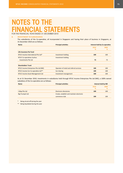## NOTES TO THE FINANCIAL STATEMENTS

For the financial year ended 31 December 2010

#### **8. Investment in subsidiaries**

The subsidiaries of the Co-operative, all incorporated in Singapore and having their place of business in Singapore, at 31 December 2010 are as follows:

| <b>Principal activities</b>              | Interest held by Co-operative |      |  |
|------------------------------------------|-------------------------------|------|--|
|                                          | 2010                          | 2009 |  |
|                                          | ℅                             | %    |  |
|                                          |                               |      |  |
| Investment holding                       | 100                           | 100  |  |
| Investment holding                       |                               |      |  |
|                                          | 73                            | 73   |  |
|                                          |                               |      |  |
|                                          |                               |      |  |
| Operator of retail and referral services | 100                           | 100  |  |
| Car sharing                              | 100                           | 100  |  |
| Investment management                    | 100                           | 100  |  |
|                                          |                               |      |  |

As at 31 December 2010, investments in subsidiaries held through NTUC Income Enterprises Pte Ltd (NIE), a 100% owned subsidiary of the Co-operative are as follows:

| <b>Name</b>            | <b>Principal activities</b>               | Interest held by NIE |           |  |
|------------------------|-------------------------------------------|----------------------|-----------|--|
|                        |                                           | 2010<br>%            | 2009<br>% |  |
| I-Map Pte Ltd          | Electronic directories                    | 100                  | 100       |  |
| <b>Big Trumpet Ltd</b> | Create, establish and maintain electronic |                      |           |  |
|                        | commerce club                             | 100                  | 100       |  |

\* Being struck-off during the year

\*\* Being liquidated during the year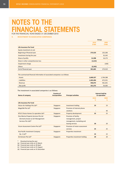**9. Investment in associated companies**

|                                                                            |           | Group     |
|----------------------------------------------------------------------------|-----------|-----------|
|                                                                            | 2010      | 2009      |
|                                                                            | \$′000    | \$′000    |
| Life Insurance Par Fund                                                    |           |           |
| Equity investment at cost                                                  |           |           |
| Beginning of financial year                                                | 273,523   | 225,206   |
| Investment during the year                                                 | ٠         | 32,242    |
| Share of profits                                                           | 31,998    | 16,175    |
| Share in other comprehensive loss                                          | (1,614)   |           |
| Impairment charge                                                          |           | (100)     |
| <b>Others</b>                                                              | (2, 242)  |           |
| End of financial year                                                      | 301,665   | 273,523   |
|                                                                            |           |           |
| The summarised financial information of associated companies is as follows |           |           |
| - Assets                                                                   | 2,600,327 | 1,704,288 |
| - Liabilities                                                              | 1,265,494 | 672,351   |
| - Revenue                                                                  | 446,072   | 461,641   |

- Net profit **161,272** 54,305

The investment in associated companies is as follows:

| Name of company                                | <b>Country of</b><br>incorporation | <b>Principal activities</b>   | Interest held by<br>Co-operative |      |
|------------------------------------------------|------------------------------------|-------------------------------|----------------------------------|------|
|                                                |                                    |                               | 2010                             | 2009 |
|                                                |                                    |                               | %                                | %    |
| Life Insurance Par Fund                        |                                    |                               |                                  |      |
| Falcon-Air Holdings Pte Ltd <sup>(d)</sup>     | Singapore                          | Investment holding            | 23                               | 23   |
| MegaTalk Pte Ltd*                              | Singapore                          | Provision of internet phone   |                                  |      |
|                                                |                                    | solutions                     |                                  | 40   |
| NTUC Choice Homes Co-operative Ltd(a)          | Singapore                          | Property development          | 25                               | 25   |
| One Marina Property Services Pte Ltd           | Singapore                          | Provision of facility         |                                  |      |
| (formerly known as SLF Management              |                                    | management, project           |                                  |      |
| Services Pte Ltd)(a)                           |                                    | management, marketing and     |                                  |      |
|                                                |                                    | leasing services              | 20                               | 20   |
| Vicom Assessment Centre Pte Ltd <sup>(d)</sup> | Singapore                          | Provision of motor assessment |                                  |      |
|                                                |                                    | services                      | 25                               | 25   |
| Asia Pacific Investment Company                | Singapore                          | Properties investment         |                                  |      |
| No. $2$ Ltd <sup>(b)</sup>                     |                                    |                               | 22                               | 22   |
| SG Domain Pte Ltd <sup>(c)</sup>               | Singapore                          | Properties investment holding | 20                               | 20   |
|                                                |                                    |                               |                                  |      |

\* Dissolved during the year

(a) Financial year ends on 31 March

(b) Financial year ends on 30 April

(c) Financial year ends on 31 August

(d) Financial year ends on 31 December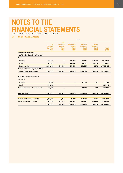#### **10. Other financial assets**

|                                      |                  |                              |                   | 2010             |              |              |
|--------------------------------------|------------------|------------------------------|-------------------|------------------|--------------|--------------|
|                                      |                  | Life                         |                   |                  |              |              |
|                                      | <b>Life</b>      | <b>Insurance</b>             | <b>Investment</b> | <b>General</b>   | <b>Share</b> |              |
|                                      | <b>Insurance</b> | <b>Non-Par</b>               | <b>Linked</b>     | <b>Insurance</b> | holders'     |              |
|                                      | <b>Par Fund</b>  | <b>Fund</b>                  | <b>Fund</b>       | <b>Fund</b>      | <b>Fund</b>  | <b>Total</b> |
|                                      | \$'000           | \$'000                       | \$'000            | <b>\$'000</b>    | \$'000       | \$'000       |
| <b>Investments designated</b>        |                  |                              |                   |                  |              |              |
| at fair value through profit or loss |                  |                              |                   |                  |              |              |
| Quoted                               |                  |                              |                   |                  |              |              |
| Equities                             | 4,808,368        | $\qquad \qquad \blacksquare$ | 697,265           | 244,126          | 328,179      | 6,077,938    |
| <b>Funds</b>                         | 633,407          | ٠                            | 188,704           | 40,002           | 49,363       | 911,476      |
| Debt securities                      | 11,896,998       | 1,693,492                    | 398,349           | 792,386          | 1,241        | 14,782,466   |
| Total investments designated at fair |                  |                              |                   |                  |              |              |
| value through profit or loss         | 17,338,773       | 1,693,492                    | 1,284,318         | 1,076,514        | 378,783      | 21,771,880   |
|                                      |                  |                              |                   |                  |              |              |
| Available-for-sale investments       |                  |                              |                   |                  |              |              |
| <b>Unquoted</b>                      |                  |                              |                   |                  |              |              |
| Equities                             | 18,516           | $\blacksquare$               | $\blacksquare$    | 17,689           | 322          | 36,527       |
| <b>Funds</b>                         | 534,442          | $\blacksquare$               |                   |                  |              | 534,442      |
| Total available-for-sale investments | 552,958          | ٠                            |                   | 17,689           | 322          | 570,969      |
|                                      |                  |                              |                   |                  |              |              |
| <b>Total investments</b>             | 17,891,731       | 1,693,492                    | 1,284,318         | 1,094,203        | 379,105      | 22,342,849   |
|                                      |                  |                              |                   |                  |              |              |
| To be settled within 12 months       | 1,842,926        | 4,735                        | 81,430            | 168,682          | 1,241        | 2,099,014    |
| To be settled after 12 months        | 16,048,805       | 1,688,757                    | 1,202,888         | 925,521          | 377,864      | 20,243,835   |
|                                      | 17,891,731       | 1,693,492                    | 1,284,318         | 1,094,203        | 379,105      | 22,342,849   |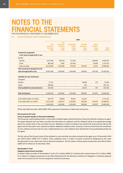#### **10. Other financial assets (continued)**

|                                             |                  |                  |                          | 2009             |                          |              |
|---------------------------------------------|------------------|------------------|--------------------------|------------------|--------------------------|--------------|
|                                             |                  | Life             |                          |                  |                          |              |
|                                             | <b>Life</b>      | <b>Insurance</b> | <b>Investment</b>        | <b>General</b>   | <b>Share</b>             |              |
|                                             | <b>Insurance</b> | <b>Non-Par</b>   | <b>Linked</b>            | <b>Insurance</b> | holders'                 |              |
|                                             | <b>Par Fund</b>  | <b>Fund</b>      | <b>Fund</b>              | <b>Fund</b>      | <b>Fund</b>              | <b>Total</b> |
|                                             | \$'000           | \$'000           | \$'000                   | \$'000           | \$'000                   | \$'000       |
| <b>Investments designated</b>               |                  |                  |                          |                  |                          |              |
| at fair value through profit or loss        |                  |                  |                          |                  |                          |              |
| <b>Quoted</b>                               |                  |                  |                          |                  |                          |              |
| Equities                                    | 3,417,363        | 293,110          | 711,423                  |                  | 269,659                  | 4,691,555    |
| <b>Funds</b>                                | 887,160          | 4,387            | 152,636                  |                  | 65,993                   | 1,110,176    |
| Debt securities                             | 10,726,960       | 1,205,984        | 370,435                  | 978,655          | 21,851                   | 13,303,885   |
| Total investments designated at fair        |                  |                  |                          |                  |                          |              |
| value through profit or loss                | 15,031,483       | 1,503,481        | 1,234,494                | 978,655          | 357,503                  | 19,105,616   |
|                                             |                  |                  |                          |                  |                          |              |
| Available-for-sale investments              |                  |                  |                          |                  |                          |              |
| <b>Unquoted</b>                             |                  |                  |                          |                  |                          |              |
| Equities                                    | 17,111           | $\blacksquare$   |                          | 20,000           | 372                      | 37,483       |
| <b>Funds</b>                                | 396,841          | L,               |                          | 410              |                          | 397,251      |
| <b>Total available for sale investments</b> | 413,952          | $\overline{a}$   | $\overline{\phantom{a}}$ | 20,410           | 372                      | 434,734      |
|                                             |                  |                  |                          |                  |                          |              |
| <b>Total investments</b>                    | 15,445,435       | 1,503,481        | 1,234,494                | 999,065          | 357,875                  | 19,540,350   |
|                                             |                  |                  |                          |                  |                          |              |
| To be settled within 12 months              | 933,776          | 88,604           | 83,632                   | 65,425           | $\overline{\phantom{a}}$ | 1,171,437    |
| To be settled after 12 months               | 14,511,659       | 1,414,877        | 1,150,862                | 933,640          | 357,875                  | 18,368,913   |
|                                             | 15,445,435       | 1,503,481        | 1,234,494                | 999,065          | 357,875                  | 19,540,350   |

Of the total debt securities, 98% (2009: 95%) represents investments in fixed rate instruments**.**

#### **Life Insurance Par Fund**

#### **Loans of quoted equities to financial institutions**

The Group was a participating lender in a Securities Lending Program administered by a financial institution acting as an agent. The agent collected cash and other securities from borrowers as collateral, and this collateral will be at an agreed percentage above the market value of the securities lent out. Marking to market of collateral was performed every business day by the agent and the borrowers were required to deliver additional collateral when necessary. Income earned from the investment of cash collateral and loan fees for loans collateralised by non-cash collateral were distributed to the participating lenders by the agent.

The fair value of the Group's share of the collateral in cash and other securities received by the agent as at 31 December 2010 was \$46.8 million (2009: \$71.5 million). These collaterals were in respect of equity investments designated as fair value through profit or loss, which were lent to financial institutions. The fair values of these equity investments were \$43.8 million (2009: \$67.9 million) at 31 December 2010.

#### **Shareholders' Fund**

#### **Singapore government securities**

Included in debt securities of Shareholders' Fund is \$1.2 million (2009: \$1.3 million) with nominal value of \$1.2 million (2009: \$1.2 million) in Singapore government securities deposited with the Monetary Authority of Singapore as statutory deposits under the Insurance Act for the life and general insurance businesses.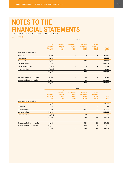**11. Loans** 

|                                |                                 |                                    |                                    | 2010                 |                          |              |
|--------------------------------|---------------------------------|------------------------------------|------------------------------------|----------------------|--------------------------|--------------|
|                                |                                 | Life                               |                                    |                      |                          |              |
|                                | <b>Life</b><br><b>Insurance</b> | <b>Insurance</b><br><b>Non-Par</b> | <b>Investment</b><br><b>Linked</b> | General<br>Insurance | <b>Share</b><br>holders' |              |
|                                | <b>Par Fund</b>                 | <b>Fund</b>                        | <b>Fund</b>                        | <b>Fund</b>          | <b>Fund</b>              | <b>Total</b> |
|                                | \$'000                          | \$′000                             | \$′000                             | \$′000               | \$′000                   | \$'000       |
| Term loans to corporations     |                                 |                                    |                                    |                      |                          |              |
| - secured                      | 186,920                         | $\qquad \qquad \blacksquare$       | $\blacksquare$                     | $\blacksquare$       | ۰                        | 186,920      |
| - unsecured                    | 31,308                          | ٠                                  | $\blacksquare$                     | $\blacksquare$       | ۰                        | 31,308       |
| <b>Consumer loans</b>          | 91,996                          | ٠                                  | $\overline{\phantom{0}}$           | 784                  |                          | 92,780       |
| Loans on policies              | 563,328                         |                                    | $\overline{\phantom{0}}$           | $\blacksquare$       |                          | 563,328      |
| Fair value adjustment          | (3, 322)                        | ٠                                  | $\blacksquare$                     | $\blacksquare$       |                          | (3, 322)     |
| Impairment loss                | (1, 298)                        | ٠                                  | $\overline{\phantom{0}}$           | (627)                |                          | (1, 925)     |
|                                | 868,932                         |                                    | $\qquad \qquad \blacksquare$       | 157                  | -                        | 869,089      |
|                                |                                 |                                    |                                    |                      |                          |              |
| To be settled within 12 months | 14,658                          | $\blacksquare$                     | $\blacksquare$                     | 65                   | -                        | 14,723       |
| To be settled after 12 months  | 854,274                         | ٠                                  | $\overline{\phantom{0}}$           | 92                   | ٠                        | 854,366      |
|                                | 868,932                         | ٠                                  | $\qquad \qquad \blacksquare$       | 157                  | -                        | 869,089      |
|                                |                                 |                                    |                                    |                      |                          |              |

|                                | 2009                                                         |                                                                            |                                                             |                                                      |                                                   |                        |
|--------------------------------|--------------------------------------------------------------|----------------------------------------------------------------------------|-------------------------------------------------------------|------------------------------------------------------|---------------------------------------------------|------------------------|
|                                | <b>Life</b><br><b>Insurance</b><br><b>Par Fund</b><br>\$'000 | <b>Life</b><br><b>Insurance</b><br><b>Non-Par</b><br><b>Fund</b><br>\$′000 | <b>Investment</b><br><b>Linked</b><br><b>Fund</b><br>\$′000 | <b>General</b><br>Insurance<br><b>Fund</b><br>\$'000 | <b>Share</b><br>holders'<br><b>Fund</b><br>\$′000 | <b>Total</b><br>\$′000 |
| Term loans to corporations     |                                                              |                                                                            |                                                             |                                                      |                                                   |                        |
| - secured                      | 74,438                                                       | $\overline{\phantom{a}}$                                                   | $\qquad \qquad -$                                           |                                                      | $\qquad \qquad \blacksquare$                      | 74,438                 |
| - unsecured                    | 85                                                           | $\overline{\phantom{a}}$                                                   | $\overline{\phantom{a}}$                                    | $\overline{\phantom{a}}$                             | $\overline{\phantom{a}}$                          | 85                     |
| <b>Consumer loans</b>          | 127,954                                                      | $\overline{\phantom{a}}$                                                   | $\qquad \qquad \blacksquare$                                | 1,257                                                | 82                                                | 129,293                |
| Loans on policies              | 561,911                                                      | $\overline{\phantom{a}}$                                                   | $\qquad \qquad \blacksquare$                                | $\overline{\phantom{m}}$                             | $\overline{\phantom{a}}$                          | 561,911                |
| Impairment loss                | (2,398)                                                      | $\overline{\phantom{a}}$                                                   | $\qquad \qquad \blacksquare$                                | (28)                                                 | $\qquad \qquad \blacksquare$                      | (2,426)                |
|                                | 761,990                                                      | $\overline{\phantom{a}}$                                                   | $\qquad \qquad -$                                           | 1,229                                                | 82                                                | 763,301                |
|                                |                                                              |                                                                            |                                                             |                                                      |                                                   |                        |
| To be settled within 12 months | 26,413                                                       | $\overline{\phantom{a}}$                                                   | $\overline{\phantom{0}}$                                    | 740                                                  | 18                                                | 27,171                 |
| To be settled after 12 months  | 735,577                                                      | $\overline{\phantom{a}}$                                                   | ٠                                                           | 489                                                  | 64                                                | 736,130                |
|                                | 761,990                                                      | $\overline{\phantom{a}}$                                                   |                                                             | 1,229                                                | 82                                                | 763,301                |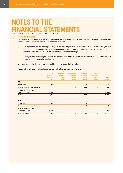## NOTES TO THE FINANCIAL STATEMENTS

For the financial year ended 31 December 2010

#### **11. Loans (continued)**

The balance of unsecured term loans to corporations as at 31 December 2010 includes loans granted to an associated company. These loans to the associated company are as follows:

- a) A five-year non-interest bearing loan of \$29.6 million with provision for fair value loss of \$3.3 million recognised in the statement of comprehensive income under net investment income and fair value gains. The loan is automatically renewable for a further period of five years unless parties otherwise agree.
- b) A five-year interest bearing loan of \$1.6 million with interest rate of 3% and interest earned of \$42,000 recognised in the statement of comprehensive income.

At balance sheet date, the carrying amounts of loans approximate their fair value.

Movements in allowance for impairment loss during the financial year are as follows:

|                                |                   | Life                         |                   |                          |                              |              |
|--------------------------------|-------------------|------------------------------|-------------------|--------------------------|------------------------------|--------------|
|                                | <b>Life</b>       | <b>Insurance</b>             | <b>Investment</b> | <b>General</b>           | <b>Share</b>                 |              |
|                                | Insurance         | <b>Non-Par</b>               | <b>Linked</b>     | <b>Insurance</b>         | holders'                     |              |
|                                | <b>Par Fund</b>   | <b>Fund</b>                  | <b>Fund</b>       | <b>Fund</b>              | <b>Fund</b>                  | <b>Total</b> |
|                                | \$'000            | \$′000                       | \$′000            | \$'000                   | \$′000                       | \$'000       |
| 2010                           |                   |                              |                   |                          |                              |              |
| At 1 January                   | 2,398             | ٠                            |                   | 28                       | ٠                            | 2,426        |
| Allowance made during the year | $\blacksquare$    | $\overline{\phantom{a}}$     | $\blacksquare$    | 599                      |                              | 599          |
| Allowance written back         |                   |                              |                   |                          |                              |              |
| during the year                | (1, 100)          | $\overline{\phantom{a}}$     | $\blacksquare$    | $\overline{\phantom{a}}$ |                              | (1, 100)     |
| At 31 December                 | 1,298             | $\overline{\phantom{0}}$     |                   | 627                      |                              | 1,925        |
|                                |                   |                              |                   |                          |                              |              |
| 2009                           |                   |                              |                   |                          |                              |              |
| At 1 January                   | 4,088             | $\overline{\phantom{a}}$     |                   | 25                       | $\qquad \qquad \blacksquare$ | 4,113        |
| Allowance made during the year | $\qquad \qquad -$ | ٠                            |                   | 3                        |                              | 3            |
| Allowance written back         |                   |                              |                   |                          |                              |              |
| during the year                | (1,690)           | $\qquad \qquad \blacksquare$ | -                 |                          | $\qquad \qquad \blacksquare$ | (1,690)      |
| At 31 December                 | 2,398             | $\qquad \qquad \blacksquare$ |                   | 28                       |                              | 2,426        |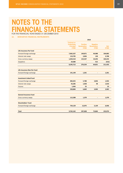**12. Derivative financial instruments**

|                                    | 2010               |                    |                              |            |  |
|------------------------------------|--------------------|--------------------|------------------------------|------------|--|
|                                    | <b>Contract or</b> |                    |                              |            |  |
|                                    | <b>Underlying</b>  | <b>Positive</b>    | <b>Negative</b>              |            |  |
|                                    | <b>Principal</b>   | <b>Revaluation</b> | <b>Revaluation</b>           | <b>Net</b> |  |
|                                    | \$'000             | \$'000             | \$'000                       | \$'000     |  |
| Life Insurance Par Fund            |                    |                    |                              |            |  |
| Forward foreign exchange           | 7,062,327          | 149,871            | 44,988                       | 104,883    |  |
| Interest rate swaps                | 119,795            | 2,836              | 128                          | 2,708      |  |
| Cross currency swaps               | 1,034,510          | 123,547            | 19,293                       | 104,254    |  |
| Swaptions                          | 29,080             |                    | 412                          | (412)      |  |
|                                    | 8,245,712          | 276,254            | 64,821                       | 211,433    |  |
| <b>Life Insurance Non-Par Fund</b> |                    |                    |                              |            |  |
| Forward foreign exchange           | 141,149            | 1,261              | $\qquad \qquad \blacksquare$ | 1,261      |  |
|                                    |                    |                    |                              |            |  |
| <b>Investment Linked Fund</b>      |                    |                    |                              |            |  |
| Forward foreign exchange           | 483,655            | 5,788              | 3,856                        | 1,932      |  |
| Interest rate swaps                | 43,285             | 1,058              | 48                           | 1,010      |  |
| <b>Futures</b>                     | 1,944              | 23                 |                              | 23         |  |
|                                    | 528,884            | 6,869              | 3,904                        | 2,965      |  |
| <b>General Insurance Fund</b>      |                    |                    |                              |            |  |
| <b>Cross currency swaps</b>        | 112,288            | 1,379              | $\blacksquare$               | 1,379      |  |
|                                    |                    |                    |                              |            |  |
| Shareholders' Fund                 |                    |                    |                              |            |  |
| Forward foreign exchange           | 734,129            | 12,075             | 5,139                        | 6,936      |  |
| <b>Total</b>                       | 9,762,162          | 297,838            | 73,864                       | 223,974    |  |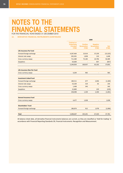**12. Derivative financial instruments (continued)**

|                                    |                                                                       | 2009                                            |                                                 |                      |  |  |
|------------------------------------|-----------------------------------------------------------------------|-------------------------------------------------|-------------------------------------------------|----------------------|--|--|
|                                    | <b>Contract or</b><br><b>Underlying</b><br><b>Principal</b><br>\$'000 | <b>Positive</b><br><b>Revaluation</b><br>\$'000 | <b>Negative</b><br><b>Revaluation</b><br>\$'000 | <b>Net</b><br>\$'000 |  |  |
| <b>Life Insurance Par Fund</b>     |                                                                       |                                                 |                                                 |                      |  |  |
| Forward foreign exchange           | 4,267,464                                                             | 23,914                                          | 37,239                                          | (13, 325)            |  |  |
| Interest rate swaps                | 202,301                                                               | 1,858                                           | 210                                             | 1,648                |  |  |
| Cross currency swaps               | 711,589                                                               | 75,185                                          | 24,796                                          | 50,389               |  |  |
| Swaptions                          | 63,600                                                                | $\overline{\phantom{a}}$                        | 857                                             | (857)                |  |  |
|                                    | 5,244,954                                                             | 100,957                                         | 63,102                                          | 37,855               |  |  |
| <b>Life Insurance Non-Par Fund</b> |                                                                       |                                                 |                                                 |                      |  |  |
| Cross currency swaps               | 4,204                                                                 | 965                                             |                                                 | 965                  |  |  |
| <b>Investment Linked Fund</b>      |                                                                       |                                                 |                                                 |                      |  |  |
| Forward foreign exchange           | 180,511                                                               | 677                                             | 2,046                                           | (1, 369)             |  |  |
| Interest rate swaps                | 53,339                                                                | 319                                             | 65                                              | 254                  |  |  |
| Cross currency swaps               | 1,448                                                                 | 343                                             |                                                 | 343                  |  |  |
| Swaptions                          | 22,800                                                                |                                                 | 229                                             | (229)                |  |  |
|                                    | 258,098                                                               | 1,339                                           | 2,340                                           | (1,001)              |  |  |
| <b>General Insurance Fund</b>      |                                                                       |                                                 |                                                 |                      |  |  |
| Cross currency swaps               | 4,477                                                                 | 1,028                                           | ÷,                                              | 1,028                |  |  |
| <b>Shareholders' Fund</b>          |                                                                       |                                                 |                                                 |                      |  |  |
| Forward foreign exchange           | 186,874                                                               | 912                                             | 1,978                                           | (1,066)              |  |  |
| <b>Total</b>                       | 5,698,607                                                             | 105,201                                         | 67,420                                          | 37,781               |  |  |

At balance sheet date, all derivative financial instruments balances are current, as they are classified as 'held for trading' in accordance with Financial Reporting Standards 39, Financial Instruments: Recognition and Measurement.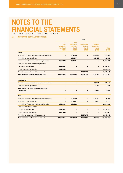**13. Insurance contract provisions**

|                                                             | 2010                      |                       |                       |                       |                        |
|-------------------------------------------------------------|---------------------------|-----------------------|-----------------------|-----------------------|------------------------|
|                                                             |                           | <b>Life</b>           |                       |                       |                        |
|                                                             | <b>Life</b>               | <b>Insurance</b>      | <b>Investment</b>     | General               |                        |
|                                                             | <b>Insurance</b>          | <b>Non-Par</b>        | <b>Linked</b>         | <b>Insurance</b>      |                        |
|                                                             | <b>Par Fund</b><br>\$'000 | <b>Fund</b><br>\$'000 | <b>Fund</b><br>\$'000 | <b>Fund</b><br>\$'000 | <b>Total</b><br>\$'000 |
| Gross                                                       |                           |                       |                       |                       |                        |
| Provision for claims and loss adjustment expenses           |                           | 105,199               |                       | 451,844               | 557,043                |
| Provision for unexpired risks                               |                           | 100,277               |                       | 162,420               | 262,697                |
|                                                             |                           |                       |                       |                       |                        |
| Provision for future non-participating benefits             | 2,062,439                 | 892,211               |                       |                       | 2,954,650              |
| Provision for future participating benefits                 |                           |                       |                       |                       |                        |
| - Guaranteed benefits                                       | 8,788,281                 |                       |                       |                       | 8,788,281              |
| - Non-guaranteed benefits                                   | 9,761,445                 |                       |                       | $\blacksquare$        | 9,761,445              |
| Provision for investment linked contracts                   |                           |                       | 1,307,145             |                       | 1,307,145              |
| Total insurance contract provisions, gross                  | 20,612,165                | 1,097,687             | 1,307,145             | 614,264               | 23,631,261             |
| Reinsurance                                                 |                           |                       |                       |                       |                        |
| Provision for claims and loss adjustment expenses           | $\overline{a}$            |                       |                       | 30,744                | 30,744                 |
| Provision for unexpired risks                               |                           |                       |                       | 2,744                 | 2,744                  |
| Total reinsurers' share of insurance contract<br>provisions |                           |                       |                       | 33,488                | 33,488                 |
|                                                             |                           |                       |                       |                       |                        |
| <b>Net</b>                                                  |                           |                       |                       |                       |                        |
| Provision for claims and loss adjustment expenses           |                           | 105,199               |                       | 421,100               | 526,299                |
| Provision for unexpired risks                               |                           | 100,277               |                       | 159,676               | 259,953                |
| Provision for future non-participating benefits             | 2,062,439                 | 892,211               |                       |                       | 2,954,650              |
| Provision for future benefits                               |                           |                       |                       |                       |                        |
| - Guaranteed benefits                                       | 8,788,281                 | $\blacksquare$        |                       | $\blacksquare$        | 8,788,281              |
| - Non-guaranteed benefits                                   | 9,761,445                 |                       |                       |                       | 9,761,445              |
| Provision for investment linked contracts                   |                           |                       | 1,307,145             |                       | 1,307,145              |
| Total insurance contract provisions, net                    | 20,612,165                | 1,097,687             | 1,307,145             | 580,776               | 23,597,773             |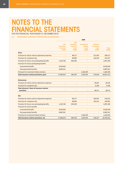**13. Insurance contract provisions (continued)**

|                                                             |                  | <b>Life</b>      |                   |                  |              |
|-------------------------------------------------------------|------------------|------------------|-------------------|------------------|--------------|
|                                                             | Life             | <b>Insurance</b> | <b>Investment</b> | General          |              |
|                                                             | <b>Insurance</b> | <b>Non-Par</b>   | <b>Linked</b>     | <b>Insurance</b> |              |
|                                                             | <b>Par Fund</b>  | Fund             | <b>Fund</b>       | <b>Fund</b>      | <b>Total</b> |
|                                                             | \$'000           | \$'000           | \$'000            | \$'000           | \$'000       |
| Gross                                                       |                  |                  |                   |                  |              |
| Provision for claims and loss adjustment expenses           |                  | 88,217           |                   | 412,300          | 500,517      |
| Provision for unexpired risks                               |                  | 89,869           |                   | 164,328          | 254,197      |
| Provision for future non-participating benefits             | 1,292,700        | 804,509          |                   |                  | 2,097,209    |
| Provision for future participating benefits                 |                  |                  |                   |                  |              |
| - Guaranteed benefits                                       | 8,018,658        |                  |                   |                  | 8,018,658    |
| - Non-guaranteed benefits                                   | 8,685,561        |                  |                   |                  | 8,685,561    |
| Provision for investment linked contracts                   |                  |                  | 1,266,590         |                  | 1,266,590    |
| Total insurance contract provisions, gross                  | 17,996,919       | 982,595          | 1,266,590         | 576,628          | 20,822,732   |
|                                                             |                  |                  |                   |                  |              |
| Reinsurance                                                 |                  |                  |                   |                  |              |
| Provision for claims and loss adjustment expenses           |                  |                  |                   | 30,265           | 30,265       |
| Provision for unexpired risks                               |                  |                  |                   | 8,106            | 8,106        |
| Total reinsurers' share of insurance contract<br>provisions |                  |                  |                   | 38,371           | 38,371       |
|                                                             |                  |                  |                   |                  |              |
| <b>Net</b>                                                  |                  |                  |                   |                  |              |
| Provision for claims and loss adjustment expenses           |                  | 88,217           |                   | 382,035          | 470,252      |
| Provision for unexpired risks                               |                  | 89,869           |                   | 156,222          | 246,091      |
| Provision for future non-participating benefits             | 1,292,700        | 804,509          |                   |                  | 2,097,209    |
| Provision for future benefits                               |                  |                  |                   |                  |              |
| - Guaranteed benefits                                       | 8,018,658        |                  |                   |                  | 8,018,658    |
| - Non-guaranteed benefits                                   | 8,685,561        |                  |                   |                  | 8,685,561    |
| Provision for investment linked contracts                   |                  |                  | 1,266,590         |                  | 1,266,590    |
| Total insurance contract provisions, net                    | 17,996,919       | 982,595          | 1,266,590         | 538,257          | 20,784,361   |

**2009**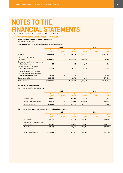#### **13. Insurance contract provisions (continued) Movements in insurance contract provisions**

### **Life Insurance Par Fund**

#### **Provision for future participating / non-participating benefits**

|                                                                          | 2010         |                          |            | 2009         |                          |            |  |
|--------------------------------------------------------------------------|--------------|--------------------------|------------|--------------|--------------------------|------------|--|
|                                                                          | <b>Gross</b> | <b>Reinsurance</b>       | <b>Net</b> | <b>Gross</b> | <b>Reinsurance</b>       | <b>Net</b> |  |
|                                                                          | \$'000       | \$′000                   | \$′000     | \$′000       | \$'000                   | \$'000     |  |
| At 1 January                                                             | 17,996,919   | $\overline{\phantom{a}}$ | 17,996,919 | 15,514,688   | $\overline{\phantom{a}}$ | 15,514,688 |  |
| Increase in insurance contract<br>provisions                             | 2,321,658    | $\overline{\phantom{a}}$ | 2,321,658  | 2,048,454    |                          | 2,048,454  |  |
| Transfer of premiums and recovery of<br>allocated expenses               | 485          | $\overline{\phantom{0}}$ | 485        | 4,317        |                          | 4,317      |  |
| Share in results of subsidiaries and<br>associated companies             | 30,333       | $\blacksquare$           | 30,333     | 16,175       |                          | 16,175     |  |
| Change in liabilities for insurance<br>contracts arising from unrealised |              |                          |            |              |                          |            |  |
| available-for-sale net gain                                              | 1,294        | $\blacksquare$           | 1,294      | 42,885       | $\overline{\phantom{a}}$ | 42,885     |  |
| <b>Bonus to policyholders</b>                                            | 261,476      | $\blacksquare$           | 261,476    | 370,400      |                          | 370,400    |  |
| At 31 December                                                           | 20,612,165   | $\blacksquare$           | 20,612,165 | 17,996,919   |                          | 17,996,919 |  |

#### **Life Insurance Non-Par Fund**

#### **(a) Provision for unexpired risks**

|                        | 2010                   |                              |                      | 2009                   |                              |                      |  |
|------------------------|------------------------|------------------------------|----------------------|------------------------|------------------------------|----------------------|--|
|                        | <b>Gross</b><br>\$'000 | <b>Reinsurance</b><br>\$′000 | <b>Net</b><br>\$′000 | <b>Gross</b><br>\$′000 | <b>Reinsurance</b><br>\$'000 | <b>Net</b><br>\$'000 |  |
| At 1 January           | 89,869                 | $\blacksquare$               | 89.869               | 113,835                | -                            | 113,835              |  |
| Movements for the year | 10.408                 | ٠                            | 10,408               | (23,966)               | -                            | (23,966)             |  |
| At 31 December         | 100.277                | $\overline{\phantom{0}}$     | 100.277              | 89.869                 | -                            | 89,869               |  |

#### **(b) Provisions for future non-participating benefits and claims**

|                                              |                        | 2010                         |                      | 2009                   |                              |                      |  |
|----------------------------------------------|------------------------|------------------------------|----------------------|------------------------|------------------------------|----------------------|--|
|                                              | <b>Gross</b><br>\$′000 | <b>Reinsurance</b><br>\$′000 | <b>Net</b><br>\$′000 | <b>Gross</b><br>\$′000 | <b>Reinsurance</b><br>\$′000 | <b>Net</b><br>\$′000 |  |
| At 1 January                                 | 892,726                | $\overline{\phantom{a}}$     | 892,726              | 756,652                |                              | 756,652              |  |
| Increase in insurance contract<br>provisions | 104,684                | $\overline{\phantom{a}}$     | 104,684              | 136,074                | $\overline{\phantom{m}}$     | 136,074              |  |
| At 31 December                               | 997,410                | $\blacksquare$               | 997,410              | 892,726                | $\overline{\phantom{a}}$     | 892,726              |  |
|                                              |                        |                              |                      |                        |                              |                      |  |
| At 31 December (a) $+$ (b)                   | 1,097,687              | $\overline{\phantom{0}}$     | 1,097,687            | 982,595                |                              | 982,595              |  |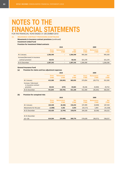#### **13. Insurance contract provisions (continued)**

**Movements in insurance contract provisions** (continued)

### **Investment Linked Fund**

**Provision for investment linked contracts**

|                                  | 2010         |                          |            | 2009         |                          |            |
|----------------------------------|--------------|--------------------------|------------|--------------|--------------------------|------------|
|                                  | <b>Gross</b> | <b>Reinsurance</b>       | <b>Net</b> | <b>Gross</b> | <b>Reinsurance</b>       | <b>Net</b> |
|                                  | \$′000       | \$′000                   | \$'000     | \$′000       | \$′000                   | \$'000     |
| At 1 January                     | 1,266,590    | $\overline{\phantom{a}}$ | 1,266,590  | 945.320      | -                        | 945,320    |
| Increase/(decrease) in insurance |              |                          |            |              |                          |            |
| contract provision               | 40.555       | $\overline{\phantom{a}}$ | 40.555     | 321,270      |                          | 321,270    |
| At 31 December                   | 1,307,145    | $\blacksquare$           | 1,307,145  | 1,266,590    | $\overline{\phantom{a}}$ | 1,266,590  |

#### **General Insurance Fund**

#### **(a) Provision for claims and loss adjustment expenses**

|                                                             |                        | 2010                         |                      | 2009                   |                                         |                      |  |
|-------------------------------------------------------------|------------------------|------------------------------|----------------------|------------------------|-----------------------------------------|----------------------|--|
|                                                             | <b>Gross</b><br>\$′000 | <b>Reinsurance</b><br>\$′000 | <b>Net</b><br>\$′000 | <b>Gross</b><br>\$′000 | <b>Reinsurance</b><br>$\mathsf{S}'$ 000 | <b>Net</b><br>\$′000 |  |
| At 1 January                                                | 412.300                | (30, 265)                    | 382,035              | 373.054                | (20, 771)                               | 352,283              |  |
| Increase / (decrease)<br>in insurance contract<br>provision | 39.544                 | (479)                        | 39.065               | 39,246                 | (9, 494)                                | 29,752               |  |
| At 31 December                                              | 451,844                | (30, 744)                    | 421,100              | 412,300                | (30, 265)                               | 382,035              |  |

#### **(b) Provision for unexpired risks**

|                        | 2010         |                    |            | 2009         |                    |            |  |
|------------------------|--------------|--------------------|------------|--------------|--------------------|------------|--|
|                        | <b>Gross</b> | <b>Reinsurance</b> | <b>Net</b> | <b>Gross</b> | <b>Reinsurance</b> | <b>Net</b> |  |
|                        | \$'000       | \$′000             | \$′000     | \$′000       | \$′000             | \$′000     |  |
| At 1 January           | 164,328      | (8, 106)           | 156,222    | 197,499      | (9,949)            | 187,550    |  |
| Movements for the year | (1,908)      | 5,362              | 3.454      | (33, 171)    | 1,843              | (31, 328)  |  |
| At 31 December         | 162.420      | (2,744)            | 159,676    | 164.328      | (8, 106)           | 156,222    |  |
|                        |              |                    |            |              |                    |            |  |
| At 31 December         |              |                    |            |              |                    |            |  |

| $(a) + (b)$    | 614.264 | (33, 488) | 580,776 | 576,628 | (38, 371) | 538,257 |
|----------------|---------|-----------|---------|---------|-----------|---------|
| AL 31 DECENNEL |         |           |         |         |           |         |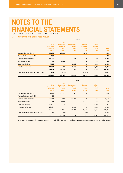#### **14. Insurance and other receivables**

|                                       | 2010             |                  |                          |                          |                          |              |  |  |
|---------------------------------------|------------------|------------------|--------------------------|--------------------------|--------------------------|--------------|--|--|
|                                       |                  | <b>Life</b>      |                          |                          |                          |              |  |  |
|                                       | <b>Life</b>      | <b>Insurance</b> | <b>Investment</b>        | <b>General</b>           | <b>Share</b>             |              |  |  |
|                                       | <b>Insurance</b> | <b>Non-Par</b>   | <b>Linked</b>            | <b>Insurance</b>         | holders'                 |              |  |  |
|                                       | <b>Par Fund</b>  | <b>Fund</b>      | <b>Fund</b>              | <b>Fund</b>              | <b>Fund</b>              | <b>Total</b> |  |  |
|                                       | \$′000           | \$'000           | \$'000                   | \$′000                   | \$′000                   | \$′000       |  |  |
| <b>Outstanding premiums</b>           | 32,280           | 28,255           | $\overline{\phantom{0}}$ | 14,395                   | $\blacksquare$           | 74,930       |  |  |
| Accrued interest receivable           | 880              | -                | ٠                        | $\overline{\phantom{0}}$ | $\overline{\phantom{a}}$ | 880          |  |  |
| Investment receivables                | 47,779           |                  | 27,948                   | 255                      | 306                      | 76,288       |  |  |
| Trade receivables                     | 12               | 2,861            | ٠                        | 2,336                    | 291                      | 5,500        |  |  |
| Other receivables                     | 7,718            |                  | 1,130                    | 231                      | 1,308                    | 10,387       |  |  |
| Interfund balances                    | 12,354           | 22               | 2,613                    | 9                        | 23,753                   | 38,751       |  |  |
|                                       | 101,023          | 31,138           | 31,691                   | 17,226                   | 25,658                   | 206,736      |  |  |
| Less: Allowance for impairment losses | (411)            | (410)            | ٠                        | (4, 402)                 |                          | (5, 223)     |  |  |
|                                       | 100,612          | 30,728           | 31,691                   | 12,824                   | 25,658                   | 201,513      |  |  |

|                                       | 2009             |                          |                          |                          |                          |              |  |  |
|---------------------------------------|------------------|--------------------------|--------------------------|--------------------------|--------------------------|--------------|--|--|
|                                       |                  | <b>Life</b>              |                          |                          |                          |              |  |  |
|                                       | <b>Life</b>      | Insurance                | <b>Investment</b>        | General                  | <b>Share</b>             |              |  |  |
|                                       | <b>Insurance</b> | <b>Non-Par</b>           | <b>Linked</b>            | <b>Insurance</b>         | holders'                 |              |  |  |
|                                       | <b>Par Fund</b>  | <b>Fund</b>              | <b>Fund</b>              | <b>Fund</b>              | <b>Fund</b>              | <b>Total</b> |  |  |
|                                       | \$′000           | \$′000                   | \$′000                   | \$′000                   | \$′000                   | \$′000       |  |  |
| <b>Outstanding premiums</b>           | 32,478           | 25,715                   | 301                      | 15,674                   |                          | 74,168       |  |  |
| Accrued interest receivable           | 36               | $\qquad \qquad -$        | $\overline{\phantom{a}}$ | $\overline{\phantom{a}}$ | $\overline{\phantom{a}}$ | 36           |  |  |
| Investment receivables                | 29,313           | 564                      | 14,304                   | 36                       | 407                      | 44,624       |  |  |
| <b>Trade receivables</b>              | 32               | 3,668                    | $\overline{\phantom{a}}$ | 4,137                    | 354                      | 8,191        |  |  |
| Other receivables                     | 15,630           | $\overline{\phantom{a}}$ | 1,131                    | 165                      | 4,398                    | 21,324       |  |  |
| Interfund balances                    | 20,737           |                          | 3,458                    | 9                        | 34,263                   | 58,467       |  |  |
|                                       | 98,226           | 29,947                   | 19,194                   | 20,021                   | 39,422                   | 206,810      |  |  |
| Less: Allowance for impairment losses | (66)             | (446)                    |                          | (6,620)                  |                          | (7, 132)     |  |  |
|                                       | 98,160           | 29,501                   | 19,194                   | 13,401                   | 39,422                   | 199,678      |  |  |

At balance sheet date, all insurance and other receivables are current, and the carrying amounts approximate their fair value.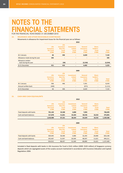#### **14. Insurance and other receivables (continued)**

Movements in allowance for impairment losses for the financial year are as follows:

|                                | 2010             |                |                |                          |              |              |  |
|--------------------------------|------------------|----------------|----------------|--------------------------|--------------|--------------|--|
|                                |                  | <b>Life</b>    |                |                          |              |              |  |
|                                | <b>Life</b>      | Insurance      | Investment     | General                  | <b>Share</b> |              |  |
|                                | <b>Insurance</b> | Non-Par        | <b>Linked</b>  | <b>Insurance</b>         | holders'     |              |  |
|                                | <b>Par Fund</b>  | <b>Fund</b>    | <b>Fund</b>    | <b>Fund</b>              | <b>Fund</b>  | <b>Total</b> |  |
|                                | \$′000           | \$′000         | \$'000         | \$′000                   | \$′000       | \$′000       |  |
| At 1 January                   | 66               | 446            | $\sim$         | 6,620                    |              | 7,132        |  |
| Allowance made during the year | 345              | $\blacksquare$ | $\blacksquare$ | $\overline{\phantom{0}}$ |              | 345          |  |
| Allowance written              |                  |                |                |                          |              |              |  |
| back during the year           |                  | (36)           | $\blacksquare$ | (2, 218)                 |              | (2, 254)     |  |
| At 31 December                 | 411              | 410            | $\sim$         | 4,402                    |              | 5,223        |  |

|                     | 2009             |                          |                          |                  |                          |              |  |  |
|---------------------|------------------|--------------------------|--------------------------|------------------|--------------------------|--------------|--|--|
|                     |                  | <b>Life</b>              |                          |                  |                          |              |  |  |
|                     | <b>Life</b>      | <b>Insurance</b>         | Investment               | General          | <b>Share</b>             |              |  |  |
|                     | <b>Insurance</b> | Non-Par                  | <b>Linked</b>            | <b>Insurance</b> | holders'                 |              |  |  |
|                     | <b>Par Fund</b>  | <b>Fund</b>              | <b>Fund</b>              | <b>Fund</b>      | <b>Fund</b>              | <b>Total</b> |  |  |
|                     | \$′000           | \$′000                   | \$′000                   | \$′000           | \$′000                   | \$'000       |  |  |
| At 1 January        | 506              | 446                      |                          | 7,291            |                          | 8,243        |  |  |
| Amount written back | (440)            | $\overline{\phantom{a}}$ | $\sim$                   | (671)            | $\overline{\phantom{0}}$ | (1, 111)     |  |  |
| At 31 December      | 66               | 446                      | $\overline{\phantom{a}}$ | 6,620            | $\overline{\phantom{0}}$ | 7,132        |  |  |

#### **15. Cash and cash equivalents**

|                           |                           | 2010                  |                       |                       |                       |                        |
|---------------------------|---------------------------|-----------------------|-----------------------|-----------------------|-----------------------|------------------------|
|                           |                           | Life                  |                       |                       |                       |                        |
|                           | <b>Life</b>               | <b>Insurance</b>      | <b>Investment</b>     | General               | <b>Share</b>          |                        |
|                           | <b>Insurance</b>          | Non-Par               | <b>Linked</b>         | <b>Insurance</b>      | holders'              |                        |
|                           | <b>Par Fund</b><br>\$′000 | <b>Fund</b><br>\$′000 | <b>Fund</b><br>\$′000 | <b>Fund</b><br>\$′000 | <b>Fund</b><br>\$′000 | <b>Total</b><br>\$′000 |
|                           |                           |                       |                       |                       |                       |                        |
| Fixed deposits with banks | 701,102                   | 35,500                | 3,000                 | 7,093                 | $\blacksquare$        | 746,695                |
| Cash and bank balances    | 317,878                   | 51,821                | 35,424                | 58,536                | 10,232                | 473,891                |
|                           | 1,018,980                 | 87,321                | 38.424                | 65,629                | 10,232                | 1,220,586              |

|                           |                                                              | 2009                                                                |                                                             |                                                      |                                                   |                        |
|---------------------------|--------------------------------------------------------------|---------------------------------------------------------------------|-------------------------------------------------------------|------------------------------------------------------|---------------------------------------------------|------------------------|
|                           | <b>Life</b><br><b>Insurance</b><br><b>Par Fund</b><br>\$′000 | <b>Life</b><br><b>Insurance</b><br>Non-Par<br><b>Fund</b><br>\$′000 | <b>Investment</b><br><b>Linked</b><br><b>Fund</b><br>\$′000 | General<br><b>Insurance</b><br><b>Fund</b><br>\$′000 | <b>Share</b><br>holders'<br><b>Fund</b><br>\$′000 | <b>Total</b><br>\$'000 |
| Fixed deposits with banks | 569,445                                                      | 36,500                                                              | 5,000                                                       | 32,293                                               | 20,000                                            | 663,238                |
| Cash and bank balances    | 355,467                                                      | 51,957                                                              | 26,569                                                      | 48,597                                               | 11,621                                            | 494,211                |
|                           | 924,912                                                      | 88,457                                                              | 31,569                                                      | 80,890                                               | 31,621                                            | 1,157,449              |

Included in fixed deposits with banks in Life Insurance Par Fund is \$141 million (2009: \$103 million) of Singapore currency deposits which are segregated assets of the surplus account maintained in accordance with Insurance (Valuation and Capital) Regulations 2004.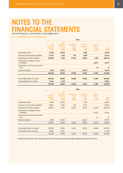#### **16. Insurance and other payables**

|                                             | 2010            |                  |                          |             |              |              |
|---------------------------------------------|-----------------|------------------|--------------------------|-------------|--------------|--------------|
|                                             |                 | <b>Life</b>      |                          |             |              |              |
|                                             | <b>Life</b>     | <b>Insurance</b> | <b>Investment</b>        | General     | <b>Share</b> |              |
|                                             | Insurance       | <b>Non-Par</b>   | <b>Linked</b>            | Insurance   | holders'     |              |
|                                             | <b>Par Fund</b> | <b>Fund</b>      | <b>Fund</b>              | <b>Fund</b> | <b>Fund</b>  | <b>Total</b> |
|                                             | \$′000          | \$'000           | \$′000                   | \$′000      | \$'000       | \$′000       |
| <b>Outstanding claims</b>                   | 22,333          | 28,633           | $\overline{\phantom{0}}$ | 1,486       | ٠            | 52,452       |
| Insurance and reinsurance payables          | 37,327          | 3,316            | 262                      | 4,308       |              | 45,213       |
| Investments and other payables              | 392,660         | 4,638            | 47,634                   | 18,654      | 3,205        | 466,791      |
| Contribution to Singapore Labour            |                 |                  |                          |             |              |              |
| Foundation                                  |                 |                  | $\blacksquare$           | ٠           | 14,577       | 14,577       |
| <b>Contribution to Central Co-operative</b> |                 |                  |                          |             |              |              |
| Fund                                        |                 | ٠                | $\blacksquare$           |             | 25           | 25           |
| Interfund balances                          | 3,063           | 12,455           | $\overline{\phantom{0}}$ | 23,233      |              | 38,751       |
|                                             | 455,383         | 49,042           | 47,896                   | 47,681      | 17,807       | 617,809      |
|                                             |                 |                  |                          |             |              |              |
| To be settled within 12 months              | 436,192         | 39,683           | 47,896                   | 47,681      | 17,807       | 589,259      |
| To be settled after 12 months               | 19,191          | 9,359            |                          |             |              | 28,550       |
|                                             | 455,383         | 49,042           | 47,896                   | 47,681      | 17,807       | 617,809      |

|                                                     | 2009                                |                                    |                             |                          |                          |              |
|-----------------------------------------------------|-------------------------------------|------------------------------------|-----------------------------|--------------------------|--------------------------|--------------|
|                                                     |                                     | <b>Life</b>                        |                             |                          |                          |              |
|                                                     | Life                                | <b>Insurance</b><br><b>Non-Par</b> | Investment<br><b>Linked</b> | General                  | <b>Share</b><br>holders' |              |
|                                                     | <b>Insurance</b><br><b>Par Fund</b> | <b>Fund</b>                        | <b>Fund</b>                 | Insurance<br>Fund        | <b>Fund</b>              | <b>Total</b> |
|                                                     | \$'000                              | \$′000                             | \$′000                      | \$′000                   | \$′000                   | \$′000       |
| <b>Outstanding claims</b>                           | 17,304                              | 26,452                             | $\overline{\phantom{m}}$    | 1,206                    |                          | 44,962       |
| Insurance and reinsurance payables                  | 28,861                              | 2,601                              | 194                         | 6,611                    |                          | 38,267       |
| Investments and other payables                      | 156,877                             | 6,047                              | 14,012                      | 15,123                   | 10,259                   | 202,318      |
| Contribution to Singapore Labour<br>Foundation      |                                     |                                    |                             |                          | 35,352                   | 35,352       |
| <b>Contribution to Central Co-operative</b><br>Fund |                                     | $\qquad \qquad \blacksquare$       |                             |                          | 25                       | 25           |
| Interfund balances                                  | 9,020                               | 32,486                             |                             | 16,961                   |                          | 58,467       |
|                                                     | 212,062                             | 67,586                             | 14,206                      | 39,901                   | 45,636                   | 379,391      |
|                                                     |                                     |                                    |                             |                          |                          |              |
| To be settled within 12 months                      | 193,186                             | 59,264                             | 14,206                      | 39,901                   | 45,636                   | 352,193      |
| To be settled after 12 months                       | 18,876                              | 8,322                              |                             | $\overline{\phantom{a}}$ |                          | 27,198       |
|                                                     | 212,062                             | 67,586                             | 14,206                      | 39,901                   | 45,636                   | 379,391      |

At balance sheet date, the carrying amounts of insurance and other payables approximate their fair value.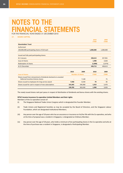#### **17. Share capital**

|                                                                   |                          |                         | 2010      | 2009      |
|-------------------------------------------------------------------|--------------------------|-------------------------|-----------|-----------|
|                                                                   |                          |                         | \$'000    | \$'000    |
| Shareholders' Fund                                                |                          |                         |           |           |
| Authorised:                                                       |                          |                         |           |           |
| 100,000,000 participating shares of \$10 each                     |                          |                         | 1,000,000 | 1,000,000 |
|                                                                   |                          |                         |           |           |
| Issued and fully paid participating shares:                       |                          |                         |           |           |
| At 1 January                                                      |                          |                         | 438,613   | 437,961   |
| Issue of shares                                                   |                          |                         | 1,998     | 3,626     |
| Redemption of shares                                              |                          |                         | (1,898)   | (2, 974)  |
| At 31 December                                                    |                          |                         | 438,713   | 438,613   |
|                                                                   |                          |                         |           |           |
|                                                                   | 2010                     | 2009                    | 2010      | 2009      |
| <b>Issue of shares</b>                                            |                          | <b>Number of shares</b> | \$′000    | \$'000    |
| Shares issued from reinvestment of dividends declared on unvested |                          |                         |           |           |
| Deferred Incentive Scheme shares                                  | $\overline{\phantom{0}}$ | 7,128                   |           | 71        |
| Shares issued to employees for long service award                 | 7,940                    | 8,540                   | 79        | 85        |
| Shares issued for cash in respect of new subscriptions            | 191,845                  | 346,968                 | 1,919     | 3,470     |
|                                                                   | 199,785                  | 362,636                 | 1,998     | 3,626     |

The newly issued shares rank pari passu in respect of distribution of dividends and bonus shares with the existing shares.

#### **NTUC Income Insurance Co-operative Limited Members and their rights**

Members of the Co-operative consist of:

- (i) The Singapore National Trades Union Congress which is designated the Founder Member;
- (ii) Trade Unions and Registered Societies as may be accepted by the Board of Directors, and the Singapore Labour Foundation, which are designated Institutional Members;
- (iii) Any person over the age of 18 years who has an assurance or insurance on his/her life with the Co-operative, and who at the time of proposal was a resident in Singapore, is designated an Ordinary Member;
- (iv) Any person over the age of 18 years, who holds a minimum of ten participating shares in the Co-operative and who at the time of purchase was a resident in Singapore, is designated a Participating Member.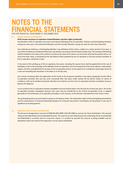## NOTES TO THE FINANCIAL STATEMENTS

For the financial year ended 31 December 2010

#### **17. Share capital (continued)**

#### **NTUC Income Insurance Co-operative Limited Members and their rights (continued)**

Any Member of the Co-operative may vote at any General Meeting of the Co-operative. Ordinary and Participating members having one vote each, and Institutional Members and the Founder Member, having one vote for each share they hold.

Any Institutional, Ordinary or Participating Member may withdraw his/her shares, subject to a notice period of one year, or such other limitations as the Board of Directors may decide in accordance with the Rules and By-Laws. The member withdrawing shall be entitled on the expiry of his notice to receive as the value of his shares, not more than what he/she paid for them, nor more than their value, as disclosed by the last Balance Sheet prepared by the Co-operative or the last actuarial valuation of the Co-operative, whichever is later.

In the event of the winding up of the Co-operative, the assets, including the reserve fund, shall be applied first to the cost of liquidation, then to the discharge of the liabilities of the Co-operative, then to the payment of the share capital or subscription capital, and then, provided that the by-laws of the Co-operative permit, to the payment of a dividend or patronage refund at a rate not exceeding that laid down in the Rules or in the By-Laws.

Any monies remaining after the application of the funds to the purposes specified in the above paragraph (section 88 of Co-operative Societies Act) and any sums unclaimed after two years under Section 89 (3) (which relates to claims of creditors), shall not be divided among the Members but shall be carried to the Co-operative Societies Liquidation Account kept by the Registrar.

A sum carried to the Co-operative Societies Liquidation Account shall be kept in this Account for at least two years. Out of the Co-operative Societies Liquidation Account such sums may be transferred to the Central Co-operative Fund, or applied generally for the furtherance of co-operative principles in such manner, as the Minister may determine from time to time.

The participating shares are presented as equity on the balance sheet. The redemption rights of the participating shareholders and the requirements of Financial Reporting Standard 32, Financial Instruments: Presentation are described in note 2(r) of significant accounting policies.

#### **18. Reserves for future distribution**

The Group has designated an amount of \$489,401,000 (2009: \$422,957,000) as reserves for future distribution. This amount relates to the ElderShield and IncomeShield business. The reserves are set aside because the underlying risk for IncomeShield and ElderShield is uncertain and of a long term nature, it is prudent to earmark this amount as being available only for distribution when the trend of the experience can be clearly established.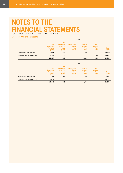#### **19. Fee and other income**

|                           |                           | 2010                  |                          |                          |                       |              |
|---------------------------|---------------------------|-----------------------|--------------------------|--------------------------|-----------------------|--------------|
|                           |                           | <b>Life</b>           |                          |                          |                       |              |
|                           | <b>Life</b>               | <b>Insurance</b>      | <b>Investment</b>        | <b>General</b>           | <b>Share</b>          |              |
|                           | <b>Insurance</b>          | Non-Par               | <b>Linked</b>            | <b>Insurance</b>         | holders'              |              |
|                           | <b>Par Fund</b><br>\$′000 | <b>Fund</b><br>\$'000 | <b>Fund</b><br>\$′000    | <b>Fund</b><br>\$'000    | <b>Fund</b><br>\$′000 | <b>Total</b> |
|                           |                           |                       |                          |                          |                       | \$'000       |
| Reinsurance commission    | 7,501                     | 819                   | $\overline{\phantom{a}}$ | 2,290                    |                       | 10,610       |
| Management and other fees | 14,153                    | $\blacksquare$        | $\blacksquare$           | $\overline{\phantom{a}}$ | 2,068                 | 16,221       |
|                           | 21,654                    | 819                   | $\sim$                   | 2,290                    | 2,068                 | 26,831       |

|                           |                  | 2009                     |                          |                  |              |              |
|---------------------------|------------------|--------------------------|--------------------------|------------------|--------------|--------------|
|                           |                  | <b>Life</b>              |                          |                  |              |              |
|                           | <b>Life</b>      | <b>Insurance</b>         | Investment               | <b>General</b>   | <b>Share</b> |              |
|                           | <b>Insurance</b> | Non-Par                  | <b>Linked</b>            | <b>Insurance</b> | holders'     |              |
|                           | <b>Par Fund</b>  | <b>Fund</b>              | <b>Fund</b>              | <b>Fund</b>      | <b>Fund</b>  | <b>Total</b> |
|                           | \$′000           | \$'000                   | \$′000                   | \$′000           | \$′000       | \$′000       |
| Reinsurance commission    | 338              | 765                      | $\sim$                   | 4,680            | -            | 5,783        |
| Management and other fees | 16,811           | $\overline{\phantom{m}}$ | $\overline{\phantom{m}}$ | -                | -            | 16,811       |
|                           | 17,149           | 765                      | $\overline{\phantom{a}}$ | 4,680            |              | 22,594       |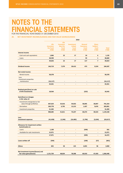#### **20. Net investment income/(losses) and fair value gains/(losses)**

| Life<br><b>Insurance</b> | <b>Life</b><br><b>Insurance</b>                              | <b>Investment</b>               |                                  |                                       |                                                |
|--------------------------|--------------------------------------------------------------|---------------------------------|----------------------------------|---------------------------------------|------------------------------------------------|
|                          |                                                              |                                 |                                  |                                       |                                                |
|                          |                                                              |                                 | General                          | <b>Share</b>                          |                                                |
|                          | <b>Non-Par</b>                                               | <b>Linked</b>                   | <b>Insurance</b>                 | holders'                              |                                                |
| <b>Par Fund</b>          | <b>Fund</b>                                                  | <b>Fund</b>                     | <b>Fund</b>                      | <b>Fund</b>                           | <b>Total</b><br>\$'000                         |
|                          |                                                              |                                 |                                  |                                       |                                                |
|                          |                                                              |                                 |                                  |                                       |                                                |
|                          |                                                              |                                 |                                  |                                       | 1,135                                          |
|                          | $\blacksquare$                                               | $\blacksquare$                  |                                  |                                       | 38,684                                         |
| 39,656                   | 22                                                           | 17                              | 117                              | $\overline{7}$                        | 39,819                                         |
| 146,719                  | 7,379                                                        | 20,412                          | 473                              | 9,524                                 | 184,507                                        |
|                          |                                                              |                                 |                                  |                                       |                                                |
| 58,378                   |                                                              |                                 |                                  |                                       | 58,378                                         |
|                          |                                                              |                                 |                                  |                                       |                                                |
|                          |                                                              |                                 |                                  |                                       |                                                |
|                          | $\blacksquare$                                               |                                 |                                  |                                       | (16, 117)                                      |
| 42,261                   | $\blacksquare$                                               | $\blacksquare$                  | $\blacksquare$                   |                                       | 42,261                                         |
| 18,564                   |                                                              |                                 | (222)                            |                                       | 18,342                                         |
|                          |                                                              |                                 |                                  |                                       |                                                |
|                          |                                                              |                                 |                                  |                                       | 791,354                                        |
|                          |                                                              |                                 |                                  |                                       | 302,891                                        |
| 31,283                   |                                                              |                                 |                                  |                                       | 31,283                                         |
| 908,685                  | 41,811                                                       | 74,237                          | 60,272                           | 40,523                                | 1,125,528                                      |
| (41, 458)                | (1, 246)                                                     | (16, 483)                       | (1,796)                          | (2,634)                               | (63, 617)                                      |
|                          |                                                              |                                 |                                  |                                       |                                                |
| 1,100                    | $\overline{\phantom{a}}$                                     | $\blacksquare$                  | (599)                            | $\blacksquare$                        | 501                                            |
| 15,971                   |                                                              | $\blacksquare$                  | $\blacksquare$                   | ۰                                     | 15,971                                         |
| 17,071                   |                                                              | $\frac{1}{2}$                   | (599)                            |                                       | 16,472                                         |
| (594)                    | ÷,                                                           | ÷,                              | (190)                            | (57)                                  | (841)                                          |
| 835                      | 58                                                           | 125                             | 2,855                            | 96                                    | 3,969                                          |
| 1,131,739                | 48,024                                                       | 78,308                          | 60,910                           | 47,459                                | 1,366,440                                      |
|                          | \$'000<br>1,066<br>38,590<br>(16, 117)<br>607,624<br>269,778 | \$'000<br>22<br>35,016<br>6,795 | \$'000<br>17<br>59,022<br>15,215 | \$'000<br>24<br>93<br>58,845<br>1,427 | \$′000<br>6<br>$\mathbf{1}$<br>30,847<br>9,676 |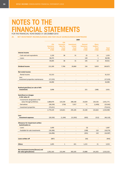#### **20. Net investment income/(losses) and fair value gains/(losses) (continued)**

|                                                                 |                           | Life                     |                              |                          |                          |                        |
|-----------------------------------------------------------------|---------------------------|--------------------------|------------------------------|--------------------------|--------------------------|------------------------|
|                                                                 | Life                      | <b>Insurance</b>         | Investment                   | General                  | <b>Share</b>             |                        |
|                                                                 | <b>Insurance</b>          | <b>Non-Par</b>           | <b>Linked</b>                | <b>Insurance</b>         | holders'                 |                        |
|                                                                 | <b>Par Fund</b><br>\$′000 | <b>Fund</b><br>\$'000    | <b>Fund</b><br>\$′000        | <b>Fund</b><br>\$′000    | <b>Fund</b><br>\$′000    | <b>Total</b><br>\$'000 |
|                                                                 |                           |                          |                              |                          |                          |                        |
| <b>Interest income</b>                                          |                           |                          |                              |                          |                          |                        |
| - Cash and cash equivalents                                     | 1,220                     | 38                       | 31                           | 25                       | 11                       | 1,325                  |
| - Loans                                                         | 38,475                    | $\sim$                   | $\overline{\phantom{a}}$     | 120                      | $\mathbf{1}$             | 38,596                 |
|                                                                 | 39,695                    | 38                       | 31                           | 145                      | 12                       | 39,921                 |
| <b>Dividend income</b>                                          | 131,269                   | 7,768                    | 20,860                       | 156                      | 9,819                    | 169,872                |
| Net rental income:                                              |                           |                          |                              |                          |                          |                        |
| - Rental income                                                 | 61,313                    |                          |                              | -                        |                          | 61,313                 |
| Less:<br>Investment properties maintenance                      | (17, 223)                 |                          |                              |                          |                          | (17, 223)              |
|                                                                 | 44,090                    |                          |                              |                          |                          | 44,090                 |
| Realised gain/(loss) on sale of AFS<br>investments              | 3,898                     |                          |                              | 221                      | (188)                    | 3,931                  |
| Gain/(loss) on changes<br>in fair value of:                     |                           |                          |                              |                          |                          |                        |
| - Investments designated as fair<br>value through profit/loss   | 1,880,879                 | 125,539                  | 288,168                      | 23,029                   | 134,156                  | 2,451,771              |
| - Derivatives                                                   | (28, 239)                 | (718)                    | 7,017                        | 71                       | (1, 493)                 | (23, 362)              |
| - Investment properties                                         | (73, 411)                 | $\overline{\phantom{a}}$ | $\blacksquare$               | $\overline{\phantom{a}}$ | $\overline{\phantom{a}}$ | (73, 411)              |
|                                                                 | 1,779,229                 | 124,821                  | 295,185                      | 23,100                   | 132,663                  | 2,354,998              |
| Less:<br><b>Investment expenses</b>                             | (30, 330)                 | (1, 184)                 | (13, 392)                    | (692)                    | (512)                    | (46, 110)              |
| Allowance for impairment written<br>back/(made) on:             |                           |                          |                              |                          |                          |                        |
| - Loans                                                         | 1,690                     |                          |                              | (3)                      |                          | 1,687                  |
| - Available-for-sale investments                                | (18, 186)                 | ÷,                       |                              | (198)                    | 110                      | (18, 274)              |
|                                                                 | (16, 496)                 | $\overline{\phantom{0}}$ | $\overline{\phantom{a}}$     | (201)                    | 110                      | (16, 587)              |
| Loans written off                                               | (887)                     | $\overline{\phantom{m}}$ | $\qquad \qquad \blacksquare$ | (56)                     |                          | (943)                  |
| <b>Others</b>                                                   | 1,695                     | $\mathbf{1}$             | 421                          | 1,215                    | 21                       | 3,353                  |
| Net investment income/(losses) and<br>fair value gains/(losses) | 1,952,163                 | 131,444                  | 303,105                      | 23,888                   | 141,925                  | 2,552,525              |

**2009**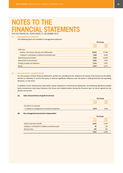#### **21. Management expenses**

The following items are included in management expenses:

|                                                        |                | <b>The Group</b> |
|--------------------------------------------------------|----------------|------------------|
|                                                        | 2010<br>\$′000 | 2009<br>\$′000   |
| <b>Staff costs</b>                                     |                |                  |
| - Salaries, commission, bonuses and staff benefits     | 73,915         | 77,396           |
| - Employer's contribution to defined contribution plan | 7,956          | 8,544            |
| Advertising and promotion                              | 7,064          | 10,290           |
| Depreciation & amortisation                            | 9,425          | 7,825            |
| Printing, postage and stationery                       | 5,214          | 5,657            |
| Rental                                                 | 6,157          | 6,277            |

#### **22. Related party transactions**

For the purpose of these financial statements, parties are considered to be related to the Group if the Group has the ability, directly or indirectly, to control the party or exercise significant influence over the party in making financial and operating decisions, or vice versa.

In addition to the related party information shown elsewhere in the financial statements, the following significant related party transactions took place between the Group and related parties during the financial year on terms agreed by the parties concerned:

#### **(a) Sales and purchases of goods & services**

|                                                      | <b>The Group</b>      |                |
|------------------------------------------------------|-----------------------|----------------|
|                                                      | 2010<br><b>\$'000</b> | 2009<br>\$'000 |
| Fee paid to an associate                             |                       |                |
| - In relation to management of investment properties | 2.074                 | 2,562          |

#### **(b) Key management personnel compensation**

|                                                      | <b>The Group</b> |                |
|------------------------------------------------------|------------------|----------------|
|                                                      | 2010<br>\$'000   | 2009<br>\$'000 |
| Salaries and other benefits                          | 6,941            | 5,194          |
| Employer's contribution to defined contribution plan | 95               | 120            |
| Directors fees                                       | 291              | 281            |
|                                                      | 7,327            | 5,595          |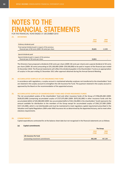#### **23. Dividends**

|                                                       | 2010<br>\$′000 | 2009<br>\$'000 |
|-------------------------------------------------------|----------------|----------------|
| Ordinary dividends paid                               |                |                |
| Final exempt dividend paid in respect of the previous |                |                |
| financial year of 60 cents (2009: 30 cents) per share | 25,621         | 12,898         |
|                                                       |                |                |
| Special dividends paid                                |                |                |
| Special dividend paid in respect of the previous      |                |                |
| financial year of 30 cents per share                  | 12,811         |                |

The Directors have proposed a dividend of 60 cents per share (2009: 60 cents per share) and a special dividend of 20 cents per share (2009: 30 cents) amounting to \$35,100,000 (2009: \$39,500,000) to be paid in respect of the financial year ended 31 December 2010. The financial statements will reflect this dividend payable in the Shareholders' Fund as an appropriation of surplus in the year ending 31 December 2011 after approval obtained during the Annual General Meeting.

#### **24. Accumulated surplus of Life Insurance Par Fund**

In accordance with regulations, a surplus account is maintained whereby surpluses not transferred to the shareholders' fund are retained in the surplus account to strengthen the Life Insurance Par Fund. The quantum retained in the surplus account is approved by the Board on the recommendation of the appointed actuary.

#### **25. Accumulated surplus of shareholders' fund and other insurance funds**

The net accumulated surplus of the shareholders' fund and other insurance funds of the Group of \$706,695,000 (2009: \$628,025,000) [comprising accumulated surplus of \$727,075,000 (2009: \$670,181,000) in other insurance funds and the accumulated deficit of \$20,380,000 (2009: less accumulated deficit of \$42,156,000) in the shareholders' fund] represents the amount available for distribution to the members of the Group except for accumulated surplus of \$361,227,000 (2009: \$317,141,000), which is not distributable and must be maintained to meet regulatory capital requirement prescribed in the Valuation and Capital Regulations 2004 under MAS Insurance Act as determined by the Appointed Actuary, and to meet other statutory requirements.

#### **26. Commitments**

Capital expenditures contracted for at the balance sheet date but not recognised in the financial statements are as follows:

#### **(a) Capital commitments**

|                                    |                | <b>The Group</b> |  |
|------------------------------------|----------------|------------------|--|
|                                    | 2010<br>\$'000 | 2009<br>\$'000   |  |
| Life Insurance Par Fund            |                |                  |  |
| Outstanding investment commitments | 361,103        | 487,289          |  |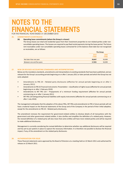## NOTES TO THE FINANCIAL STATEMENTS

For the financial year ended 31 December 2010

#### **26. Commitments (continued)**

#### **(b) Operating lease commitments (where the Group is a lessor)**

The Group leases out retail and residential space from their investment properties to non-related parties under noncancellable operating leases. The lessees are required to pay fixed rental payments during the lease period. The future rent receivables under non-cancellable operating leases contracted for at the balance sheet date but not recognised as receivables, are as follows:

|                            | <b>The Group</b> |                |
|----------------------------|------------------|----------------|
|                            | 2010<br>\$'000   | 2009<br>\$'000 |
| Not later than one year    | 28,847           | 50,999         |
| Between one and five years | 17,955           | 50,999         |

#### **27. New or revised accounting Standards and Interpretations**

Below are the mandatory standards, amendments and interpretations to existing standards that have been published, and are relevant for the Group's accounting periods beginning on or after 1 January 2011 or later periods and which the Group has not early adopted:

- Amendments to FRS 24 Related party disclosures (effective for annual periods beginning on or after 1 January 2011)
- Amendments to FRS 32 Financial instruments: Presentation classification of rights issues (effective for annual periods beginning on or after 1 February 2010)
- Amendments to INT FRS 114 Prepayments of a minimum funding requirement (effective for annual periods commencing on or after 1 January 2011)
- INT FRS 119 Extinguishing financial liabilities with equity instruments (effective for annual periods commencing on or after 1 July 2010)

The management anticipates that the adoption of the above FRSs, INT FRSs and amendments to FRS in future periods will not have a material impact on the financial statements of the Group and of the Company in the period of their initial adoption, except for the amendments to FRS 24 – Related party disclosures.

The amendment removes the requirement for government-related entities to disclose details of all transactions with the government and other government related entities. It also clarifies and simplifies the definition of a related party. However, the revised definition of a related party will also mean that some entities will have more related parties and will be required to make additional disclosures.

Management is currently considering the revised definition to determine whether any additional disclosures will be required and has yet to put systems in place to capture the necessary information. It is therefore not possible to disclose the financial impact, if any, of the amendment on the related party disclosures.

#### **28. Authorisation for issue**

These financial statements were approved by the Board of Directors at a meeting held on 22 March 2011 and authorised for release on 22 March 2011.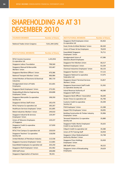# SHAREHOLDING AS AT 31 DECEMBER 2010

| <b>FOUNDER MEMBER</b>                                            | <b>Number of Shares</b> |
|------------------------------------------------------------------|-------------------------|
|                                                                  |                         |
| <b>National Trades Union Congress</b>                            | 7,011,344 (16%)         |
|                                                                  |                         |
| <b>INSTITUTIONAL MEMBERS</b>                                     | <b>Number of Shares</b> |
|                                                                  |                         |
| NTUC Income Insurance<br>Co-operative Ltd                        | 1,415,952               |
| <b>Singapore Labour Foundation</b>                               | 798,560                 |
| Singapore Manual & Mercantile<br><b>Workers' Union</b>           | 535,467                 |
| Singapore Maritime Officers' Union                               | 470,386                 |
| National Transport Workers' Union                                | 406,984                 |
| United Workers of Electronic & Electrical<br><b>Industries</b>   | 385,719                 |
| <b>Amalgamated Union of Public</b><br>Employees                  | 321,601                 |
| Singapore Bank Employees' Union                                  | 273,301                 |
| <b>Shipbuilding &amp; Marine Engineering</b><br>Employees' Union | 204,808                 |
| Singapore Mercantile Co-operative<br><b>Society Ltd</b>          | 198,350                 |
| <b>Singapore Airlines Staff Union</b>                            | 195,470                 |
| NTUC Fairprice Co-operative Ltd                                  | 183,267                 |
| Healthcare Services Employees' Union                             | 161,805                 |
| Metal Industries Workers' Union                                  | 149,010                 |
| <b>Singapore Industrial &amp; Services</b><br>Employees' Union   | 129,397                 |
| <b>Union of Telecoms Employees</b><br>of Singapore               | 129,237                 |
| <b>Singapore Credit Co-operative</b><br>League Ltd               | 127,830                 |
| NTUC First Campus Co-operative Ltd                               | 120,019                 |
| Singapore Teachers' Co-operative<br><b>Society Ltd</b>           | 118,058                 |
| United Workers of Petroleum Industry                             | 113,558                 |
| Singapore Insurance Employees' Union                             | 112,865                 |
| ExxonMobil Employees Co-operative Ltd                            | 103,250                 |
| Singapore Shell Employees' Union                                 | 101,962                 |
| <b>HDB Staff Union</b>                                           | 100,000                 |
| <b>Singapore Organisation of Seamen</b>                          | 90,341                  |

| <b>INSTITUTIONAL MEMBERS</b>                                                  | <b>Number of Shares</b> |
|-------------------------------------------------------------------------------|-------------------------|
| <b>Singapore Shell Employees Union</b><br>Co-operative Ltd                    | 83,463                  |
| Food, Drinks & Allied Workers' Union                                          | 80,269                  |
| Union of Power & Gas Employees                                                | 78,029                  |
| ExxonMobil Singapore<br><b>Employees' Union</b>                               | 76,711                  |
| Amalgamated Union of<br><b>Statutory Board Employees</b>                      | 67,386                  |
| <b>Singapore Port Workers Union</b>                                           | 66,517                  |
| NatSteel Employees' Union                                                     | 63,104                  |
| <b>Chemical Industries Employees' Union</b>                                   | 60,133                  |
| Singapore Teachers' Union                                                     | 57,115                  |
| Singapore National Co-operative<br><b>Federation Ltd</b>                      | 57,075                  |
| <b>Singapore Airport Terminal Services</b><br><b>Workers' Union</b>           | 55,857                  |
| <b>Singapore Government Staff Credit</b><br>Co-operative Society Ltd          | 55,392                  |
| <b>Inland Revenue Authority of</b><br><b>Singapore Staff Union</b>            | 48,580                  |
| <b>Singapore Bank Officers' Association</b>                                   | 46,640                  |
| <b>Straits Times Co-operative Ltd</b>                                         | 45,790                  |
| <b>Customs Credit Co-operative</b><br><b>Society Ltd</b>                      | 45,599                  |
| <b>PUB Employees' Union</b>                                                   | 41,588                  |
| Keppel FELS Employees' Union                                                  | 39,095                  |
| <b>Building Construction &amp; Timber Industry</b><br><b>Employees' Union</b> | 35,906                  |
| Temasek Polytechnic Co-operative<br><b>Society Ltd</b>                        | 35,880                  |
| Singapore Public Works Employees'<br>Credit Co-op Society Ltd                 | 35,625                  |
| <b>Citiport Credit Co-operative Ltd</b>                                       | 35,580                  |
| Union of ITE Training Staff                                                   | 34,959                  |
| Singapore Urban Redevelopment<br><b>Authority Workers' Union</b>              | 33,748                  |
| <b>Singapore Press Holdings</b><br><b>Employees' Union</b>                    | 33,450                  |
| <b>DBS Staff Union</b>                                                        | 30,222                  |
| <b>Singapore Union of Broadcasting</b><br><b>Employees</b>                    | 29,629                  |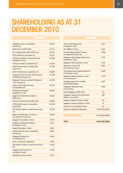## SHAREHOLDING AS AT 31 DECEMBER 2010

| <b>INSTITUTIONAL MEMBERS</b>                                       | <b>Number of Shares</b> |
|--------------------------------------------------------------------|-------------------------|
|                                                                    |                         |
| Singapore Police Co-operative<br>Society Ltd                       | 29,613                  |
| <b>Staff Union of NTUC-ARU</b>                                     | 26,711                  |
| Air-Transport Executive Staff Union                                | 25,761                  |
| NTUC Media Co-operative Ltd                                        | 25,412                  |
| <b>Changi International Airport Services</b><br>Employees' Union   | 23,968                  |
| Telecoms Credit Co-operative Ltd                                   | 22,439                  |
| <b>AUPE Multi-Purpose Co-operative</b><br>Society Ltd              | 21,292                  |
| NTUC Healthcare Co-operative Ltd                                   | 20,288                  |
| Singapore Prison Service Multi-Purpose<br>Co-operative Society Ltd | 20,100                  |
| Singapore Statutory Boards Employees'<br>T & L Society Ltd         | 16,769                  |
| Ceylon Tamils Multi-Purpose<br>Co-operative Ltd                    | 16,719                  |
| Sembawang Shipyard<br><b>Employees' Union</b>                      | 16,407                  |
| Ngee Ann Polytechnic Academic<br><b>Staff Union</b>                | 15,325                  |
| Premier Security Co-operative Ltd                                  | 14,200                  |
| <b>UTES Multi-Purpose Co-operative</b><br>Society Ltd              | 13,304                  |
| TRC Multi-Purpose Co-operative Society<br>Ltd                      | 12,919                  |
| Ngee Ann Polytechnic Consumer<br>Co-operative Society Ltd          | 12,810                  |
| Singapore Stevedores' Union                                        | 9,073                   |
| <b>Singapore Refining Companies</b><br><b>Employees' Union</b>     | 8,255                   |
| Keppel Employees' Union                                            | 6,154                   |
| Industrial & Services Co-operative<br>Society Ltd                  | 6,095                   |
| Singapore Polytechnic<br>Co-operative Ltd                          | 5,818                   |
| <b>Union of Security Employees</b>                                 | 4,763                   |
| NUS Multi-Purpose Co-operative Society<br>Ltd                      | 4,420                   |
| Singapore Interpreters' &<br><b>Translators' Union</b>             | 4,218                   |
| <b>Education Services Union</b>                                    | 3,729                   |

| <b>INSTITUTIONAL MEMBERS</b>                                         | <b>Number of Shares</b> |
|----------------------------------------------------------------------|-------------------------|
|                                                                      |                         |
| <b>Times Publishing Group</b><br><b>Employees' Union</b>             | 3,427                   |
| Port Officers' Union                                                 | 3,312                   |
| Jurong Shipyard Multi-Purpose<br>Co-operative Society Ltd            | 3,306                   |
| Singapore Technologies Electronics<br><b>Employees' Union</b>        | 2,973                   |
| Singapore Tamil Teachers' Union                                      | 2,756                   |
| <b>Attractions, Resorts &amp;</b><br><b>Entertainment Union</b>      | 2,382                   |
| <b>SIA Engineering Company Engineers</b><br>& Executives Union       | 2,300                   |
| Singapore Bank Employees Co-op<br>T & L Society Ltd                  | 2,130                   |
| <b>Amalgamated Union of Public</b><br>Daily-Rated Workers            | 2,077                   |
| <b>Singapore National Union</b><br>of Journalists                    | 1,856                   |
| <b>Spring Singapore Staff Union</b>                                  | 417                     |
| <b>Singapore Government Shorthand</b><br><b>Writers' Association</b> | 309                     |
| <b>Singapore Malay Teachers' Union</b>                               | 141                     |
| Singapore Chinese Teachers' Union                                    | 21                      |
| <b>Reuters Local Employees Union</b>                                 | 10                      |
| <b>Total for Institutional Members</b>                               | 8,734,518 (20%)         |
| <b>ORDINARY MEMBERS</b>                                              | 28,125,464 (64%)        |
|                                                                      |                         |

**TOTAL 43,871,326 (100%)**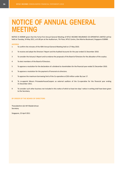## NOTICE OF ANNUAL GENERAL MEETING

NOTICE IS HEREBY given that the Forty-First Annual General Meeting of NTUC INCOME INSURANCE CO-OPERATIVE LIMITED will be held on Tuesday, 24 May 2011, at 6.00 pm at the Auditorium, 7th Floor, NTUC Centre, One Marina Boulevard, Singapore 018989.

#### **AGENDA**

- 1 To confirm the minutes of the 40th Annual General Meeting held on 27 May 2010.
- 2 To receive and adopt the Directors' Report and the Audited Accounts for the year ended 31 December 2010.
- 3 To consider the Actuary's Report and to endorse the proposals of the Board of Directors for the allocation of the surplus.
- 4 To elect members of the Board of Directors.
- 5 To approve a resolution for the declaration of a dividend to shareholders for the financial year ended 31 December 2010.
- 6 To approve a resolution for the payment of honoraria to directors.
- 7 To approve the maximum borrowing limit of the Co-operative at \$50 million under By-Law 17.
- 8 To re-appoint Messrs PricewaterhouseCoopers as external auditors of the Co-operative for the financial year ending 31 December 2011.
- 9 To consider such other business not included in this notice of which at least ten days' notice in writing shall have been given to the Secretary.

#### **BY ORDER OF THE BOARD OF DIRECTORS**

Thanalakshmi d/o M R Balakrishnan **Secretary** 

Singapore, 25 April 2011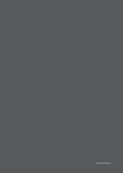MICA (P) 094/04/2011